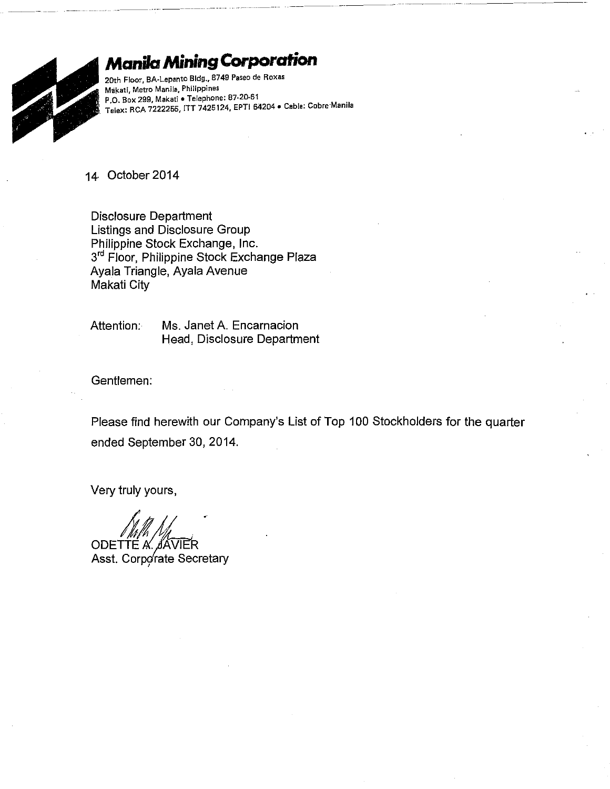

## **Manila Mining Corporation**

**20th Floor, BA·Lepanto Bldg., 8749 Paseo de Roxas Miikati, Metro Manila, Philippines P.O. Box 299, Makati • Telephone: 87-20-61** . . **Telex: RCA 7222255, ITT 7425124, EPTI 64204 • Cable: Cobre·Mamla** 

14· October 2014

Disclosure Department Listings and Disclosure Group Philippine Stock Exchange, Inc. 3<sup>rd</sup> Floor, Philippine Stock Exchange Plaza Ayala Triangle, Ayala Avenue Makati City

Attention: Ms. Janet A. Encarnacion Head, Disclosure Department

Gentlemen:

Please find herewith our Company's List of Top 100 Stockholders for the quarter ended September 30, 2014.

Very truly yours,

ODETTE A Asst. Corporate Secretary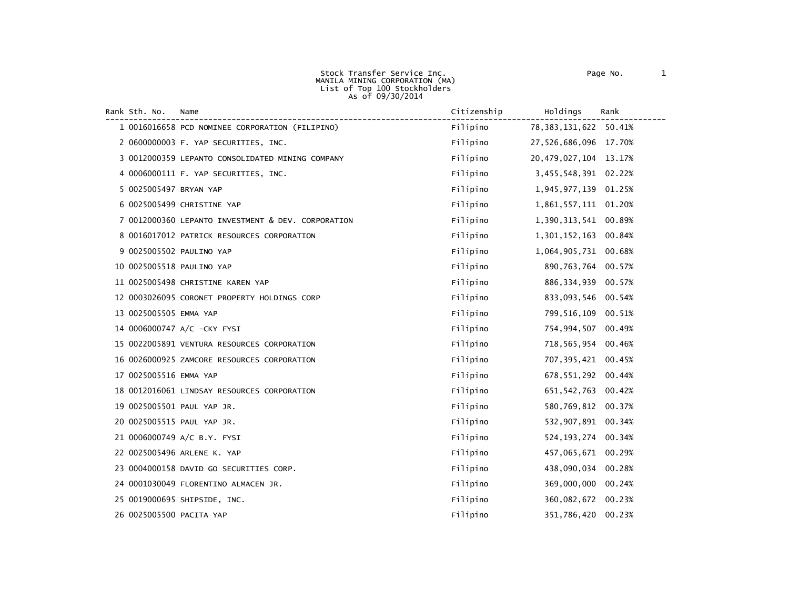MANILA MINING CORPORATION (MA) List of Top <sup>100</sup> Stockholders As of 09/30/2014

Stock Transfer Service Inc. The Contract of Page No. 2012

| Rank Sth. No. Name     |                                                  | Citizenship | Holdings                  | Rank |
|------------------------|--------------------------------------------------|-------------|---------------------------|------|
|                        | 1 0016016658 PCD NOMINEE CORPORATION (FILIPINO)  | Filipino    | 78, 383, 131, 622 50. 41% |      |
|                        | 2 0600000003 F. YAP SECURITIES, INC.             | Filipino    | 27,526,686,096 17.70%     |      |
|                        | 3 0012000359 LEPANTO CONSOLIDATED MINING COMPANY | Filipino    | 20,479,027,104 13.17%     |      |
|                        | 4 0006000111 F. YAP SECURITIES, INC.             | Filipino    | 3,455,548,391 02.22%      |      |
| 5 0025005497 BRYAN YAP |                                                  | Filipino    | 1,945,977,139 01.25%      |      |
|                        | 6 0025005499 CHRISTINE YAP                       | Filipino    | 1,861,557,111 01.20%      |      |

0012000360 LEPANTO INVESTMENT & DEV. CORPORATION Filipino 1,390,313,541 00.89%

0016017012 PATRICK RESOURCES CORPORATION Filipino 1,301,152,163 00.84%

|                        | 9 0025005502 PAULINO YAP                     | Filipino | 1,064,905,731 00.68%  |        |
|------------------------|----------------------------------------------|----------|-----------------------|--------|
|                        | 10 0025005518 PAULINO YAP                    | Filipino | 890,763,764 00.57%    |        |
|                        | 11 0025005498 CHRISTINE KAREN YAP            | Filipino | 886, 334, 939 00.57%  |        |
|                        | 12 0003026095 CORONET PROPERTY HOLDINGS CORP | Filipino | 833,093,546 00.54%    |        |
| 13 0025005505 EMMA YAP |                                              | Filipino | 799,516,109 00.51%    |        |
|                        | 14 0006000747 A/C -CKY FYSI                  | Filipino | 754,994,507 00.49%    |        |
|                        | 15 0022005891 VENTURA RESOURCES CORPORATION  | Filipino | 718,565,954 00.46%    |        |
|                        | 16 0026000925 ZAMCORE RESOURCES CORPORATION  | Filipino | 707,395,421 00.45%    |        |
| 17 0025005516 EMMA YAP |                                              | Filipino | 678, 551, 292 00.44%  |        |
|                        | 18 0012016061 LINDSAY RESOURCES CORPORATION  | Filipino | 651,542,763 00.42%    |        |
|                        | 19 0025005501 PAUL YAP JR.                   | Filipino | 580,769,812           | 00.37% |
|                        | 20 0025005515 PAUL YAP JR.                   | Filipino | 532,907,891 00.34%    |        |
|                        | 21 0006000749 A/C B.Y. FYSI                  | Filipino | 524, 193, 274 00. 34% |        |
|                        | 22 0025005496 ARLENE K. YAP                  | Filipino | 457,065,671 00.29%    |        |
|                        | 23 0004000158 DAVID GO SECURITIES CORP.      | Filipino | 438,090,034 00.28%    |        |

0001030049 FLORENTINO ALMACEN JR. Filipino 369,000,000 00.24%

0019000695 SHIPSIDE, INC. Filipino 360,082,672 00.23%

0025005500 PACITA YAP Filipino 351,786,420 00.23%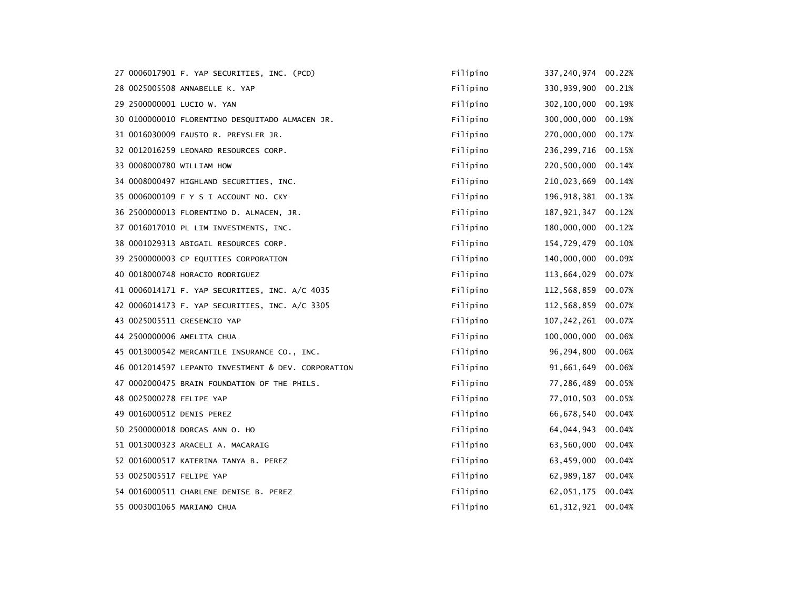|                            | 27 0006017901 F. YAP SECURITIES, INC. (PCD)         | Filipino | 337, 240, 974 | 00.22% |
|----------------------------|-----------------------------------------------------|----------|---------------|--------|
|                            | 28 0025005508 ANNABELLE K. YAP                      | Filipino | 330,939,900   | 00.21% |
| 29 2500000001 LUCIO W. YAN |                                                     | Filipino | 302,100,000   | 00.19% |
|                            | 30 0100000010 FLORENTINO DESQUITADO ALMACEN JR.     | Filipino | 300,000,000   | 00.19% |
|                            | 31 0016030009 FAUSTO R. PREYSLER JR.                | Filipino | 270,000,000   | 00.17% |
|                            | 32 0012016259 LEONARD RESOURCES CORP.               | Filipino | 236, 299, 716 | 00.15% |
| 33 0008000780 WILLIAM HOW  |                                                     | Filipino | 220,500,000   | 00.14% |
|                            | 34 0008000497 HIGHLAND SECURITIES, INC.             | Filipino | 210,023,669   | 00.14% |
|                            | 35 0006000109 F Y S I ACCOUNT NO. CKY               | Filipino | 196,918,381   | 00.13% |
|                            | 36 2500000013 FLORENTINO D. ALMACEN, JR.            | Filipino | 187, 921, 347 | 00.12% |
|                            | 37 0016017010 PL LIM INVESTMENTS, INC.              | Filipino | 180,000,000   | 00.12% |
|                            | 38 0001029313 ABIGAIL RESOURCES CORP.               | Filipino | 154,729,479   | 00.10% |
|                            | 39 2500000003 CP EQUITIES CORPORATION               | Filipino | 140,000,000   | 00.09% |
|                            | 40 0018000748 HORACIO RODRIGUEZ                     | Filipino | 113,664,029   | 00.07% |
|                            | 41 0006014171 F. YAP SECURITIES, INC. A/C 4035      | Filipino | 112,568,859   | 00.07% |
|                            | 42 0006014173 F. YAP SECURITIES, INC. A/C 3305      | Filipino | 112,568,859   | 00.07% |
|                            | 43 0025005511 CRESENCIO YAP                         | Filipino | 107, 242, 261 | 00.07% |
| 44 2500000006 AMELITA CHUA |                                                     | Filipino | 100,000,000   | 00.06% |
|                            | 45 0013000542 MERCANTILE INSURANCE CO., INC.        | Filipino | 96,294,800    | 00.06% |
|                            | 46 0012014597 LEPANTO INVESTMENT & DEV. CORPORATION | Filipino | 91,661,649    | 00.06% |
|                            | 47 0002000475 BRAIN FOUNDATION OF THE PHILS.        | Filipino | 77,286,489    | 00.05% |
| 48 0025000278 FELIPE YAP   |                                                     | Filipino | 77,010,503    | 00.05% |
| 49 0016000512 DENIS PEREZ  |                                                     | Filipino | 66, 678, 540  | 00.04% |
|                            | 50 2500000018 DORCAS ANN O. HO                      | Filipino | 64,044,943    | 00.04% |
|                            | 51 0013000323 ARACELI A. MACARAIG                   | Filipino | 63,560,000    | 00.04% |
|                            | 52 0016000517 KATERINA TANYA B. PEREZ               | Filipino | 63,459,000    | 00.04% |
| 53 0025005517 FELIPE YAP   |                                                     | Filipino | 62,989,187    | 00.04% |
|                            | 54 0016000511 CHARLENE DENISE B. PEREZ              | Filipino | 62,051,175    | 00.04% |
| 55 0003001065 MARIANO CHUA |                                                     | Filipino | 61, 312, 921  | 00.04% |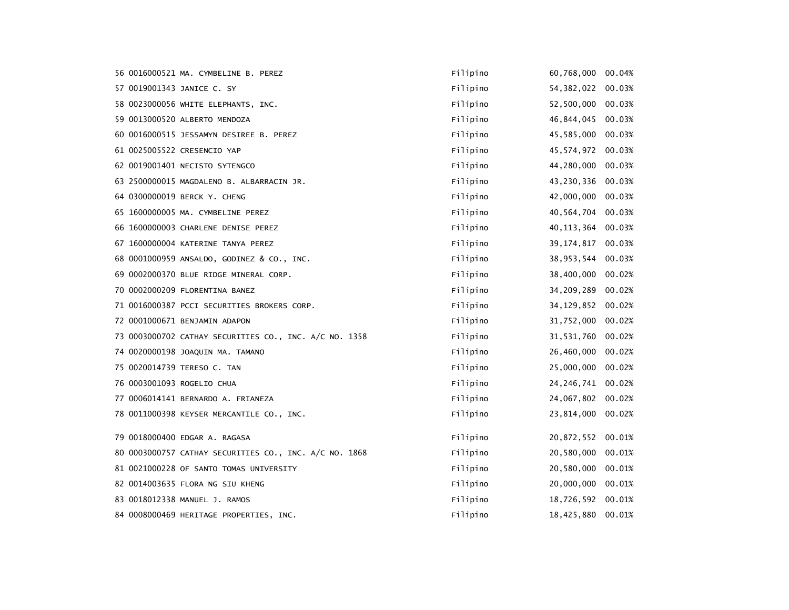|  | 56 0016000521 MA. CYMBELINE B. PEREZ                   | Filipino | 60,768,000          | 00.04% |
|--|--------------------------------------------------------|----------|---------------------|--------|
|  | 57 0019001343 JANICE C. SY                             | Filipino | 54, 382, 022        | 00.03% |
|  | 58 0023000056 WHITE ELEPHANTS, INC.                    | Filipino | 52,500,000          | 00.03% |
|  | 59 0013000520 ALBERTO MENDOZA                          | Filipino | 46,844,045          | 00.03% |
|  | 60 0016000515 JESSAMYN DESIREE B. PEREZ                | Filipino | 45,585,000          | 00.03% |
|  | 61 0025005522 CRESENCIO YAP                            | Filipino | 45,574,972          | 00.03% |
|  | 62 0019001401 NECISTO SYTENGCO                         | Filipino | 44,280,000          | 00.03% |
|  | 63 2500000015 MAGDALENO B. ALBARRACIN JR.              | Filipino | 43,230,336          | 00.03% |
|  | 64 0300000019 BERCK Y. CHENG                           | Filipino | 42,000,000          | 00.03% |
|  | 65 1600000005 MA. CYMBELINE PEREZ                      | Filipino | 40,564,704          | 00.03% |
|  | 66 1600000003 CHARLENE DENISE PEREZ                    | Filipino | 40, 113, 364        | 00.03% |
|  | 67 1600000004 KATERINE TANYA PEREZ                     | Filipino | 39, 174, 817 00.03% |        |
|  | 68 0001000959 ANSALDO, GODINEZ & CO., INC.             | Filipino | 38,953,544          | 00.03% |
|  | 69 0002000370 BLUE RIDGE MINERAL CORP.                 | Filipino | 38,400,000          | 00.02% |
|  | 70 0002000209 FLORENTINA BANEZ                         | Filipino | 34,209,289 00.02%   |        |
|  | 71 0016000387 PCCI SECURITIES BROKERS CORP.            | Filipino | 34, 129, 852        | 00.02% |
|  | 72 0001000671 BENJAMIN ADAPON                          | Filipino | 31,752,000          | 00.02% |
|  | 73 0003000702 CATHAY SECURITIES CO., INC. A/C NO. 1358 | Filipino | 31,531,760          | 00.02% |
|  | 74 0020000198 JOAQUIN MA. TAMANO                       | Filipino | 26,460,000          | 00.02% |
|  | 75 0020014739 TERESO C. TAN                            | Filipino | 25,000,000          | 00.02% |
|  | 76 0003001093 ROGELIO CHUA                             | Filipino | 24, 246, 741        | 00.02% |
|  | 77 0006014141 BERNARDO A. FRIANEZA                     | Filipino | 24,067,802          | 00.02% |
|  | 78 0011000398 KEYSER MERCANTILE CO., INC.              | Filipino | 23,814,000          | 00.02% |
|  |                                                        |          |                     |        |
|  | 79 0018000400 EDGAR A. RAGASA                          | Filipino | 20,872,552 00.01%   |        |
|  | 80 0003000757 CATHAY SECURITIES CO., INC. A/C NO. 1868 | Filipino | 20,580,000          | 00.01% |
|  | 81 0021000228 OF SANTO TOMAS UNIVERSITY                | Filipino | 20,580,000          | 00.01% |
|  | 82 0014003635 FLORA NG SIU KHENG                       | Filipino | 20,000,000          | 00.01% |
|  | 83 0018012338 MANUEL J. RAMOS                          | Filipino | 18,726,592 00.01%   |        |
|  | 84 0008000469 HERITAGE PROPERTIES, INC.                | Filipino | 18,425,880          | 00.01% |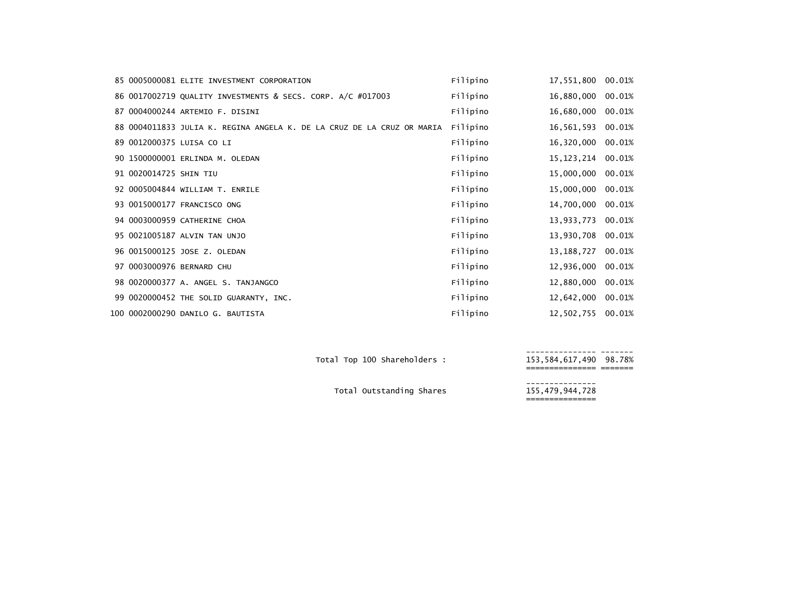|                        | 85 0005000081 ELITE INVESTMENT CORPORATION                             | Filipino | 17,551,800   | 00.01% |
|------------------------|------------------------------------------------------------------------|----------|--------------|--------|
|                        | 86 0017002719 QUALITY INVESTMENTS & SECS. CORP. A/C #017003            | Filipino | 16,880,000   | 00.01% |
|                        | 87 0004000244 ARTEMIO F. DISINI                                        | Filipino | 16,680,000   | 00.01% |
|                        | 88 0004011833 JULIA K. REGINA ANGELA K. DE LA CRUZ DE LA CRUZ OR MARIA | Filipino | 16,561,593   | 00.01% |
|                        | 89 0012000375 LUISA CO LI                                              | Filipino | 16,320,000   | 00.01% |
|                        | 90 1500000001 ERLINDA M. OLEDAN                                        | Filipino | 15,123,214   | 00.01% |
| 91 0020014725 SHIN TIU |                                                                        | Filipino | 15,000,000   | 00.01% |
|                        | 92 0005004844 WILLIAM T. ENRILE                                        | Filipino | 15,000,000   | 00.01% |
|                        | 93 0015000177 FRANCISCO ONG                                            | Filipino | 14,700,000   | 00.01% |
|                        | 94 0003000959 CATHERINE CHOA                                           | Filipino | 13,933,773   | 00.01% |
|                        | 95 0021005187 ALVIN TAN UNJO                                           | Filipino | 13,930,708   | 00.01% |
|                        | 96 0015000125 JOSE Z. OLEDAN                                           | Filipino | 13, 188, 727 | 00.01% |
|                        | 97 0003000976 BERNARD CHU                                              | Filipino | 12,936,000   | 00.01% |
|                        | 98 0020000377 A. ANGEL S. TANJANGCO                                    | Filipino | 12,880,000   | 00.01% |
|                        | 99 0020000452 THE SOLID GUARANTY, INC.                                 | Filipino | 12,642,000   | 00.01% |
|                        | 100 0002000290 DANILO G. BAUTISTA                                      | Filipino | 12,502,755   | 00.01% |

--------------- ------- Total Top <sup>100</sup> Shareholders : 153,584,617,490 98.78% =============== =======

--------------- Total Outstanding Shares 155,479,944,728 ===============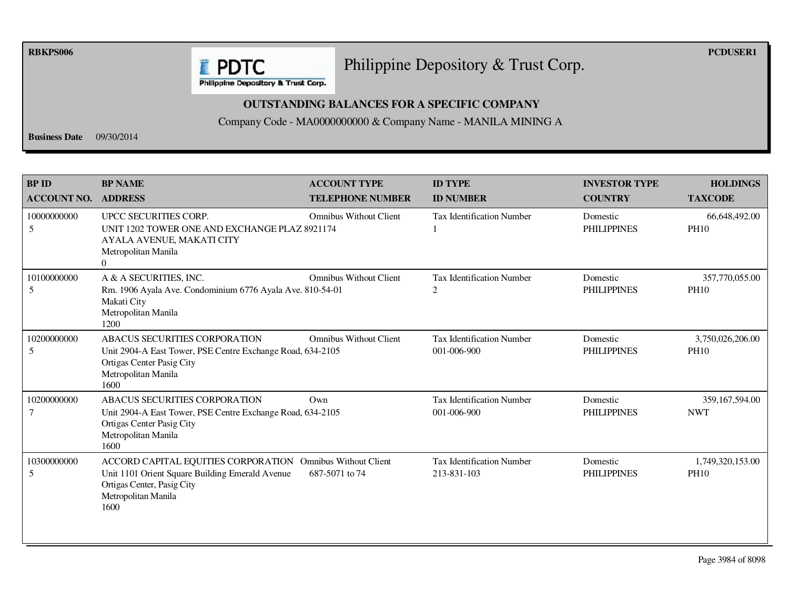**RBKPS006 PCDUSER1** 

## Philippine Depository & Trust Corp.

Philippine Depository & Trust Corp.

**E** PDTC

## **OUTSTANDING BALANCES FOR A SPECIFIC COMPANY**

Company Code - MA0000000000 & Company Name - MANILA MINING A

**Business Date** 09/30/2014

| <b>BP ID</b><br><b>ACCOUNT NO.</b> | <b>BP NAME</b><br><b>ADDRESS</b>                                                                                                                                           | <b>ACCOUNT TYPE</b><br><b>TELEPHONE NUMBER</b> | <b>ID TYPE</b><br><b>ID NUMBER</b>              | <b>INVESTOR TYPE</b><br><b>COUNTRY</b> | <b>HOLDINGS</b><br><b>TAXCODE</b> |
|------------------------------------|----------------------------------------------------------------------------------------------------------------------------------------------------------------------------|------------------------------------------------|-------------------------------------------------|----------------------------------------|-----------------------------------|
| 10000000000<br>5                   | UPCC SECURITIES CORP.<br>UNIT 1202 TOWER ONE AND EXCHANGE PLAZ 8921174<br>AYALA AVENUE, MAKATI CITY<br>Metropolitan Manila<br>$\Omega$                                     | <b>Omnibus Without Client</b>                  | <b>Tax Identification Number</b>                | Domestic<br><b>PHILIPPINES</b>         | 66,648,492.00<br><b>PH10</b>      |
| 10100000000<br>5                   | A & A SECURITIES, INC.<br>Rm. 1906 Ayala Ave. Condominium 6776 Ayala Ave. 810-54-01<br>Makati City<br>Metropolitan Manila<br>1200                                          | <b>Omnibus Without Client</b>                  | <b>Tax Identification Number</b><br>2           | Domestic<br><b>PHILIPPINES</b>         | 357,770,055.00<br><b>PH10</b>     |
| 10200000000<br>5                   | <b>ABACUS SECURITIES CORPORATION</b><br>Unit 2904-A East Tower, PSE Centre Exchange Road, 634-2105<br>Ortigas Center Pasig City<br>Metropolitan Manila<br>1600             | <b>Omnibus Without Client</b>                  | <b>Tax Identification Number</b><br>001-006-900 | Domestic<br><b>PHILIPPINES</b>         | 3,750,026,206.00<br><b>PH10</b>   |
| 10200000000<br>$\overline{7}$      | ABACUS SECURITIES CORPORATION<br>Unit 2904-A East Tower, PSE Centre Exchange Road, 634-2105<br>Ortigas Center Pasig City<br>Metropolitan Manila<br>1600                    | Own                                            | <b>Tax Identification Number</b><br>001-006-900 | Domestic<br><b>PHILIPPINES</b>         | 359,167,594.00<br><b>NWT</b>      |
| 10300000000<br>5                   | ACCORD CAPITAL EQUITIES CORPORATION Omnibus Without Client<br>Unit 1101 Orient Square Building Emerald Avenue<br>Ortigas Center, Pasig City<br>Metropolitan Manila<br>1600 | 687-5071 to 74                                 | <b>Tax Identification Number</b><br>213-831-103 | Domestic<br><b>PHILIPPINES</b>         | 1,749,320,153.00<br><b>PH10</b>   |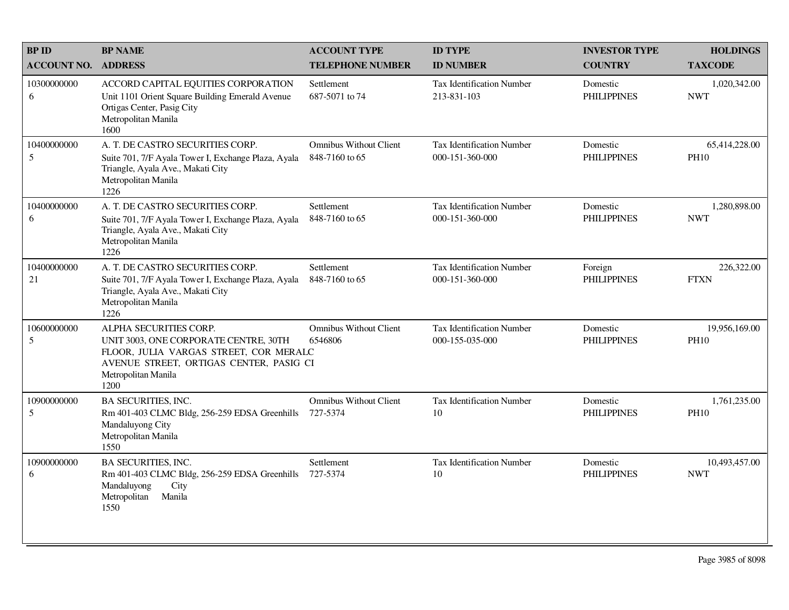| <b>BP ID</b>       | <b>BP NAME</b>                                                                                                                                                                      | <b>ACCOUNT TYPE</b>                             | <b>ID TYPE</b>                                      | <b>INVESTOR TYPE</b>           | <b>HOLDINGS</b>              |
|--------------------|-------------------------------------------------------------------------------------------------------------------------------------------------------------------------------------|-------------------------------------------------|-----------------------------------------------------|--------------------------------|------------------------------|
| <b>ACCOUNT NO.</b> | <b>ADDRESS</b>                                                                                                                                                                      | <b>TELEPHONE NUMBER</b>                         | <b>ID NUMBER</b>                                    | <b>COUNTRY</b>                 | <b>TAXCODE</b>               |
| 10300000000<br>6   | ACCORD CAPITAL EQUITIES CORPORATION<br>Unit 1101 Orient Square Building Emerald Avenue<br>Ortigas Center, Pasig City<br>Metropolitan Manila<br>1600                                 | Settlement<br>687-5071 to 74                    | Tax Identification Number<br>213-831-103            | Domestic<br><b>PHILIPPINES</b> | 1,020,342.00<br><b>NWT</b>   |
| 10400000000<br>5   | A. T. DE CASTRO SECURITIES CORP.<br>Suite 701, 7/F Ayala Tower I, Exchange Plaza, Ayala<br>Triangle, Ayala Ave., Makati City<br>Metropolitan Manila<br>1226                         | <b>Omnibus Without Client</b><br>848-7160 to 65 | Tax Identification Number<br>000-151-360-000        | Domestic<br><b>PHILIPPINES</b> | 65,414,228.00<br><b>PH10</b> |
| 10400000000<br>6   | A. T. DE CASTRO SECURITIES CORP.<br>Suite 701, 7/F Ayala Tower I, Exchange Plaza, Ayala<br>Triangle, Ayala Ave., Makati City<br>Metropolitan Manila<br>1226                         | Settlement<br>848-7160 to 65                    | <b>Tax Identification Number</b><br>000-151-360-000 | Domestic<br><b>PHILIPPINES</b> | 1,280,898.00<br><b>NWT</b>   |
| 10400000000<br>21  | A. T. DE CASTRO SECURITIES CORP.<br>Suite 701, 7/F Ayala Tower I, Exchange Plaza, Ayala<br>Triangle, Ayala Ave., Makati City<br>Metropolitan Manila<br>1226                         | Settlement<br>848-7160 to 65                    | <b>Tax Identification Number</b><br>000-151-360-000 | Foreign<br><b>PHILIPPINES</b>  | 226,322.00<br><b>FTXN</b>    |
| 10600000000<br>5   | ALPHA SECURITIES CORP.<br>UNIT 3003, ONE CORPORATE CENTRE, 30TH<br>FLOOR, JULIA VARGAS STREET, COR MERALC<br>AVENUE STREET, ORTIGAS CENTER, PASIG CI<br>Metropolitan Manila<br>1200 | <b>Omnibus Without Client</b><br>6546806        | Tax Identification Number<br>000-155-035-000        | Domestic<br><b>PHILIPPINES</b> | 19,956,169.00<br><b>PH10</b> |
| 10900000000<br>5   | <b>BA SECURITIES, INC.</b><br>Rm 401-403 CLMC Bldg, 256-259 EDSA Greenhills<br>Mandaluyong City<br>Metropolitan Manila<br>1550                                                      | <b>Omnibus Without Client</b><br>727-5374       | Tax Identification Number<br>10                     | Domestic<br><b>PHILIPPINES</b> | 1,761,235.00<br><b>PH10</b>  |
| 10900000000<br>6   | <b>BA SECURITIES, INC.</b><br>Rm 401-403 CLMC Bldg, 256-259 EDSA Greenhills<br>Mandaluyong<br>City<br>Metropolitan<br>Manila<br>1550                                                | Settlement<br>727-5374                          | Tax Identification Number<br>10                     | Domestic<br><b>PHILIPPINES</b> | 10,493,457.00<br><b>NWT</b>  |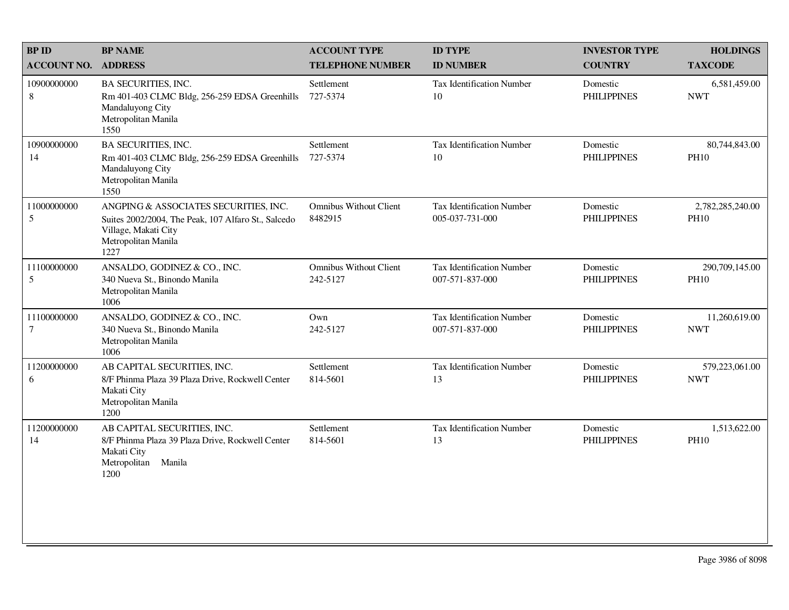| <b>BPID</b>                | <b>BP NAME</b>                                                                                                                                      | <b>ACCOUNT TYPE</b>                       | <b>ID TYPE</b>                                      | <b>INVESTOR TYPE</b>           | <b>HOLDINGS</b>                 |
|----------------------------|-----------------------------------------------------------------------------------------------------------------------------------------------------|-------------------------------------------|-----------------------------------------------------|--------------------------------|---------------------------------|
| <b>ACCOUNT NO. ADDRESS</b> |                                                                                                                                                     | <b>TELEPHONE NUMBER</b>                   | <b>ID NUMBER</b>                                    | <b>COUNTRY</b>                 | <b>TAXCODE</b>                  |
| 10900000000<br>8           | <b>BA SECURITIES, INC.</b><br>Rm 401-403 CLMC Bldg, 256-259 EDSA Greenhills<br>Mandaluyong City<br>Metropolitan Manila<br>1550                      | Settlement<br>727-5374                    | <b>Tax Identification Number</b><br>10              | Domestic<br><b>PHILIPPINES</b> | 6,581,459.00<br><b>NWT</b>      |
| 10900000000<br>14          | <b>BA SECURITIES, INC.</b><br>Rm 401-403 CLMC Bldg, 256-259 EDSA Greenhills<br>Mandaluyong City<br>Metropolitan Manila<br>1550                      | Settlement<br>727-5374                    | Tax Identification Number<br>10                     | Domestic<br><b>PHILIPPINES</b> | 80,744,843.00<br><b>PH10</b>    |
| 11000000000<br>5           | ANGPING & ASSOCIATES SECURITIES, INC.<br>Suites 2002/2004, The Peak, 107 Alfaro St., Salcedo<br>Village, Makati City<br>Metropolitan Manila<br>1227 | <b>Omnibus Without Client</b><br>8482915  | <b>Tax Identification Number</b><br>005-037-731-000 | Domestic<br><b>PHILIPPINES</b> | 2,782,285,240.00<br><b>PH10</b> |
| 11100000000<br>5           | ANSALDO, GODINEZ & CO., INC.<br>340 Nueva St., Binondo Manila<br>Metropolitan Manila<br>1006                                                        | <b>Omnibus Without Client</b><br>242-5127 | <b>Tax Identification Number</b><br>007-571-837-000 | Domestic<br><b>PHILIPPINES</b> | 290,709,145.00<br><b>PH10</b>   |
| 11100000000<br>7           | ANSALDO, GODINEZ & CO., INC.<br>340 Nueva St., Binondo Manila<br>Metropolitan Manila<br>1006                                                        | Own<br>242-5127                           | Tax Identification Number<br>007-571-837-000        | Domestic<br><b>PHILIPPINES</b> | 11,260,619.00<br><b>NWT</b>     |
| 11200000000<br>6           | AB CAPITAL SECURITIES, INC.<br>8/F Phinma Plaza 39 Plaza Drive, Rockwell Center<br>Makati City<br>Metropolitan Manila<br>1200                       | Settlement<br>814-5601                    | <b>Tax Identification Number</b><br>13              | Domestic<br><b>PHILIPPINES</b> | 579,223,061.00<br><b>NWT</b>    |
| 11200000000<br>14          | AB CAPITAL SECURITIES, INC.<br>8/F Phinma Plaza 39 Plaza Drive, Rockwell Center<br>Makati City<br>Metropolitan<br>Manila<br>1200                    | Settlement<br>814-5601                    | <b>Tax Identification Number</b><br>13              | Domestic<br><b>PHILIPPINES</b> | 1,513,622.00<br><b>PH10</b>     |
|                            |                                                                                                                                                     |                                           |                                                     |                                |                                 |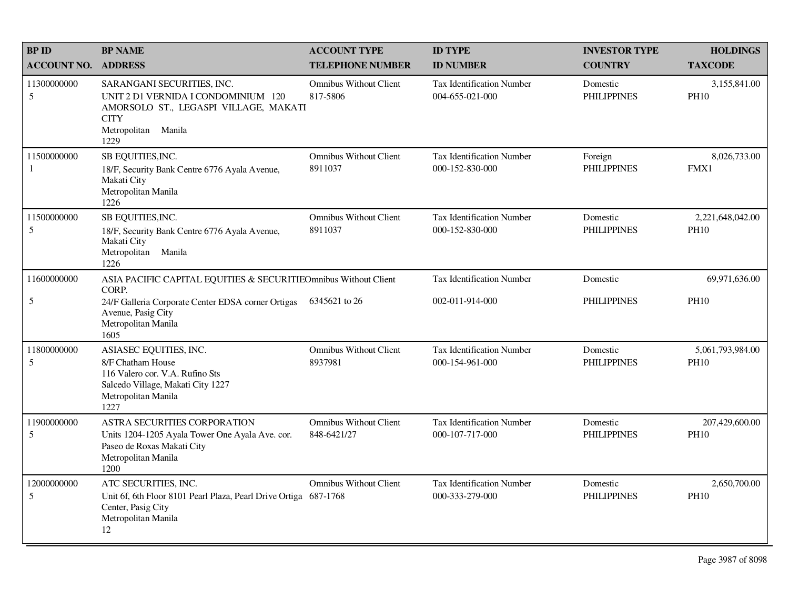| <b>BP ID</b>       | <b>BP NAME</b>                                                                                                                                           | <b>ACCOUNT TYPE</b>                          | <b>ID TYPE</b>                                      | <b>INVESTOR TYPE</b>           | <b>HOLDINGS</b>                 |
|--------------------|----------------------------------------------------------------------------------------------------------------------------------------------------------|----------------------------------------------|-----------------------------------------------------|--------------------------------|---------------------------------|
| <b>ACCOUNT NO.</b> | <b>ADDRESS</b>                                                                                                                                           | <b>TELEPHONE NUMBER</b>                      | <b>ID NUMBER</b>                                    | <b>COUNTRY</b>                 | <b>TAXCODE</b>                  |
| 11300000000<br>5   | SARANGANI SECURITIES, INC.<br>UNIT 2 D1 VERNIDA I CONDOMINIUM 120<br>AMORSOLO ST., LEGASPI VILLAGE, MAKATI<br><b>CITY</b><br>Metropolitan Manila<br>1229 | <b>Omnibus Without Client</b><br>817-5806    | <b>Tax Identification Number</b><br>004-655-021-000 | Domestic<br><b>PHILIPPINES</b> | 3,155,841.00<br><b>PH10</b>     |
| 11500000000<br>1   | SB EQUITIES, INC.<br>18/F, Security Bank Centre 6776 Ayala Avenue,<br>Makati City<br>Metropolitan Manila<br>1226                                         | <b>Omnibus Without Client</b><br>8911037     | Tax Identification Number<br>000-152-830-000        | Foreign<br><b>PHILIPPINES</b>  | 8,026,733.00<br>FMX1            |
| 11500000000<br>5   | SB EQUITIES, INC.<br>18/F, Security Bank Centre 6776 Ayala Avenue,<br>Makati City<br>Metropolitan Manila<br>1226                                         | <b>Omnibus Without Client</b><br>8911037     | <b>Tax Identification Number</b><br>000-152-830-000 | Domestic<br><b>PHILIPPINES</b> | 2,221,648,042.00<br><b>PH10</b> |
| 11600000000        | ASIA PACIFIC CAPITAL EQUITIES & SECURITIEOmnibus Without Client<br>CORP.                                                                                 |                                              | <b>Tax Identification Number</b>                    | Domestic                       | 69,971,636.00                   |
| 5                  | 24/F Galleria Corporate Center EDSA corner Ortigas<br>Avenue, Pasig City<br>Metropolitan Manila<br>1605                                                  | 6345621 to 26                                | 002-011-914-000                                     | <b>PHILIPPINES</b>             | <b>PH10</b>                     |
| 11800000000<br>5   | ASIASEC EQUITIES, INC.<br>8/F Chatham House<br>116 Valero cor. V.A. Rufino Sts<br>Salcedo Village, Makati City 1227<br>Metropolitan Manila<br>1227       | <b>Omnibus Without Client</b><br>8937981     | <b>Tax Identification Number</b><br>000-154-961-000 | Domestic<br><b>PHILIPPINES</b> | 5,061,793,984.00<br><b>PH10</b> |
| 11900000000<br>5   | ASTRA SECURITIES CORPORATION<br>Units 1204-1205 Ayala Tower One Ayala Ave. cor.<br>Paseo de Roxas Makati City<br>Metropolitan Manila<br>1200             | <b>Omnibus Without Client</b><br>848-6421/27 | <b>Tax Identification Number</b><br>000-107-717-000 | Domestic<br><b>PHILIPPINES</b> | 207,429,600.00<br><b>PH10</b>   |
| 12000000000<br>5   | ATC SECURITIES, INC.<br>Unit 6f, 6th Floor 8101 Pearl Plaza, Pearl Drive Ortiga 687-1768<br>Center, Pasig City<br>Metropolitan Manila<br>12              | <b>Omnibus Without Client</b>                | <b>Tax Identification Number</b><br>000-333-279-000 | Domestic<br><b>PHILIPPINES</b> | 2,650,700.00<br><b>PH10</b>     |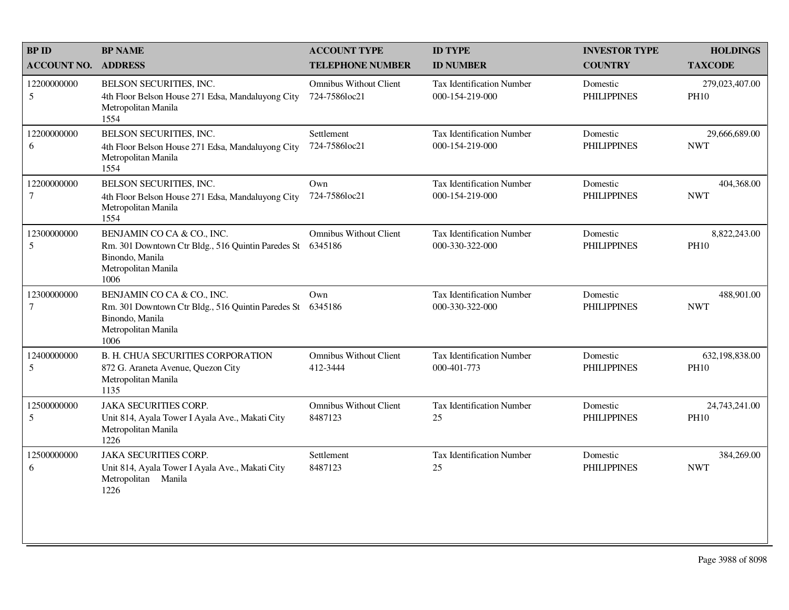| <b>BPID</b>                    | <b>BP NAME</b>                                                                                                                     | <b>ACCOUNT TYPE</b>                            | <b>ID TYPE</b>                                      | <b>INVESTOR TYPE</b>           | <b>HOLDINGS</b>               |
|--------------------------------|------------------------------------------------------------------------------------------------------------------------------------|------------------------------------------------|-----------------------------------------------------|--------------------------------|-------------------------------|
| <b>ACCOUNT NO.</b>             | <b>ADDRESS</b>                                                                                                                     | <b>TELEPHONE NUMBER</b>                        | <b>ID NUMBER</b>                                    | <b>COUNTRY</b>                 | <b>TAXCODE</b>                |
| 12200000000<br>$5\overline{)}$ | BELSON SECURITIES, INC.<br>4th Floor Belson House 271 Edsa, Mandaluyong City<br>Metropolitan Manila<br>1554                        | <b>Omnibus Without Client</b><br>724-7586loc21 | <b>Tax Identification Number</b><br>000-154-219-000 | Domestic<br><b>PHILIPPINES</b> | 279,023,407.00<br><b>PH10</b> |
| 12200000000<br>6               | BELSON SECURITIES, INC.<br>4th Floor Belson House 271 Edsa, Mandaluyong City<br>Metropolitan Manila<br>1554                        | Settlement<br>724-7586loc21                    | Tax Identification Number<br>000-154-219-000        | Domestic<br><b>PHILIPPINES</b> | 29,666,689.00<br><b>NWT</b>   |
| 12200000000<br>7               | BELSON SECURITIES, INC.<br>4th Floor Belson House 271 Edsa, Mandaluyong City<br>Metropolitan Manila<br>1554                        | Own<br>724-7586loc21                           | <b>Tax Identification Number</b><br>000-154-219-000 | Domestic<br><b>PHILIPPINES</b> | 404,368.00<br><b>NWT</b>      |
| 12300000000<br>5               | BENJAMIN CO CA & CO., INC.<br>Rm. 301 Downtown Ctr Bldg., 516 Quintin Paredes St<br>Binondo, Manila<br>Metropolitan Manila<br>1006 | <b>Omnibus Without Client</b><br>6345186       | <b>Tax Identification Number</b><br>000-330-322-000 | Domestic<br><b>PHILIPPINES</b> | 8,822,243.00<br><b>PH10</b>   |
| 12300000000<br>$\overline{7}$  | BENJAMIN CO CA & CO., INC.<br>Rm. 301 Downtown Ctr Bldg., 516 Quintin Paredes St<br>Binondo, Manila<br>Metropolitan Manila<br>1006 | Own<br>6345186                                 | <b>Tax Identification Number</b><br>000-330-322-000 | Domestic<br><b>PHILIPPINES</b> | 488,901.00<br><b>NWT</b>      |
| 12400000000<br>5               | <b>B. H. CHUA SECURITIES CORPORATION</b><br>872 G. Araneta Avenue, Quezon City<br>Metropolitan Manila<br>1135                      | <b>Omnibus Without Client</b><br>412-3444      | <b>Tax Identification Number</b><br>000-401-773     | Domestic<br><b>PHILIPPINES</b> | 632,198,838.00<br><b>PH10</b> |
| 12500000000<br>$\sqrt{5}$      | <b>JAKA SECURITIES CORP.</b><br>Unit 814, Ayala Tower I Ayala Ave., Makati City<br>Metropolitan Manila<br>1226                     | <b>Omnibus Without Client</b><br>8487123       | Tax Identification Number<br>25                     | Domestic<br><b>PHILIPPINES</b> | 24,743,241.00<br><b>PH10</b>  |
| 12500000000<br>6               | <b>JAKA SECURITIES CORP.</b><br>Unit 814, Ayala Tower I Ayala Ave., Makati City<br>Metropolitan Manila<br>1226                     | Settlement<br>8487123                          | <b>Tax Identification Number</b><br>25              | Domestic<br><b>PHILIPPINES</b> | 384,269.00<br><b>NWT</b>      |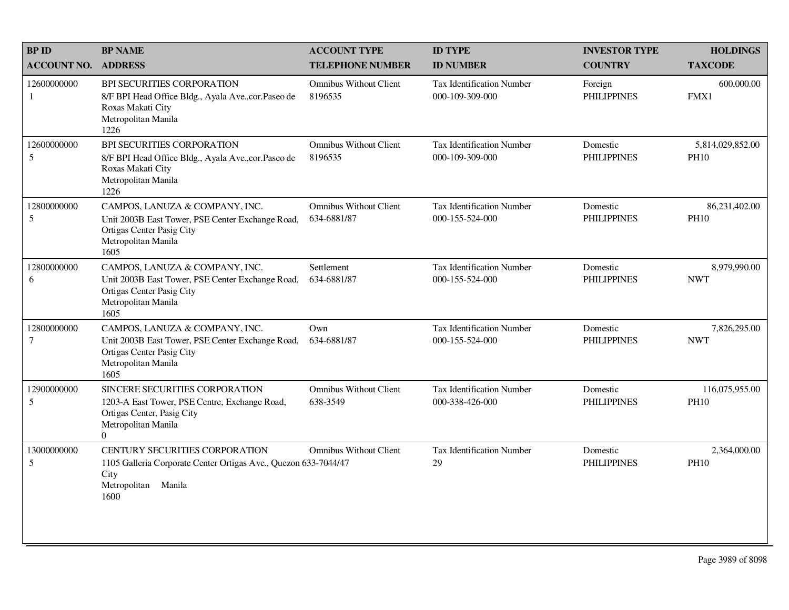| <b>BPID</b>        | <b>BP NAME</b>                                                                                                                                   | <b>ACCOUNT TYPE</b>                          | <b>ID TYPE</b>                                      | <b>INVESTOR TYPE</b>           | <b>HOLDINGS</b>                 |
|--------------------|--------------------------------------------------------------------------------------------------------------------------------------------------|----------------------------------------------|-----------------------------------------------------|--------------------------------|---------------------------------|
| <b>ACCOUNT NO.</b> | <b>ADDRESS</b>                                                                                                                                   | <b>TELEPHONE NUMBER</b>                      | <b>ID NUMBER</b>                                    | <b>COUNTRY</b>                 | <b>TAXCODE</b>                  |
| 12600000000<br>1   | <b>BPI SECURITIES CORPORATION</b><br>8/F BPI Head Office Bldg., Ayala Ave., cor. Paseo de<br>Roxas Makati City<br>Metropolitan Manila<br>1226    | <b>Omnibus Without Client</b><br>8196535     | <b>Tax Identification Number</b><br>000-109-309-000 | Foreign<br><b>PHILIPPINES</b>  | 600,000.00<br>FMX1              |
| 12600000000<br>5   | BPI SECURITIES CORPORATION<br>8/F BPI Head Office Bldg., Ayala Ave., cor. Paseo de<br>Roxas Makati City<br>Metropolitan Manila<br>1226           | Omnibus Without Client<br>8196535            | <b>Tax Identification Number</b><br>000-109-309-000 | Domestic<br><b>PHILIPPINES</b> | 5,814,029,852.00<br><b>PH10</b> |
| 12800000000<br>5   | CAMPOS, LANUZA & COMPANY, INC.<br>Unit 2003B East Tower, PSE Center Exchange Road,<br>Ortigas Center Pasig City<br>Metropolitan Manila<br>1605   | <b>Omnibus Without Client</b><br>634-6881/87 | <b>Tax Identification Number</b><br>000-155-524-000 | Domestic<br><b>PHILIPPINES</b> | 86,231,402.00<br><b>PH10</b>    |
| 12800000000<br>6   | CAMPOS, LANUZA & COMPANY, INC.<br>Unit 2003B East Tower, PSE Center Exchange Road,<br>Ortigas Center Pasig City<br>Metropolitan Manila<br>1605   | Settlement<br>634-6881/87                    | <b>Tax Identification Number</b><br>000-155-524-000 | Domestic<br><b>PHILIPPINES</b> | 8,979,990.00<br><b>NWT</b>      |
| 12800000000<br>7   | CAMPOS, LANUZA & COMPANY, INC.<br>Unit 2003B East Tower, PSE Center Exchange Road,<br>Ortigas Center Pasig City<br>Metropolitan Manila<br>1605   | Own<br>634-6881/87                           | <b>Tax Identification Number</b><br>000-155-524-000 | Domestic<br><b>PHILIPPINES</b> | 7,826,295.00<br><b>NWT</b>      |
| 12900000000<br>5   | SINCERE SECURITIES CORPORATION<br>1203-A East Tower, PSE Centre, Exchange Road,<br>Ortigas Center, Pasig City<br>Metropolitan Manila<br>$\Omega$ | <b>Omnibus Without Client</b><br>638-3549    | <b>Tax Identification Number</b><br>000-338-426-000 | Domestic<br><b>PHILIPPINES</b> | 116,075,955.00<br><b>PH10</b>   |
| 13000000000<br>5   | CENTURY SECURITIES CORPORATION<br>1105 Galleria Corporate Center Ortigas Ave., Quezon 633-7044/47<br>City<br>Metropolitan<br>Manila<br>1600      | <b>Omnibus Without Client</b>                | <b>Tax Identification Number</b><br>29              | Domestic<br><b>PHILIPPINES</b> | 2,364,000.00<br><b>PH10</b>     |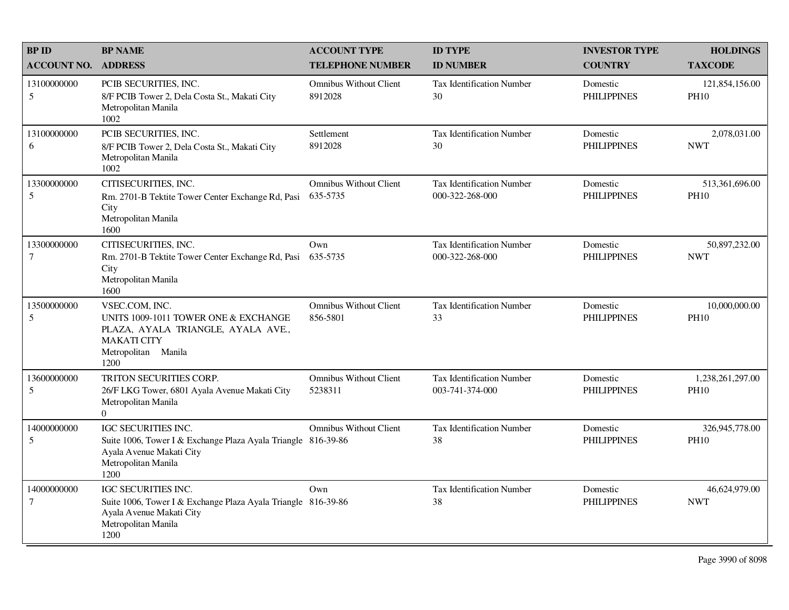| <b>BP ID</b>                    | <b>BP NAME</b>                                                                                                                                         | <b>ACCOUNT TYPE</b>                       | <b>ID TYPE</b>                                      | <b>INVESTOR TYPE</b>           | <b>HOLDINGS</b>                 |
|---------------------------------|--------------------------------------------------------------------------------------------------------------------------------------------------------|-------------------------------------------|-----------------------------------------------------|--------------------------------|---------------------------------|
| <b>ACCOUNT NO.</b>              | <b>ADDRESS</b>                                                                                                                                         | <b>TELEPHONE NUMBER</b>                   | <b>ID NUMBER</b>                                    | <b>COUNTRY</b>                 | <b>TAXCODE</b>                  |
| 13100000000<br>5                | PCIB SECURITIES, INC.<br>8/F PCIB Tower 2, Dela Costa St., Makati City<br>Metropolitan Manila<br>1002                                                  | <b>Omnibus Without Client</b><br>8912028  | <b>Tax Identification Number</b><br>30              | Domestic<br><b>PHILIPPINES</b> | 121,854,156.00<br><b>PH10</b>   |
| 13100000000<br>6                | PCIB SECURITIES, INC.<br>8/F PCIB Tower 2, Dela Costa St., Makati City<br>Metropolitan Manila<br>1002                                                  | Settlement<br>8912028                     | Tax Identification Number<br>30                     | Domestic<br><b>PHILIPPINES</b> | 2,078,031.00<br><b>NWT</b>      |
| 13300000000<br>5                | CITISECURITIES, INC.<br>Rm. 2701-B Tektite Tower Center Exchange Rd, Pasi<br>City<br>Metropolitan Manila<br>1600                                       | <b>Omnibus Without Client</b><br>635-5735 | <b>Tax Identification Number</b><br>000-322-268-000 | Domestic<br><b>PHILIPPINES</b> | 513,361,696.00<br>PH10          |
| 13300000000<br>$\boldsymbol{7}$ | CITISECURITIES, INC.<br>Rm. 2701-B Tektite Tower Center Exchange Rd, Pasi<br>City<br>Metropolitan Manila<br>1600                                       | Own<br>635-5735                           | <b>Tax Identification Number</b><br>000-322-268-000 | Domestic<br><b>PHILIPPINES</b> | 50,897,232.00<br><b>NWT</b>     |
| 13500000000<br>5                | VSEC.COM, INC.<br>UNITS 1009-1011 TOWER ONE & EXCHANGE<br>PLAZA, AYALA TRIANGLE, AYALA AVE.,<br><b>MAKATI CITY</b><br>Metropolitan Manila<br>1200      | <b>Omnibus Without Client</b><br>856-5801 | Tax Identification Number<br>33                     | Domestic<br><b>PHILIPPINES</b> | 10,000,000.00<br><b>PH10</b>    |
| 13600000000<br>5                | TRITON SECURITIES CORP.<br>26/F LKG Tower, 6801 Ayala Avenue Makati City<br>Metropolitan Manila<br>$\overline{0}$                                      | <b>Omnibus Without Client</b><br>5238311  | <b>Tax Identification Number</b><br>003-741-374-000 | Domestic<br><b>PHILIPPINES</b> | 1,238,261,297.00<br><b>PH10</b> |
| 14000000000<br>5                | <b>IGC SECURITIES INC.</b><br>Suite 1006, Tower I & Exchange Plaza Ayala Triangle 816-39-86<br>Ayala Avenue Makati City<br>Metropolitan Manila<br>1200 | <b>Omnibus Without Client</b>             | <b>Tax Identification Number</b><br>38              | Domestic<br><b>PHILIPPINES</b> | 326,945,778.00<br><b>PH10</b>   |
| 14000000000<br>$\tau$           | <b>IGC SECURITIES INC.</b><br>Suite 1006, Tower I & Exchange Plaza Ayala Triangle 816-39-86<br>Ayala Avenue Makati City<br>Metropolitan Manila<br>1200 | Own                                       | <b>Tax Identification Number</b><br>38              | Domestic<br><b>PHILIPPINES</b> | 46,624,979.00<br><b>NWT</b>     |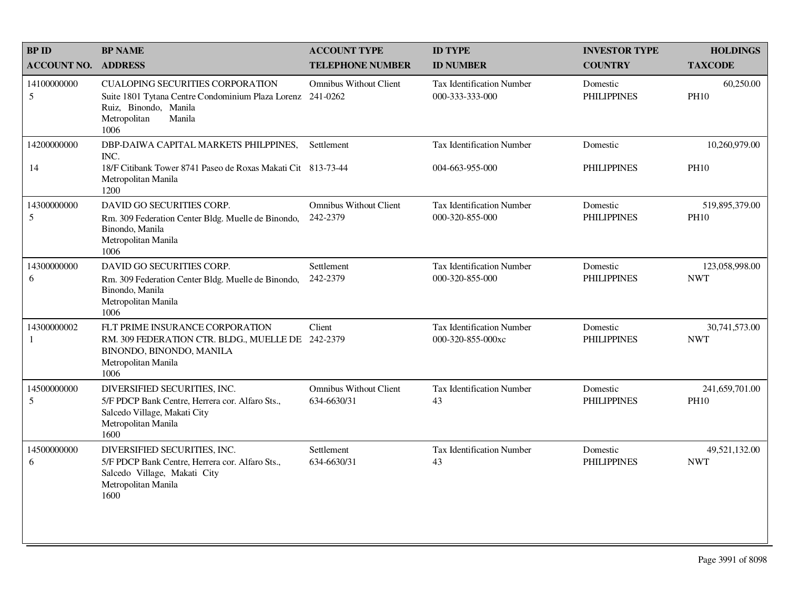| <b>BP ID</b>       | <b>BP NAME</b>                                                                                                                                                   | <b>ACCOUNT TYPE</b>                          | <b>ID TYPE</b>                                        | <b>INVESTOR TYPE</b>           | <b>HOLDINGS</b>               |
|--------------------|------------------------------------------------------------------------------------------------------------------------------------------------------------------|----------------------------------------------|-------------------------------------------------------|--------------------------------|-------------------------------|
| <b>ACCOUNT NO.</b> | <b>ADDRESS</b>                                                                                                                                                   | <b>TELEPHONE NUMBER</b>                      | <b>ID NUMBER</b>                                      | <b>COUNTRY</b>                 | <b>TAXCODE</b>                |
| 14100000000<br>5   | <b>CUALOPING SECURITIES CORPORATION</b><br>Suite 1801 Tytana Centre Condominium Plaza Lorenz 241-0262<br>Ruiz, Binondo, Manila<br>Metropolitan<br>Manila<br>1006 | <b>Omnibus Without Client</b>                | <b>Tax Identification Number</b><br>000-333-333-000   | Domestic<br><b>PHILIPPINES</b> | 60,250.00<br><b>PH10</b>      |
| 14200000000        | DBP-DAIWA CAPITAL MARKETS PHILPPINES,<br>INC.                                                                                                                    | Settlement                                   | Tax Identification Number                             | Domestic                       | 10,260,979.00                 |
| 14                 | 18/F Citibank Tower 8741 Paseo de Roxas Makati Cit 813-73-44<br>Metropolitan Manila<br>1200                                                                      |                                              | 004-663-955-000                                       | <b>PHILIPPINES</b>             | <b>PH10</b>                   |
| 14300000000<br>5   | DAVID GO SECURITIES CORP.<br>Rm. 309 Federation Center Bldg. Muelle de Binondo,<br>Binondo, Manila<br>Metropolitan Manila<br>1006                                | <b>Omnibus Without Client</b><br>242-2379    | <b>Tax Identification Number</b><br>000-320-855-000   | Domestic<br><b>PHILIPPINES</b> | 519,895,379.00<br><b>PH10</b> |
| 14300000000<br>6   | DAVID GO SECURITIES CORP.<br>Rm. 309 Federation Center Bldg. Muelle de Binondo,<br>Binondo, Manila<br>Metropolitan Manila<br>1006                                | Settlement<br>242-2379                       | <b>Tax Identification Number</b><br>000-320-855-000   | Domestic<br><b>PHILIPPINES</b> | 123,058,998.00<br><b>NWT</b>  |
| 14300000002<br>1   | FLT PRIME INSURANCE CORPORATION<br>RM. 309 FEDERATION CTR. BLDG., MUELLE DE 242-2379<br>BINONDO, BINONDO, MANILA<br>Metropolitan Manila<br>1006                  | Client                                       | <b>Tax Identification Number</b><br>000-320-855-000xc | Domestic<br><b>PHILIPPINES</b> | 30,741,573.00<br><b>NWT</b>   |
| 14500000000<br>5   | DIVERSIFIED SECURITIES, INC.<br>5/F PDCP Bank Centre, Herrera cor. Alfaro Sts.,<br>Salcedo Village, Makati City<br>Metropolitan Manila<br>1600                   | <b>Omnibus Without Client</b><br>634-6630/31 | Tax Identification Number<br>43                       | Domestic<br><b>PHILIPPINES</b> | 241,659,701.00<br><b>PH10</b> |
| 14500000000<br>6   | DIVERSIFIED SECURITIES, INC.<br>5/F PDCP Bank Centre, Herrera cor. Alfaro Sts.,<br>Salcedo Village, Makati City<br>Metropolitan Manila<br>1600                   | Settlement<br>634-6630/31                    | Tax Identification Number<br>43                       | Domestic<br><b>PHILIPPINES</b> | 49,521,132.00<br><b>NWT</b>   |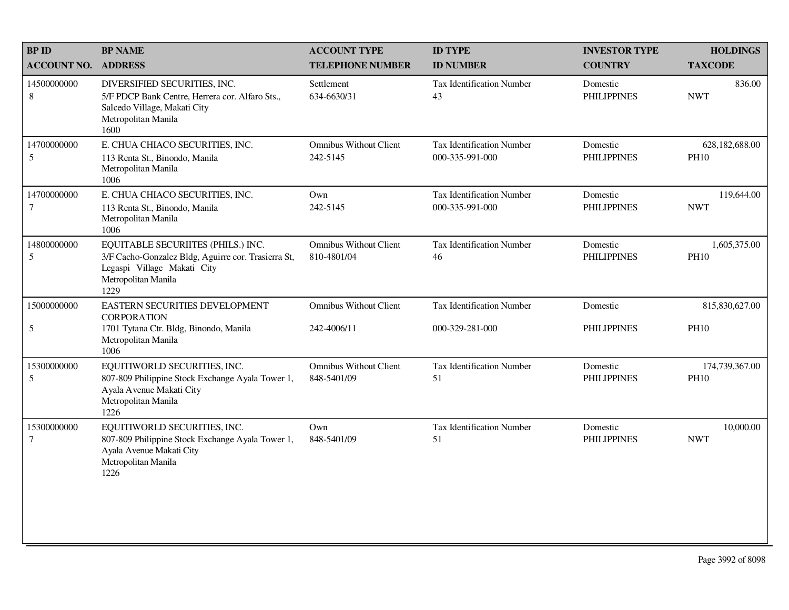| <b>BP ID</b>              | <b>BP NAME</b>                                                                                                                                          | <b>ACCOUNT TYPE</b>                          | <b>ID TYPE</b>                                      | <b>INVESTOR TYPE</b>           | <b>HOLDINGS</b>               |
|---------------------------|---------------------------------------------------------------------------------------------------------------------------------------------------------|----------------------------------------------|-----------------------------------------------------|--------------------------------|-------------------------------|
| <b>ACCOUNT NO.</b>        | <b>ADDRESS</b>                                                                                                                                          | <b>TELEPHONE NUMBER</b>                      | <b>ID NUMBER</b>                                    | <b>COUNTRY</b>                 | <b>TAXCODE</b>                |
| 14500000000<br>$\,8\,$    | DIVERSIFIED SECURITIES, INC.<br>5/F PDCP Bank Centre, Herrera cor. Alfaro Sts.,<br>Salcedo Village, Makati City<br>Metropolitan Manila<br>1600          | Settlement<br>634-6630/31                    | Tax Identification Number<br>43                     | Domestic<br><b>PHILIPPINES</b> | 836.00<br><b>NWT</b>          |
| 14700000000<br>5          | E. CHUA CHIACO SECURITIES, INC.<br>113 Renta St., Binondo, Manila<br>Metropolitan Manila<br>1006                                                        | <b>Omnibus Without Client</b><br>242-5145    | <b>Tax Identification Number</b><br>000-335-991-000 | Domestic<br><b>PHILIPPINES</b> | 628,182,688.00<br><b>PH10</b> |
| 14700000000<br>7          | E. CHUA CHIACO SECURITIES, INC.<br>113 Renta St., Binondo, Manila<br>Metropolitan Manila<br>1006                                                        | Own<br>242-5145                              | Tax Identification Number<br>000-335-991-000        | Domestic<br><b>PHILIPPINES</b> | 119,644.00<br><b>NWT</b>      |
| 14800000000<br>5          | EQUITABLE SECURIITES (PHILS.) INC.<br>3/F Cacho-Gonzalez Bldg, Aguirre cor. Trasierra St,<br>Legaspi Village Makati City<br>Metropolitan Manila<br>1229 | <b>Omnibus Without Client</b><br>810-4801/04 | <b>Tax Identification Number</b><br>46              | Domestic<br><b>PHILIPPINES</b> | 1,605,375.00<br><b>PH10</b>   |
| 15000000000<br>$\sqrt{5}$ | EASTERN SECURITIES DEVELOPMENT<br><b>CORPORATION</b><br>1701 Tytana Ctr. Bldg, Binondo, Manila<br>Metropolitan Manila<br>1006                           | <b>Omnibus Without Client</b><br>242-4006/11 | <b>Tax Identification Number</b><br>000-329-281-000 | Domestic<br><b>PHILIPPINES</b> | 815,830,627.00<br><b>PH10</b> |
| 15300000000<br>5          | EQUITIWORLD SECURITIES, INC.<br>807-809 Philippine Stock Exchange Ayala Tower 1,<br>Ayala Avenue Makati City<br>Metropolitan Manila<br>1226             | <b>Omnibus Without Client</b><br>848-5401/09 | <b>Tax Identification Number</b><br>51              | Domestic<br><b>PHILIPPINES</b> | 174,739,367.00<br><b>PH10</b> |
| 15300000000<br>7          | EQUITIWORLD SECURITIES, INC.<br>807-809 Philippine Stock Exchange Ayala Tower 1,<br>Ayala Avenue Makati City<br>Metropolitan Manila<br>1226             | Own<br>848-5401/09                           | <b>Tax Identification Number</b><br>51              | Domestic<br><b>PHILIPPINES</b> | 10,000.00<br><b>NWT</b>       |
|                           |                                                                                                                                                         |                                              |                                                     |                                |                               |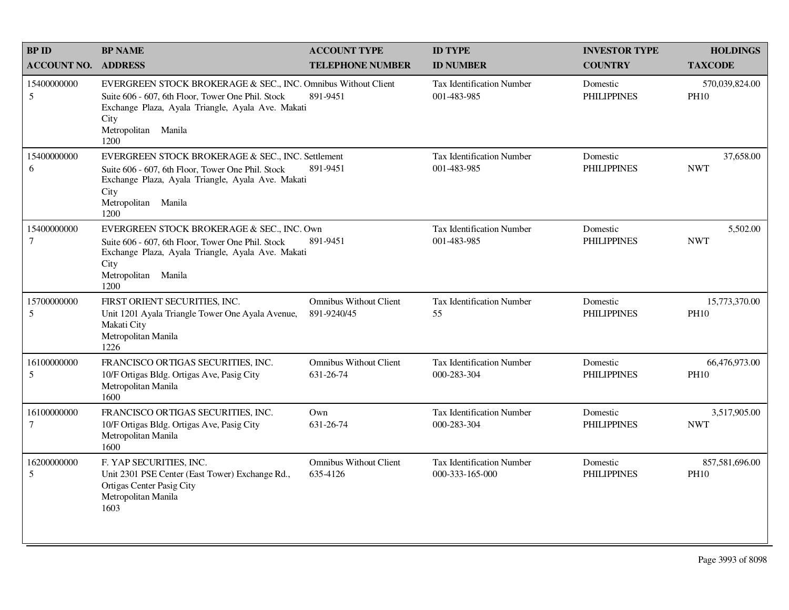| <b>BPID</b>           | <b>BP NAME</b>                                                                                                                                                                                                 | <b>ACCOUNT TYPE</b>                          | <b>ID TYPE</b>                                      | <b>INVESTOR TYPE</b>           | <b>HOLDINGS</b>               |
|-----------------------|----------------------------------------------------------------------------------------------------------------------------------------------------------------------------------------------------------------|----------------------------------------------|-----------------------------------------------------|--------------------------------|-------------------------------|
| <b>ACCOUNT NO.</b>    | <b>ADDRESS</b>                                                                                                                                                                                                 | <b>TELEPHONE NUMBER</b>                      | <b>ID NUMBER</b>                                    | <b>COUNTRY</b>                 | <b>TAXCODE</b>                |
| 15400000000<br>5      | EVERGREEN STOCK BROKERAGE & SEC., INC. Omnibus Without Client<br>Suite 606 - 607, 6th Floor, Tower One Phil. Stock<br>Exchange Plaza, Ayala Triangle, Ayala Ave. Makati<br>City<br>Metropolitan Manila<br>1200 | 891-9451                                     | <b>Tax Identification Number</b><br>001-483-985     | Domestic<br><b>PHILIPPINES</b> | 570,039,824.00<br><b>PH10</b> |
| 15400000000<br>6      | EVERGREEN STOCK BROKERAGE & SEC., INC. Settlement<br>Suite 606 - 607, 6th Floor, Tower One Phil. Stock<br>Exchange Plaza, Ayala Triangle, Ayala Ave. Makati<br>City<br>Metropolitan Manila<br>1200             | 891-9451                                     | <b>Tax Identification Number</b><br>001-483-985     | Domestic<br><b>PHILIPPINES</b> | 37,658.00<br><b>NWT</b>       |
| 15400000000<br>$\tau$ | EVERGREEN STOCK BROKERAGE & SEC., INC. Own<br>Suite 606 - 607, 6th Floor, Tower One Phil. Stock<br>Exchange Plaza, Ayala Triangle, Ayala Ave. Makati<br>City<br>Metropolitan Manila<br>1200                    | 891-9451                                     | <b>Tax Identification Number</b><br>001-483-985     | Domestic<br><b>PHILIPPINES</b> | 5,502.00<br><b>NWT</b>        |
| 15700000000<br>5      | FIRST ORIENT SECURITIES, INC.<br>Unit 1201 Ayala Triangle Tower One Ayala Avenue,<br>Makati City<br>Metropolitan Manila<br>1226                                                                                | <b>Omnibus Without Client</b><br>891-9240/45 | Tax Identification Number<br>55                     | Domestic<br><b>PHILIPPINES</b> | 15,773,370.00<br><b>PH10</b>  |
| 16100000000<br>5      | FRANCISCO ORTIGAS SECURITIES, INC.<br>10/F Ortigas Bldg. Ortigas Ave, Pasig City<br>Metropolitan Manila<br>1600                                                                                                | <b>Omnibus Without Client</b><br>631-26-74   | <b>Tax Identification Number</b><br>000-283-304     | Domestic<br><b>PHILIPPINES</b> | 66,476,973.00<br><b>PH10</b>  |
| 16100000000<br>$\tau$ | FRANCISCO ORTIGAS SECURITIES, INC.<br>10/F Ortigas Bldg. Ortigas Ave, Pasig City<br>Metropolitan Manila<br>1600                                                                                                | Own<br>631-26-74                             | <b>Tax Identification Number</b><br>000-283-304     | Domestic<br><b>PHILIPPINES</b> | 3,517,905.00<br><b>NWT</b>    |
| 16200000000<br>5      | F. YAP SECURITIES, INC.<br>Unit 2301 PSE Center (East Tower) Exchange Rd.,<br>Ortigas Center Pasig City<br>Metropolitan Manila<br>1603                                                                         | <b>Omnibus Without Client</b><br>635-4126    | <b>Tax Identification Number</b><br>000-333-165-000 | Domestic<br><b>PHILIPPINES</b> | 857,581,696.00<br><b>PH10</b> |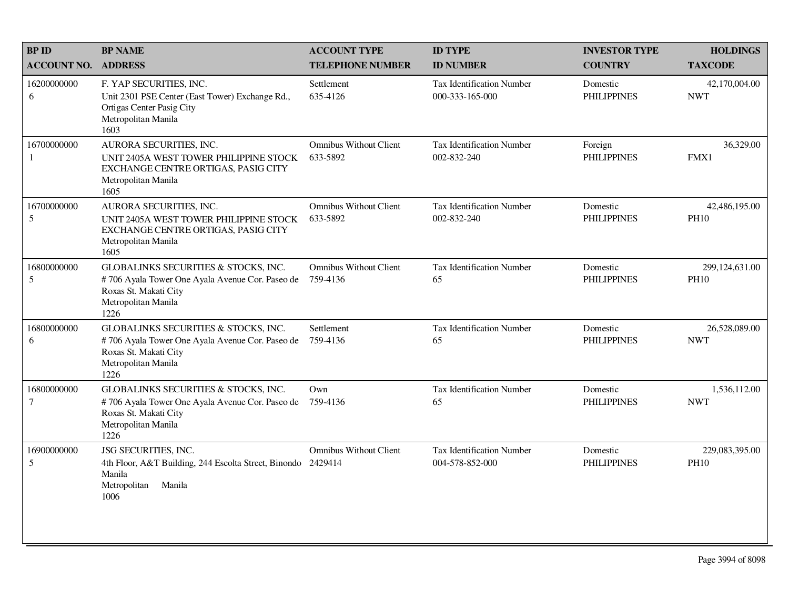| <b>BP ID</b>                | <b>BP NAME</b>                                                                                                                                  | <b>ACCOUNT TYPE</b>                       | <b>ID TYPE</b>                                      | <b>INVESTOR TYPE</b>           | <b>HOLDINGS</b>               |
|-----------------------------|-------------------------------------------------------------------------------------------------------------------------------------------------|-------------------------------------------|-----------------------------------------------------|--------------------------------|-------------------------------|
| <b>ACCOUNT NO.</b>          | <b>ADDRESS</b>                                                                                                                                  | <b>TELEPHONE NUMBER</b>                   | <b>ID NUMBER</b>                                    | <b>COUNTRY</b>                 | <b>TAXCODE</b>                |
| 16200000000<br>6            | F. YAP SECURITIES, INC.<br>Unit 2301 PSE Center (East Tower) Exchange Rd.,<br>Ortigas Center Pasig City<br>Metropolitan Manila<br>1603          | Settlement<br>635-4126                    | <b>Tax Identification Number</b><br>000-333-165-000 | Domestic<br><b>PHILIPPINES</b> | 42,170,004.00<br><b>NWT</b>   |
| 16700000000<br>$\mathbf{1}$ | AURORA SECURITIES, INC.<br>UNIT 2405A WEST TOWER PHILIPPINE STOCK<br>EXCHANGE CENTRE ORTIGAS, PASIG CITY<br>Metropolitan Manila<br>1605         | <b>Omnibus Without Client</b><br>633-5892 | <b>Tax Identification Number</b><br>002-832-240     | Foreign<br><b>PHILIPPINES</b>  | 36,329.00<br>FMX1             |
| 16700000000<br>5            | AURORA SECURITIES, INC.<br>UNIT 2405A WEST TOWER PHILIPPINE STOCK<br>EXCHANGE CENTRE ORTIGAS, PASIG CITY<br>Metropolitan Manila<br>1605         | <b>Omnibus Without Client</b><br>633-5892 | Tax Identification Number<br>002-832-240            | Domestic<br><b>PHILIPPINES</b> | 42,486,195.00<br><b>PH10</b>  |
| 16800000000<br>5            | GLOBALINKS SECURITIES & STOCKS, INC.<br>#706 Ayala Tower One Ayala Avenue Cor. Paseo de<br>Roxas St. Makati City<br>Metropolitan Manila<br>1226 | <b>Omnibus Without Client</b><br>759-4136 | Tax Identification Number<br>65                     | Domestic<br><b>PHILIPPINES</b> | 299,124,631.00<br><b>PH10</b> |
| 16800000000<br>6            | GLOBALINKS SECURITIES & STOCKS, INC.<br>#706 Ayala Tower One Ayala Avenue Cor. Paseo de<br>Roxas St. Makati City<br>Metropolitan Manila<br>1226 | Settlement<br>759-4136                    | Tax Identification Number<br>65                     | Domestic<br><b>PHILIPPINES</b> | 26,528,089.00<br><b>NWT</b>   |
| 16800000000<br>$\tau$       | GLOBALINKS SECURITIES & STOCKS, INC.<br>#706 Ayala Tower One Ayala Avenue Cor. Paseo de<br>Roxas St. Makati City<br>Metropolitan Manila<br>1226 | Own<br>759-4136                           | <b>Tax Identification Number</b><br>65              | Domestic<br><b>PHILIPPINES</b> | 1,536,112.00<br><b>NWT</b>    |
| 16900000000<br>5            | JSG SECURITIES, INC.<br>4th Floor, A&T Building, 244 Escolta Street, Binondo 2429414<br>Manila<br>Metropolitan<br>Manila<br>1006                | <b>Omnibus Without Client</b>             | Tax Identification Number<br>004-578-852-000        | Domestic<br><b>PHILIPPINES</b> | 229,083,395.00<br><b>PH10</b> |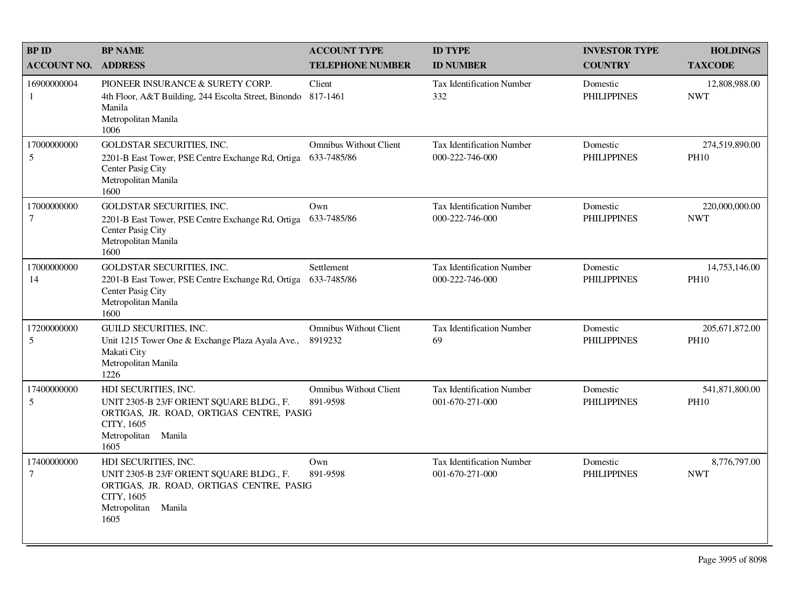| <b>BP ID</b>                  | <b>BP NAME</b>                                                                                                                                               | <b>ACCOUNT TYPE</b>                          | <b>ID TYPE</b>                                      | <b>INVESTOR TYPE</b>           | <b>HOLDINGS</b>                 |
|-------------------------------|--------------------------------------------------------------------------------------------------------------------------------------------------------------|----------------------------------------------|-----------------------------------------------------|--------------------------------|---------------------------------|
| <b>ACCOUNT NO.</b>            | <b>ADDRESS</b>                                                                                                                                               | <b>TELEPHONE NUMBER</b>                      | <b>ID NUMBER</b>                                    | <b>COUNTRY</b>                 | <b>TAXCODE</b>                  |
| 16900000004<br>1              | PIONEER INSURANCE & SURETY CORP.<br>4th Floor, A&T Building, 244 Escolta Street, Binondo 817-1461<br>Manila<br>Metropolitan Manila<br>1006                   | Client                                       | <b>Tax Identification Number</b><br>332             | Domestic<br><b>PHILIPPINES</b> | 12,808,988.00<br><b>NWT</b>     |
| 17000000000<br>5              | <b>GOLDSTAR SECURITIES, INC.</b><br>2201-B East Tower, PSE Centre Exchange Rd, Ortiga<br>Center Pasig City<br>Metropolitan Manila<br>1600                    | <b>Omnibus Without Client</b><br>633-7485/86 | <b>Tax Identification Number</b><br>000-222-746-000 | Domestic<br><b>PHILIPPINES</b> | 274,519,890.00<br><b>PH10</b>   |
| 17000000000<br>7              | <b>GOLDSTAR SECURITIES, INC.</b><br>2201-B East Tower, PSE Centre Exchange Rd, Ortiga<br>Center Pasig City<br>Metropolitan Manila<br>1600                    | Own<br>633-7485/86                           | <b>Tax Identification Number</b><br>000-222-746-000 | Domestic<br><b>PHILIPPINES</b> | 220,000,000.00<br><b>NWT</b>    |
| 17000000000<br>14             | <b>GOLDSTAR SECURITIES, INC.</b><br>2201-B East Tower, PSE Centre Exchange Rd, Ortiga<br>Center Pasig City<br>Metropolitan Manila<br>1600                    | Settlement<br>633-7485/86                    | <b>Tax Identification Number</b><br>000-222-746-000 | Domestic<br><b>PHILIPPINES</b> | 14,753,146.00<br><b>PH10</b>    |
| 17200000000<br>5              | <b>GUILD SECURITIES, INC.</b><br>Unit 1215 Tower One & Exchange Plaza Ayala Ave.,<br>Makati City<br>Metropolitan Manila<br>1226                              | <b>Omnibus Without Client</b><br>8919232     | Tax Identification Number<br>69                     | Domestic<br><b>PHILIPPINES</b> | 205, 671, 872.00<br><b>PH10</b> |
| 17400000000<br>5              | HDI SECURITIES, INC.<br>UNIT 2305-B 23/F ORIENT SQUARE BLDG., F.<br>ORTIGAS, JR. ROAD, ORTIGAS CENTRE, PASIG<br>CITY, 1605<br>Manila<br>Metropolitan<br>1605 | <b>Omnibus Without Client</b><br>891-9598    | <b>Tax Identification Number</b><br>001-670-271-000 | Domestic<br><b>PHILIPPINES</b> | 541,871,800.00<br><b>PH10</b>   |
| 17400000000<br>$\overline{7}$ | HDI SECURITIES, INC.<br>UNIT 2305-B 23/F ORIENT SQUARE BLDG., F.<br>ORTIGAS, JR. ROAD, ORTIGAS CENTRE, PASIG<br>CITY, 1605<br>Metropolitan<br>Manila<br>1605 | Own<br>891-9598                              | <b>Tax Identification Number</b><br>001-670-271-000 | Domestic<br><b>PHILIPPINES</b> | 8,776,797.00<br><b>NWT</b>      |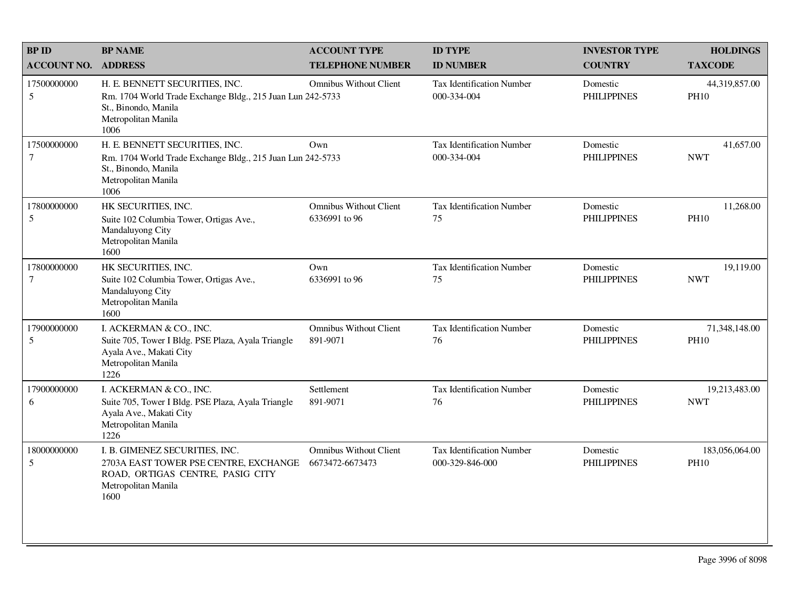| <b>BPID</b>                   | <b>BP NAME</b>                                                                                                                                      | <b>ACCOUNT TYPE</b>                              | <b>ID TYPE</b>                               | <b>INVESTOR TYPE</b>           | <b>HOLDINGS</b>               |
|-------------------------------|-----------------------------------------------------------------------------------------------------------------------------------------------------|--------------------------------------------------|----------------------------------------------|--------------------------------|-------------------------------|
| <b>ACCOUNT NO.</b>            | <b>ADDRESS</b>                                                                                                                                      | <b>TELEPHONE NUMBER</b>                          | <b>ID NUMBER</b>                             | <b>COUNTRY</b>                 | <b>TAXCODE</b>                |
| 17500000000<br>5              | H. E. BENNETT SECURITIES, INC.<br>Rm. 1704 World Trade Exchange Bldg., 215 Juan Lun 242-5733<br>St., Binondo, Manila<br>Metropolitan Manila<br>1006 | <b>Omnibus Without Client</b>                    | Tax Identification Number<br>000-334-004     | Domestic<br><b>PHILIPPINES</b> | 44,319,857.00<br><b>PH10</b>  |
| 17500000000<br>7              | H. E. BENNETT SECURITIES, INC.<br>Rm. 1704 World Trade Exchange Bldg., 215 Juan Lun 242-5733<br>St., Binondo, Manila<br>Metropolitan Manila<br>1006 | Own                                              | Tax Identification Number<br>000-334-004     | Domestic<br><b>PHILIPPINES</b> | 41,657.00<br><b>NWT</b>       |
| 17800000000<br>5              | HK SECURITIES, INC.<br>Suite 102 Columbia Tower, Ortigas Ave.,<br>Mandaluyong City<br>Metropolitan Manila<br>1600                                   | <b>Omnibus Without Client</b><br>6336991 to 96   | Tax Identification Number<br>75              | Domestic<br><b>PHILIPPINES</b> | 11,268.00<br><b>PH10</b>      |
| 17800000000<br>$\overline{7}$ | HK SECURITIES, INC.<br>Suite 102 Columbia Tower, Ortigas Ave.,<br>Mandaluyong City<br>Metropolitan Manila<br>1600                                   | Own<br>6336991 to 96                             | <b>Tax Identification Number</b><br>75       | Domestic<br><b>PHILIPPINES</b> | 19,119.00<br><b>NWT</b>       |
| 17900000000<br>5              | I. ACKERMAN & CO., INC.<br>Suite 705, Tower I Bldg. PSE Plaza, Ayala Triangle<br>Ayala Ave., Makati City<br>Metropolitan Manila<br>1226             | <b>Omnibus Without Client</b><br>891-9071        | <b>Tax Identification Number</b><br>76       | Domestic<br><b>PHILIPPINES</b> | 71,348,148.00<br><b>PH10</b>  |
| 17900000000<br>6              | I. ACKERMAN & CO., INC.<br>Suite 705, Tower I Bldg. PSE Plaza, Ayala Triangle<br>Ayala Ave., Makati City<br>Metropolitan Manila<br>1226             | Settlement<br>891-9071                           | <b>Tax Identification Number</b><br>76       | Domestic<br><b>PHILIPPINES</b> | 19,213,483.00<br><b>NWT</b>   |
| 18000000000<br>5              | I. B. GIMENEZ SECURITIES, INC.<br>2703A EAST TOWER PSE CENTRE, EXCHANGE<br>ROAD, ORTIGAS CENTRE, PASIG CITY<br>Metropolitan Manila<br>1600          | <b>Omnibus Without Client</b><br>6673472-6673473 | Tax Identification Number<br>000-329-846-000 | Domestic<br><b>PHILIPPINES</b> | 183,056,064.00<br><b>PH10</b> |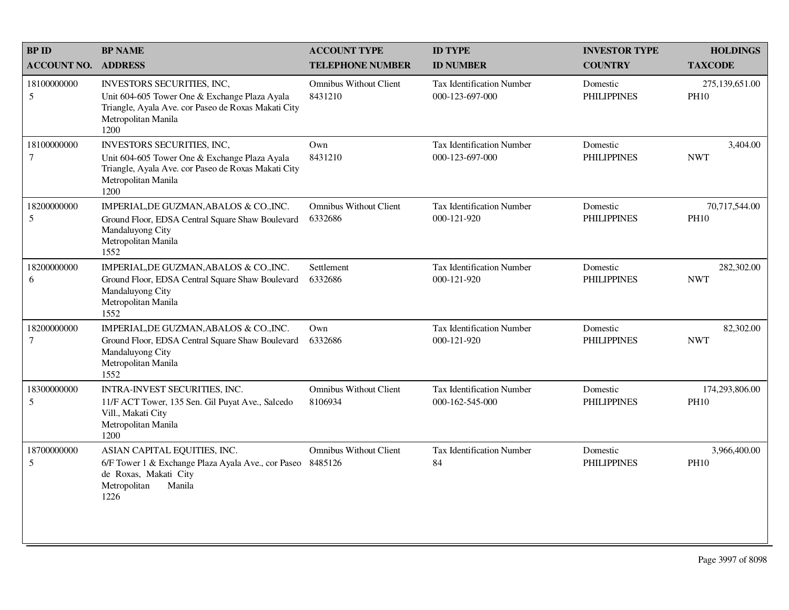| <b>BPID</b>                   | <b>BP NAME</b>                                                                                                                                                           | <b>ACCOUNT TYPE</b>                      | <b>ID TYPE</b>                                      | <b>INVESTOR TYPE</b>           | <b>HOLDINGS</b>               |
|-------------------------------|--------------------------------------------------------------------------------------------------------------------------------------------------------------------------|------------------------------------------|-----------------------------------------------------|--------------------------------|-------------------------------|
| <b>ACCOUNT NO.</b>            | <b>ADDRESS</b>                                                                                                                                                           | <b>TELEPHONE NUMBER</b>                  | <b>ID NUMBER</b>                                    | <b>COUNTRY</b>                 | <b>TAXCODE</b>                |
| 18100000000<br>5              | INVESTORS SECURITIES, INC,<br>Unit 604-605 Tower One & Exchange Plaza Ayala<br>Triangle, Ayala Ave. cor Paseo de Roxas Makati City<br>Metropolitan Manila<br>1200        | <b>Omnibus Without Client</b><br>8431210 | Tax Identification Number<br>000-123-697-000        | Domestic<br><b>PHILIPPINES</b> | 275,139,651.00<br><b>PH10</b> |
| 18100000000<br>$\overline{7}$ | <b>INVESTORS SECURITIES, INC.</b><br>Unit 604-605 Tower One & Exchange Plaza Ayala<br>Triangle, Ayala Ave. cor Paseo de Roxas Makati City<br>Metropolitan Manila<br>1200 | Own<br>8431210                           | <b>Tax Identification Number</b><br>000-123-697-000 | Domestic<br><b>PHILIPPINES</b> | 3,404.00<br><b>NWT</b>        |
| 18200000000<br>5              | IMPERIAL, DE GUZMAN, ABALOS & CO., INC.<br>Ground Floor, EDSA Central Square Shaw Boulevard<br>Mandaluyong City<br>Metropolitan Manila<br>1552                           | <b>Omnibus Without Client</b><br>6332686 | <b>Tax Identification Number</b><br>000-121-920     | Domestic<br><b>PHILIPPINES</b> | 70,717,544.00<br><b>PH10</b>  |
| 18200000000<br>6              | IMPERIAL, DE GUZMAN, ABALOS & CO., INC.<br>Ground Floor, EDSA Central Square Shaw Boulevard<br>Mandaluyong City<br>Metropolitan Manila<br>1552                           | Settlement<br>6332686                    | <b>Tax Identification Number</b><br>000-121-920     | Domestic<br><b>PHILIPPINES</b> | 282,302.00<br><b>NWT</b>      |
| 18200000000<br>7              | IMPERIAL, DE GUZMAN, ABALOS & CO., INC.<br>Ground Floor, EDSA Central Square Shaw Boulevard<br>Mandaluyong City<br>Metropolitan Manila<br>1552                           | Own<br>6332686                           | Tax Identification Number<br>000-121-920            | Domestic<br><b>PHILIPPINES</b> | 82,302.00<br><b>NWT</b>       |
| 18300000000<br>5              | INTRA-INVEST SECURITIES, INC.<br>11/F ACT Tower, 135 Sen. Gil Puyat Ave., Salcedo<br>Vill., Makati City<br>Metropolitan Manila<br>1200                                   | <b>Omnibus Without Client</b><br>8106934 | <b>Tax Identification Number</b><br>000-162-545-000 | Domestic<br><b>PHILIPPINES</b> | 174,293,806.00<br><b>PH10</b> |
| 18700000000<br>5              | ASIAN CAPITAL EQUITIES, INC.<br>6/F Tower 1 & Exchange Plaza Ayala Ave., cor Paseo<br>de Roxas, Makati City<br>Metropolitan<br>Manila<br>1226                            | <b>Omnibus Without Client</b><br>8485126 | Tax Identification Number<br>84                     | Domestic<br><b>PHILIPPINES</b> | 3,966,400.00<br><b>PH10</b>   |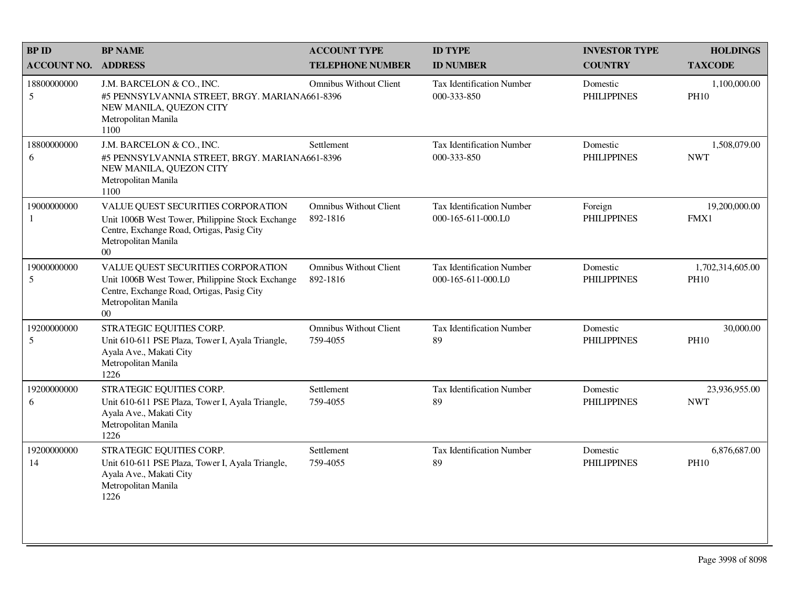| <b>BP ID</b>       | <b>BP NAME</b>                                                                                                                                                                 | <b>ACCOUNT TYPE</b>                       | <b>ID TYPE</b>                                         | <b>INVESTOR TYPE</b>           | <b>HOLDINGS</b>                 |
|--------------------|--------------------------------------------------------------------------------------------------------------------------------------------------------------------------------|-------------------------------------------|--------------------------------------------------------|--------------------------------|---------------------------------|
| <b>ACCOUNT NO.</b> | <b>ADDRESS</b>                                                                                                                                                                 | <b>TELEPHONE NUMBER</b>                   | <b>ID NUMBER</b>                                       | <b>COUNTRY</b>                 | <b>TAXCODE</b>                  |
| 18800000000<br>5   | J.M. BARCELON & CO., INC.<br>#5 PENNSYLVANNIA STREET, BRGY. MARIANA661-8396<br>NEW MANILA, QUEZON CITY<br>Metropolitan Manila<br>1100                                          | <b>Omnibus Without Client</b>             | Tax Identification Number<br>000-333-850               | Domestic<br><b>PHILIPPINES</b> | 1,100,000.00<br><b>PH10</b>     |
| 18800000000<br>6   | J.M. BARCELON & CO., INC.<br>#5 PENNSYLVANNIA STREET, BRGY. MARIANA661-8396<br>NEW MANILA, QUEZON CITY<br>Metropolitan Manila<br>1100                                          | Settlement                                | Tax Identification Number<br>000-333-850               | Domestic<br><b>PHILIPPINES</b> | 1,508,079.00<br><b>NWT</b>      |
| 19000000000<br>-1  | VALUE QUEST SECURITIES CORPORATION<br>Unit 1006B West Tower, Philippine Stock Exchange<br>Centre, Exchange Road, Ortigas, Pasig City<br>Metropolitan Manila<br>00 <sup>1</sup> | <b>Omnibus Without Client</b><br>892-1816 | <b>Tax Identification Number</b><br>000-165-611-000.L0 | Foreign<br><b>PHILIPPINES</b>  | 19,200,000.00<br>FMX1           |
| 19000000000<br>5   | VALUE QUEST SECURITIES CORPORATION<br>Unit 1006B West Tower, Philippine Stock Exchange<br>Centre, Exchange Road, Ortigas, Pasig City<br>Metropolitan Manila<br>$00\,$          | <b>Omnibus Without Client</b><br>892-1816 | <b>Tax Identification Number</b><br>000-165-611-000.L0 | Domestic<br><b>PHILIPPINES</b> | 1,702,314,605.00<br><b>PH10</b> |
| 19200000000<br>5   | STRATEGIC EQUITIES CORP.<br>Unit 610-611 PSE Plaza, Tower I, Ayala Triangle,<br>Ayala Ave., Makati City<br>Metropolitan Manila<br>1226                                         | <b>Omnibus Without Client</b><br>759-4055 | Tax Identification Number<br>89                        | Domestic<br><b>PHILIPPINES</b> | 30,000.00<br><b>PH10</b>        |
| 19200000000<br>6   | STRATEGIC EQUITIES CORP.<br>Unit 610-611 PSE Plaza, Tower I, Ayala Triangle,<br>Ayala Ave., Makati City<br>Metropolitan Manila<br>1226                                         | Settlement<br>759-4055                    | <b>Tax Identification Number</b><br>89                 | Domestic<br><b>PHILIPPINES</b> | 23,936,955.00<br><b>NWT</b>     |
| 19200000000<br>14  | STRATEGIC EQUITIES CORP.<br>Unit 610-611 PSE Plaza, Tower I, Ayala Triangle,<br>Ayala Ave., Makati City<br>Metropolitan Manila<br>1226                                         | Settlement<br>759-4055                    | Tax Identification Number<br>89                        | Domestic<br><b>PHILIPPINES</b> | 6,876,687.00<br><b>PH10</b>     |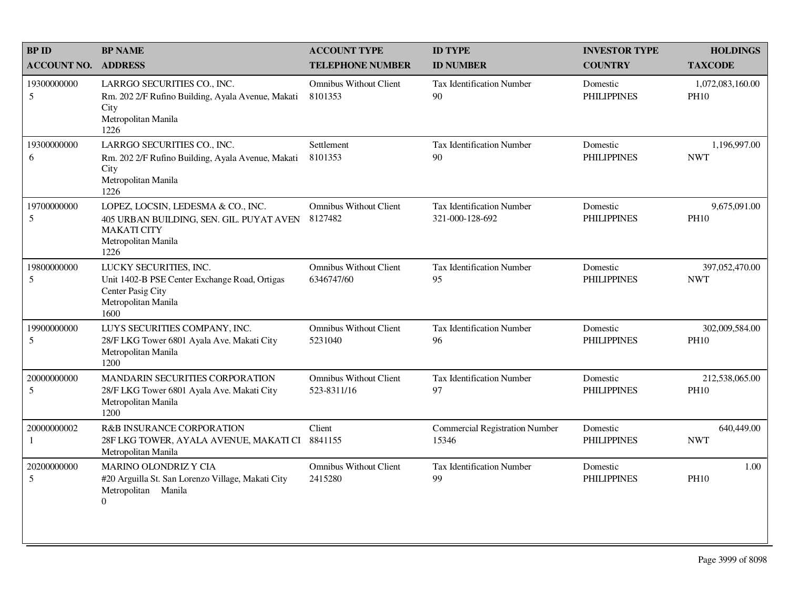| <b>BPID</b>        | <b>BP NAME</b>                                                                                                                      | <b>ACCOUNT TYPE</b>                          | <b>ID TYPE</b>                                      | <b>INVESTOR TYPE</b>           | <b>HOLDINGS</b>                 |
|--------------------|-------------------------------------------------------------------------------------------------------------------------------------|----------------------------------------------|-----------------------------------------------------|--------------------------------|---------------------------------|
| <b>ACCOUNT NO.</b> | <b>ADDRESS</b>                                                                                                                      | <b>TELEPHONE NUMBER</b>                      | <b>ID NUMBER</b>                                    | <b>COUNTRY</b>                 | <b>TAXCODE</b>                  |
| 19300000000<br>5   | LARRGO SECURITIES CO., INC.<br>Rm. 202 2/F Rufino Building, Ayala Avenue, Makati<br>City<br>Metropolitan Manila<br>1226             | <b>Omnibus Without Client</b><br>8101353     | Tax Identification Number<br>90                     | Domestic<br><b>PHILIPPINES</b> | 1,072,083,160.00<br><b>PH10</b> |
| 19300000000<br>6   | LARRGO SECURITIES CO., INC.<br>Rm. 202 2/F Rufino Building, Ayala Avenue, Makati<br>City<br>Metropolitan Manila<br>1226             | Settlement<br>8101353                        | Tax Identification Number<br>90                     | Domestic<br><b>PHILIPPINES</b> | 1,196,997.00<br><b>NWT</b>      |
| 19700000000<br>5   | LOPEZ, LOCSIN, LEDESMA & CO., INC.<br>405 URBAN BUILDING, SEN. GIL. PUYAT AVEN<br><b>MAKATI CITY</b><br>Metropolitan Manila<br>1226 | <b>Omnibus Without Client</b><br>8127482     | <b>Tax Identification Number</b><br>321-000-128-692 | Domestic<br><b>PHILIPPINES</b> | 9,675,091.00<br><b>PH10</b>     |
| 19800000000<br>5   | LUCKY SECURITIES, INC.<br>Unit 1402-B PSE Center Exchange Road, Ortigas<br>Center Pasig City<br>Metropolitan Manila<br>1600         | <b>Omnibus Without Client</b><br>6346747/60  | Tax Identification Number<br>95                     | Domestic<br><b>PHILIPPINES</b> | 397,052,470.00<br><b>NWT</b>    |
| 19900000000<br>5   | LUYS SECURITIES COMPANY, INC.<br>28/F LKG Tower 6801 Ayala Ave. Makati City<br>Metropolitan Manila<br>1200                          | <b>Omnibus Without Client</b><br>5231040     | Tax Identification Number<br>96                     | Domestic<br><b>PHILIPPINES</b> | 302,009,584.00<br><b>PH10</b>   |
| 20000000000<br>5   | MANDARIN SECURITIES CORPORATION<br>28/F LKG Tower 6801 Ayala Ave. Makati City<br>Metropolitan Manila<br>1200                        | <b>Omnibus Without Client</b><br>523-8311/16 | <b>Tax Identification Number</b><br>97              | Domestic<br><b>PHILIPPINES</b> | 212,538,065.00<br><b>PH10</b>   |
| 20000000002<br>-1  | R&B INSURANCE CORPORATION<br>28F LKG TOWER, AYALA AVENUE, MAKATI CI<br>Metropolitan Manila                                          | Client<br>8841155                            | <b>Commercial Registration Number</b><br>15346      | Domestic<br><b>PHILIPPINES</b> | 640,449.00<br><b>NWT</b>        |
| 20200000000<br>5   | <b>MARINO OLONDRIZ Y CIA</b><br>#20 Arguilla St. San Lorenzo Village, Makati City<br>Metropolitan Manila<br>$\boldsymbol{0}$        | <b>Omnibus Without Client</b><br>2415280     | <b>Tax Identification Number</b><br>99              | Domestic<br><b>PHILIPPINES</b> | 1.00<br><b>PH10</b>             |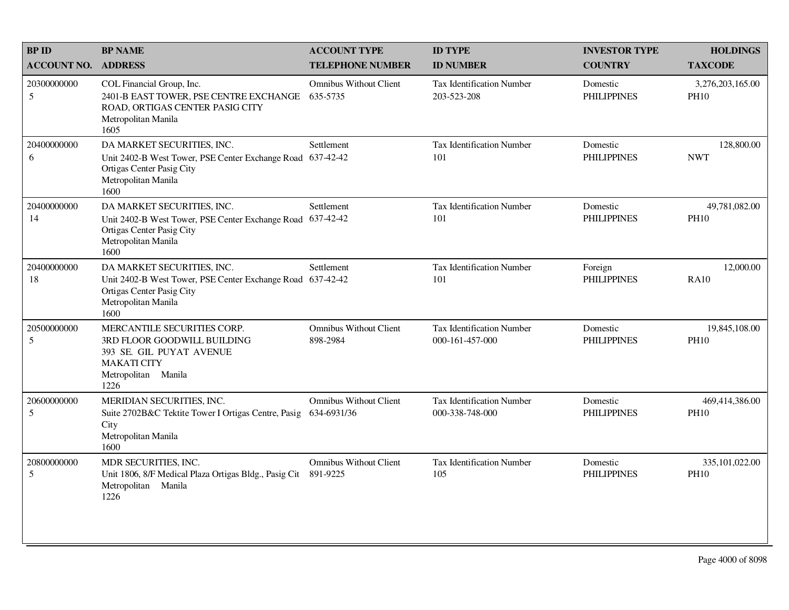| <b>BP ID</b>       | <b>BP NAME</b>                                                                                                                              | <b>ACCOUNT TYPE</b>                          | <b>ID TYPE</b>                                      | <b>INVESTOR TYPE</b>           | <b>HOLDINGS</b>                 |
|--------------------|---------------------------------------------------------------------------------------------------------------------------------------------|----------------------------------------------|-----------------------------------------------------|--------------------------------|---------------------------------|
| <b>ACCOUNT NO.</b> | <b>ADDRESS</b>                                                                                                                              | <b>TELEPHONE NUMBER</b>                      | <b>ID NUMBER</b>                                    | <b>COUNTRY</b>                 | <b>TAXCODE</b>                  |
| 20300000000<br>5   | COL Financial Group, Inc.<br>2401-B EAST TOWER, PSE CENTRE EXCHANGE<br>ROAD, ORTIGAS CENTER PASIG CITY<br>Metropolitan Manila<br>1605       | <b>Omnibus Without Client</b><br>635-5735    | <b>Tax Identification Number</b><br>203-523-208     | Domestic<br><b>PHILIPPINES</b> | 3,276,203,165.00<br><b>PH10</b> |
| 20400000000<br>6   | DA MARKET SECURITIES, INC.<br>Unit 2402-B West Tower, PSE Center Exchange Road<br>Ortigas Center Pasig City<br>Metropolitan Manila<br>1600  | Settlement<br>637-42-42                      | Tax Identification Number<br>101                    | Domestic<br><b>PHILIPPINES</b> | 128,800.00<br><b>NWT</b>        |
| 20400000000<br>14  | DA MARKET SECURITIES, INC.<br>Unit 2402-B West Tower, PSE Center Exchange Road<br>Ortigas Center Pasig City<br>Metropolitan Manila<br>1600  | Settlement<br>637-42-42                      | <b>Tax Identification Number</b><br>101             | Domestic<br><b>PHILIPPINES</b> | 49,781,082.00<br><b>PH10</b>    |
| 20400000000<br>18  | DA MARKET SECURITIES, INC.<br>Unit 2402-B West Tower, PSE Center Exchange Road<br>Ortigas Center Pasig City<br>Metropolitan Manila<br>1600  | Settlement<br>637-42-42                      | Tax Identification Number<br>101                    | Foreign<br><b>PHILIPPINES</b>  | 12,000.00<br><b>RA10</b>        |
| 20500000000<br>5   | MERCANTILE SECURITIES CORP.<br>3RD FLOOR GOODWILL BUILDING<br>393 SE. GIL PUYAT AVENUE<br><b>MAKATI CITY</b><br>Metropolitan Manila<br>1226 | <b>Omnibus Without Client</b><br>898-2984    | <b>Tax Identification Number</b><br>000-161-457-000 | Domestic<br><b>PHILIPPINES</b> | 19,845,108.00<br><b>PH10</b>    |
| 20600000000<br>5   | MERIDIAN SECURITIES, INC.<br>Suite 2702B&C Tektite Tower I Ortigas Centre, Pasig<br>City<br>Metropolitan Manila<br>1600                     | <b>Omnibus Without Client</b><br>634-6931/36 | <b>Tax Identification Number</b><br>000-338-748-000 | Domestic<br><b>PHILIPPINES</b> | 469,414,386.00<br><b>PH10</b>   |
| 20800000000<br>5   | MDR SECURITIES, INC.<br>Unit 1806, 8/F Medical Plaza Ortigas Bldg., Pasig Cit<br>Metropolitan Manila<br>1226                                | <b>Omnibus Without Client</b><br>891-9225    | Tax Identification Number<br>105                    | Domestic<br><b>PHILIPPINES</b> | 335,101,022.00<br><b>PH10</b>   |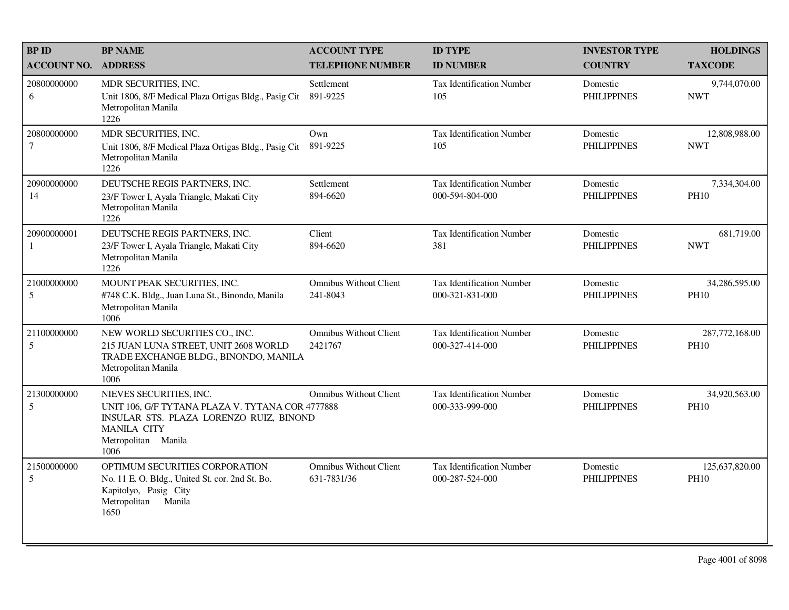| <b>BP ID</b>                    | <b>BP NAME</b>                                                                                                                                                              | <b>ACCOUNT TYPE</b>                          | <b>ID TYPE</b>                                      | <b>INVESTOR TYPE</b>           | <b>HOLDINGS</b>               |
|---------------------------------|-----------------------------------------------------------------------------------------------------------------------------------------------------------------------------|----------------------------------------------|-----------------------------------------------------|--------------------------------|-------------------------------|
| <b>ACCOUNT NO.</b>              | <b>ADDRESS</b>                                                                                                                                                              | <b>TELEPHONE NUMBER</b>                      | <b>ID NUMBER</b>                                    | <b>COUNTRY</b>                 | <b>TAXCODE</b>                |
| 20800000000<br>6                | MDR SECURITIES, INC.<br>Unit 1806, 8/F Medical Plaza Ortigas Bldg., Pasig Cit<br>Metropolitan Manila<br>1226                                                                | Settlement<br>891-9225                       | <b>Tax Identification Number</b><br>105             | Domestic<br><b>PHILIPPINES</b> | 9,744,070.00<br><b>NWT</b>    |
| 20800000000<br>$\boldsymbol{7}$ | MDR SECURITIES, INC.<br>Unit 1806, 8/F Medical Plaza Ortigas Bldg., Pasig Cit<br>Metropolitan Manila<br>1226                                                                | Own<br>891-9225                              | <b>Tax Identification Number</b><br>105             | Domestic<br><b>PHILIPPINES</b> | 12,808,988.00<br><b>NWT</b>   |
| 20900000000<br>14               | DEUTSCHE REGIS PARTNERS, INC.<br>23/F Tower I, Ayala Triangle, Makati City<br>Metropolitan Manila<br>1226                                                                   | Settlement<br>894-6620                       | <b>Tax Identification Number</b><br>000-594-804-000 | Domestic<br><b>PHILIPPINES</b> | 7,334,304.00<br><b>PH10</b>   |
| 20900000001<br>1                | DEUTSCHE REGIS PARTNERS, INC.<br>23/F Tower I, Ayala Triangle, Makati City<br>Metropolitan Manila<br>1226                                                                   | Client<br>894-6620                           | <b>Tax Identification Number</b><br>381             | Domestic<br><b>PHILIPPINES</b> | 681,719.00<br><b>NWT</b>      |
| 21000000000<br>$\mathfrak s$    | MOUNT PEAK SECURITIES, INC.<br>#748 C.K. Bldg., Juan Luna St., Binondo, Manila<br>Metropolitan Manila<br>1006                                                               | <b>Omnibus Without Client</b><br>241-8043    | <b>Tax Identification Number</b><br>000-321-831-000 | Domestic<br><b>PHILIPPINES</b> | 34,286,595.00<br><b>PH10</b>  |
| 21100000000<br>5                | NEW WORLD SECURITIES CO., INC.<br>215 JUAN LUNA STREET, UNIT 2608 WORLD<br>TRADE EXCHANGE BLDG., BINONDO, MANILA<br>Metropolitan Manila<br>1006                             | <b>Omnibus Without Client</b><br>2421767     | <b>Tax Identification Number</b><br>000-327-414-000 | Domestic<br><b>PHILIPPINES</b> | 287,772,168.00<br><b>PH10</b> |
| 21300000000<br>5                | NIEVES SECURITIES, INC.<br>UNIT 106, G/F TYTANA PLAZA V. TYTANA COR 4777888<br>INSULAR STS. PLAZA LORENZO RUIZ, BINOND<br><b>MANILA CITY</b><br>Metropolitan Manila<br>1006 | <b>Omnibus Without Client</b>                | <b>Tax Identification Number</b><br>000-333-999-000 | Domestic<br><b>PHILIPPINES</b> | 34,920,563.00<br><b>PH10</b>  |
| 21500000000<br>5                | OPTIMUM SECURITIES CORPORATION<br>No. 11 E. O. Bldg., United St. cor. 2nd St. Bo.<br>Kapitolyo, Pasig City<br>Metropolitan<br>Manila<br>1650                                | <b>Omnibus Without Client</b><br>631-7831/36 | <b>Tax Identification Number</b><br>000-287-524-000 | Domestic<br><b>PHILIPPINES</b> | 125,637,820.00<br><b>PH10</b> |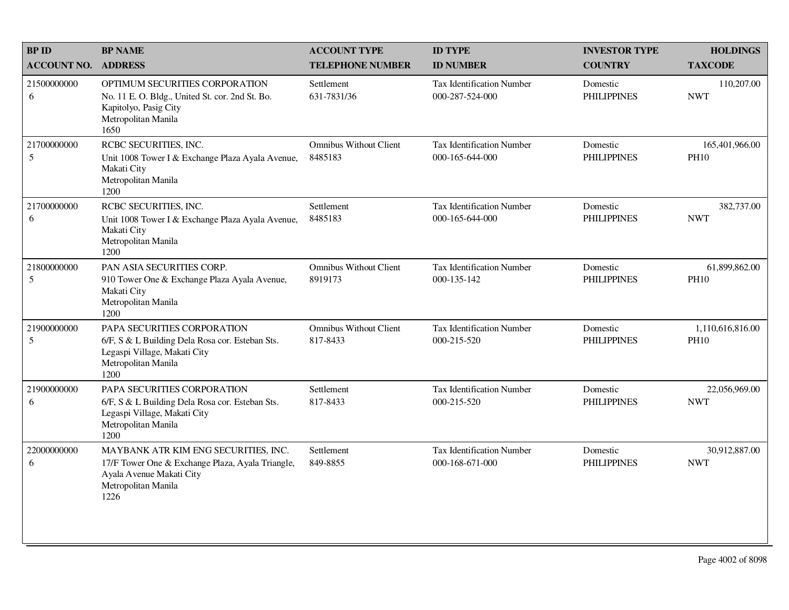| <b>BP ID</b>       | <b>BP NAME</b>                                                                                                                                      | <b>ACCOUNT TYPE</b>                       | <b>ID TYPE</b>                                      | <b>INVESTOR TYPE</b>           | <b>HOLDINGS</b>                 |
|--------------------|-----------------------------------------------------------------------------------------------------------------------------------------------------|-------------------------------------------|-----------------------------------------------------|--------------------------------|---------------------------------|
| <b>ACCOUNT NO.</b> | <b>ADDRESS</b>                                                                                                                                      | <b>TELEPHONE NUMBER</b>                   | <b>ID NUMBER</b>                                    | <b>COUNTRY</b>                 | <b>TAXCODE</b>                  |
| 21500000000<br>6   | OPTIMUM SECURITIES CORPORATION<br>No. 11 E. O. Bldg., United St. cor. 2nd St. Bo.<br>Kapitolyo, Pasig City<br>Metropolitan Manila<br>1650           | Settlement<br>631-7831/36                 | <b>Tax Identification Number</b><br>000-287-524-000 | Domestic<br><b>PHILIPPINES</b> | 110,207.00<br><b>NWT</b>        |
| 21700000000<br>5   | RCBC SECURITIES, INC.<br>Unit 1008 Tower I & Exchange Plaza Ayala Avenue,<br>Makati City<br>Metropolitan Manila<br>1200                             | <b>Omnibus Without Client</b><br>8485183  | Tax Identification Number<br>000-165-644-000        | Domestic<br><b>PHILIPPINES</b> | 165,401,966.00<br><b>PH10</b>   |
| 21700000000<br>6   | RCBC SECURITIES, INC.<br>Unit 1008 Tower I & Exchange Plaza Ayala Avenue,<br>Makati City<br>Metropolitan Manila<br>1200                             | Settlement<br>8485183                     | <b>Tax Identification Number</b><br>000-165-644-000 | Domestic<br><b>PHILIPPINES</b> | 382,737.00<br><b>NWT</b>        |
| 21800000000<br>5   | PAN ASIA SECURITIES CORP.<br>910 Tower One & Exchange Plaza Ayala Avenue,<br>Makati City<br>Metropolitan Manila<br>1200                             | <b>Omnibus Without Client</b><br>8919173  | Tax Identification Number<br>000-135-142            | Domestic<br><b>PHILIPPINES</b> | 61,899,862.00<br><b>PH10</b>    |
| 21900000000<br>5   | PAPA SECURITIES CORPORATION<br>6/F, S & L Building Dela Rosa cor. Esteban Sts.<br>Legaspi Village, Makati City<br>Metropolitan Manila<br>1200       | <b>Omnibus Without Client</b><br>817-8433 | Tax Identification Number<br>000-215-520            | Domestic<br><b>PHILIPPINES</b> | 1,110,616,816.00<br><b>PH10</b> |
| 21900000000<br>6   | PAPA SECURITIES CORPORATION<br>6/F, S & L Building Dela Rosa cor. Esteban Sts.<br>Legaspi Village, Makati City<br>Metropolitan Manila<br>1200       | Settlement<br>817-8433                    | <b>Tax Identification Number</b><br>000-215-520     | Domestic<br><b>PHILIPPINES</b> | 22,056,969.00<br><b>NWT</b>     |
| 22000000000<br>6   | MAYBANK ATR KIM ENG SECURITIES, INC.<br>17/F Tower One & Exchange Plaza, Ayala Triangle,<br>Ayala Avenue Makati City<br>Metropolitan Manila<br>1226 | Settlement<br>849-8855                    | Tax Identification Number<br>000-168-671-000        | Domestic<br><b>PHILIPPINES</b> | 30,912,887.00<br><b>NWT</b>     |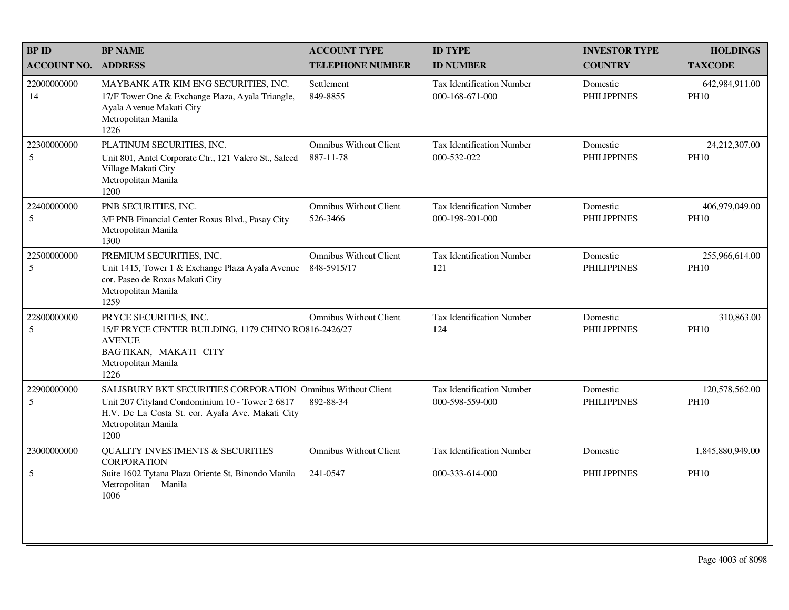| <b>BP ID</b>       | <b>BP NAME</b>                                                                                                                                                                                    | <b>ACCOUNT TYPE</b>                          | <b>ID TYPE</b>                                      | <b>INVESTOR TYPE</b>           | <b>HOLDINGS</b>               |
|--------------------|---------------------------------------------------------------------------------------------------------------------------------------------------------------------------------------------------|----------------------------------------------|-----------------------------------------------------|--------------------------------|-------------------------------|
| <b>ACCOUNT NO.</b> | <b>ADDRESS</b>                                                                                                                                                                                    | <b>TELEPHONE NUMBER</b>                      | <b>ID NUMBER</b>                                    | <b>COUNTRY</b>                 | <b>TAXCODE</b>                |
| 22000000000<br>14  | MAYBANK ATR KIM ENG SECURITIES, INC.<br>17/F Tower One & Exchange Plaza, Ayala Triangle,<br>Ayala Avenue Makati City<br>Metropolitan Manila<br>1226                                               | Settlement<br>849-8855                       | <b>Tax Identification Number</b><br>000-168-671-000 | Domestic<br><b>PHILIPPINES</b> | 642,984,911.00<br><b>PH10</b> |
| 22300000000<br>5   | PLATINUM SECURITIES, INC.<br>Unit 801, Antel Corporate Ctr., 121 Valero St., Salced<br>Village Makati City<br>Metropolitan Manila<br>1200                                                         | Omnibus Without Client<br>887-11-78          | Tax Identification Number<br>000-532-022            | Domestic<br><b>PHILIPPINES</b> | 24,212,307.00<br><b>PH10</b>  |
| 22400000000<br>5   | PNB SECURITIES, INC.<br>3/F PNB Financial Center Roxas Blvd., Pasay City<br>Metropolitan Manila<br>1300                                                                                           | <b>Omnibus Without Client</b><br>526-3466    | <b>Tax Identification Number</b><br>000-198-201-000 | Domestic<br><b>PHILIPPINES</b> | 406,979,049.00<br><b>PH10</b> |
| 22500000000<br>5   | PREMIUM SECURITIES, INC.<br>Unit 1415, Tower 1 & Exchange Plaza Ayala Avenue<br>cor. Paseo de Roxas Makati City<br>Metropolitan Manila<br>1259                                                    | <b>Omnibus Without Client</b><br>848-5915/17 | Tax Identification Number<br>121                    | Domestic<br><b>PHILIPPINES</b> | 255,966,614.00<br><b>PH10</b> |
| 22800000000<br>5   | PRYCE SECURITIES, INC.<br>15/F PRYCE CENTER BUILDING, 1179 CHINO RO816-2426/27<br><b>AVENUE</b><br>BAGTIKAN, MAKATI CITY<br>Metropolitan Manila<br>1226                                           | <b>Omnibus Without Client</b>                | Tax Identification Number<br>124                    | Domestic<br><b>PHILIPPINES</b> | 310,863.00<br><b>PH10</b>     |
| 22900000000<br>5   | SALISBURY BKT SECURITIES CORPORATION Omnibus Without Client<br>Unit 207 Cityland Condominium 10 - Tower 2 6817<br>H.V. De La Costa St. cor. Ayala Ave. Makati City<br>Metropolitan Manila<br>1200 | 892-88-34                                    | <b>Tax Identification Number</b><br>000-598-559-000 | Domestic<br><b>PHILIPPINES</b> | 120,578,562.00<br><b>PH10</b> |
| 23000000000        | <b>QUALITY INVESTMENTS &amp; SECURITIES</b><br><b>CORPORATION</b>                                                                                                                                 | <b>Omnibus Without Client</b>                | <b>Tax Identification Number</b>                    | Domestic                       | 1,845,880,949.00              |
| 5                  | Suite 1602 Tytana Plaza Oriente St, Binondo Manila<br>Metropolitan<br>Manila<br>1006                                                                                                              | 241-0547                                     | 000-333-614-000                                     | <b>PHILIPPINES</b>             | <b>PH10</b>                   |
|                    |                                                                                                                                                                                                   |                                              |                                                     |                                |                               |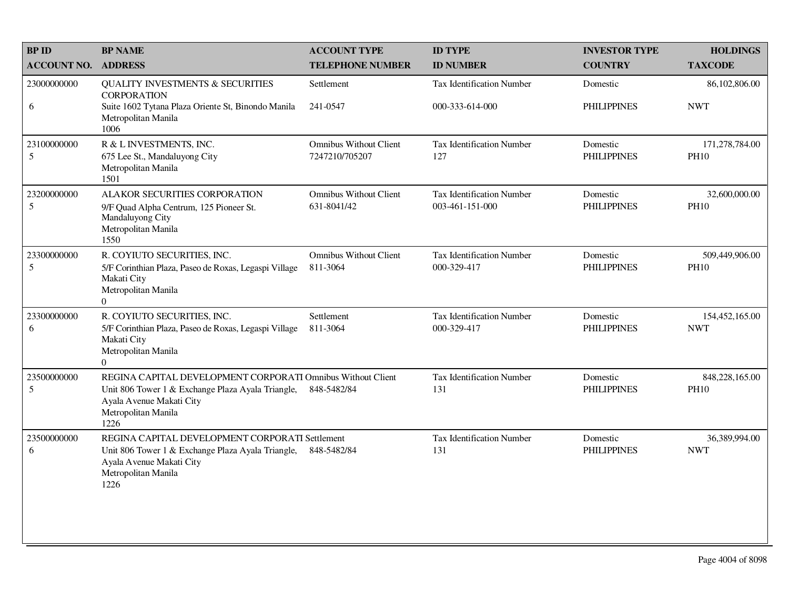| <b>BPID</b>                   | <b>BP NAME</b>                                                                                                          | <b>ACCOUNT TYPE</b>                             | <b>ID TYPE</b>                                      | <b>INVESTOR TYPE</b>           | <b>HOLDINGS</b>               |
|-------------------------------|-------------------------------------------------------------------------------------------------------------------------|-------------------------------------------------|-----------------------------------------------------|--------------------------------|-------------------------------|
| <b>ACCOUNT NO.</b>            | <b>ADDRESS</b>                                                                                                          | <b>TELEPHONE NUMBER</b>                         | <b>ID NUMBER</b>                                    | <b>COUNTRY</b>                 | <b>TAXCODE</b>                |
| 23000000000<br>6              | <b>QUALITY INVESTMENTS &amp; SECURITIES</b><br><b>CORPORATION</b><br>Suite 1602 Tytana Plaza Oriente St, Binondo Manila | Settlement<br>241-0547                          | <b>Tax Identification Number</b><br>000-333-614-000 | Domestic<br><b>PHILIPPINES</b> | 86,102,806.00<br><b>NWT</b>   |
|                               | Metropolitan Manila<br>1006                                                                                             |                                                 |                                                     |                                |                               |
| 23100000000<br>$\overline{5}$ | R & L INVESTMENTS, INC.<br>675 Lee St., Mandaluyong City                                                                | <b>Omnibus Without Client</b><br>7247210/705207 | <b>Tax Identification Number</b><br>127             | Domestic<br><b>PHILIPPINES</b> | 171,278,784.00<br><b>PH10</b> |
|                               | Metropolitan Manila<br>1501                                                                                             |                                                 |                                                     |                                |                               |
| 23200000000<br>5              | ALAKOR SECURITIES CORPORATION                                                                                           | <b>Omnibus Without Client</b><br>631-8041/42    | <b>Tax Identification Number</b><br>003-461-151-000 | Domestic<br><b>PHILIPPINES</b> | 32,600,000.00<br><b>PH10</b>  |
|                               | 9/F Quad Alpha Centrum, 125 Pioneer St.<br>Mandaluyong City<br>Metropolitan Manila                                      |                                                 |                                                     |                                |                               |
|                               | 1550                                                                                                                    |                                                 |                                                     |                                |                               |
| 23300000000<br>5              | R. COYIUTO SECURITIES, INC.<br>5/F Corinthian Plaza, Paseo de Roxas, Legaspi Village                                    | <b>Omnibus Without Client</b><br>811-3064       | Tax Identification Number<br>000-329-417            | Domestic<br><b>PHILIPPINES</b> | 509,449,906.00<br><b>PH10</b> |
|                               | Makati City<br>Metropolitan Manila                                                                                      |                                                 |                                                     |                                |                               |
|                               | $\Omega$                                                                                                                |                                                 |                                                     |                                |                               |
| 23300000000<br>6              | R. COYIUTO SECURITIES, INC.<br>5/F Corinthian Plaza, Paseo de Roxas, Legaspi Village                                    | Settlement<br>811-3064                          | <b>Tax Identification Number</b><br>000-329-417     | Domestic<br><b>PHILIPPINES</b> | 154,452,165.00<br><b>NWT</b>  |
|                               | Makati City<br>Metropolitan Manila                                                                                      |                                                 |                                                     |                                |                               |
|                               | $\Omega$                                                                                                                |                                                 |                                                     |                                |                               |
| 23500000000<br>5              | REGINA CAPITAL DEVELOPMENT CORPORATI Omnibus Without Client<br>Unit 806 Tower 1 & Exchange Plaza Ayala Triangle,        | 848-5482/84                                     | <b>Tax Identification Number</b><br>131             | Domestic<br><b>PHILIPPINES</b> | 848,228,165.00<br><b>PH10</b> |
|                               | Ayala Avenue Makati City<br>Metropolitan Manila                                                                         |                                                 |                                                     |                                |                               |
| 23500000000                   | 1226<br>REGINA CAPITAL DEVELOPMENT CORPORATI Settlement                                                                 |                                                 | <b>Tax Identification Number</b>                    | Domestic                       | 36,389,994.00                 |
| 6                             | Unit 806 Tower 1 & Exchange Plaza Ayala Triangle,                                                                       | 848-5482/84                                     | 131                                                 | <b>PHILIPPINES</b>             | <b>NWT</b>                    |
|                               | Ayala Avenue Makati City<br>Metropolitan Manila<br>1226                                                                 |                                                 |                                                     |                                |                               |
|                               |                                                                                                                         |                                                 |                                                     |                                |                               |
|                               |                                                                                                                         |                                                 |                                                     |                                |                               |
|                               |                                                                                                                         |                                                 |                                                     |                                |                               |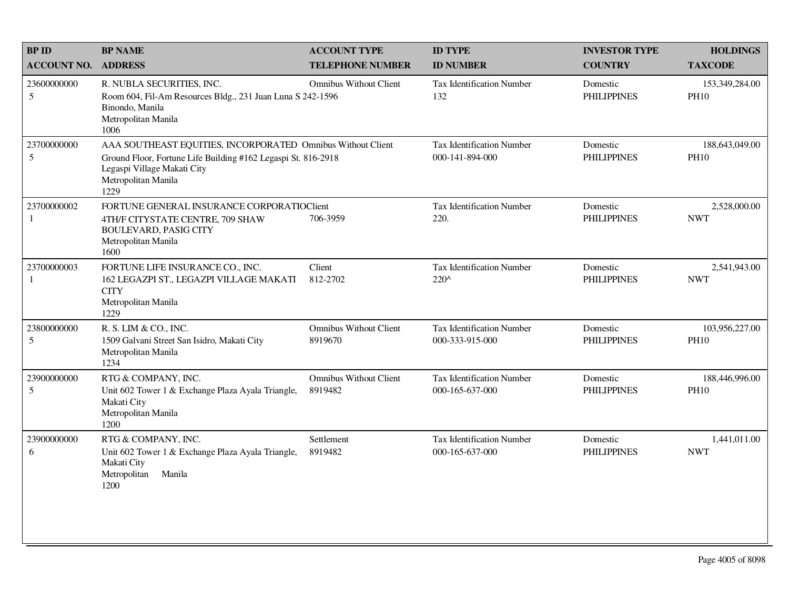| <b>BPID</b>                    | <b>BP NAME</b>                                                                                                                                                                             | <b>ACCOUNT TYPE</b>                      | <b>ID TYPE</b>                                      | <b>INVESTOR TYPE</b>           | <b>HOLDINGS</b>               |
|--------------------------------|--------------------------------------------------------------------------------------------------------------------------------------------------------------------------------------------|------------------------------------------|-----------------------------------------------------|--------------------------------|-------------------------------|
| <b>ACCOUNT NO.</b>             | <b>ADDRESS</b>                                                                                                                                                                             | <b>TELEPHONE NUMBER</b>                  | <b>ID NUMBER</b>                                    | <b>COUNTRY</b>                 | <b>TAXCODE</b>                |
| 23600000000<br>5               | R. NUBLA SECURITIES, INC.<br>Room 604, Fil-Am Resources Bldg., 231 Juan Luna S 242-1596<br>Binondo, Manila<br>Metropolitan Manila<br>1006                                                  | <b>Omnibus Without Client</b>            | <b>Tax Identification Number</b><br>132             | Domestic<br><b>PHILIPPINES</b> | 153,349,284.00<br><b>PH10</b> |
| 23700000000<br>$5\overline{)}$ | AAA SOUTHEAST EQUITIES, INCORPORATED Omnibus Without Client<br>Ground Floor, Fortune Life Building #162 Legaspi St. 816-2918<br>Legaspi Village Makati City<br>Metropolitan Manila<br>1229 |                                          | Tax Identification Number<br>000-141-894-000        | Domestic<br><b>PHILIPPINES</b> | 188,643,049.00<br><b>PH10</b> |
| 23700000002<br>1               | FORTUNE GENERAL INSURANCE CORPORATIOClient<br>4TH/F CITYSTATE CENTRE, 709 SHAW<br><b>BOULEVARD, PASIG CITY</b><br>Metropolitan Manila<br>1600                                              | 706-3959                                 | Tax Identification Number<br>220.                   | Domestic<br><b>PHILIPPINES</b> | 2,528,000.00<br><b>NWT</b>    |
| 23700000003<br>$\mathbf{1}$    | FORTUNE LIFE INSURANCE CO., INC.<br>162 LEGAZPI ST., LEGAZPI VILLAGE MAKATI<br><b>CITY</b><br>Metropolitan Manila<br>1229                                                                  | Client<br>812-2702                       | Tax Identification Number<br>$220^{\circ}$          | Domestic<br><b>PHILIPPINES</b> | 2,541,943.00<br><b>NWT</b>    |
| 23800000000<br>5               | R. S. LIM & CO., INC.<br>1509 Galvani Street San Isidro, Makati City<br>Metropolitan Manila<br>1234                                                                                        | <b>Omnibus Without Client</b><br>8919670 | Tax Identification Number<br>000-333-915-000        | Domestic<br><b>PHILIPPINES</b> | 103,956,227.00<br><b>PH10</b> |
| 23900000000<br>5               | RTG & COMPANY, INC.<br>Unit 602 Tower 1 & Exchange Plaza Ayala Triangle,<br>Makati City<br>Metropolitan Manila<br>1200                                                                     | <b>Omnibus Without Client</b><br>8919482 | <b>Tax Identification Number</b><br>000-165-637-000 | Domestic<br><b>PHILIPPINES</b> | 188,446,996.00<br><b>PH10</b> |
| 23900000000<br>6               | RTG & COMPANY, INC.<br>Unit 602 Tower 1 & Exchange Plaza Ayala Triangle,<br>Makati City<br>Metropolitan<br>Manila<br>1200                                                                  | Settlement<br>8919482                    | <b>Tax Identification Number</b><br>000-165-637-000 | Domestic<br><b>PHILIPPINES</b> | 1,441,011.00<br><b>NWT</b>    |
|                                |                                                                                                                                                                                            |                                          |                                                     |                                |                               |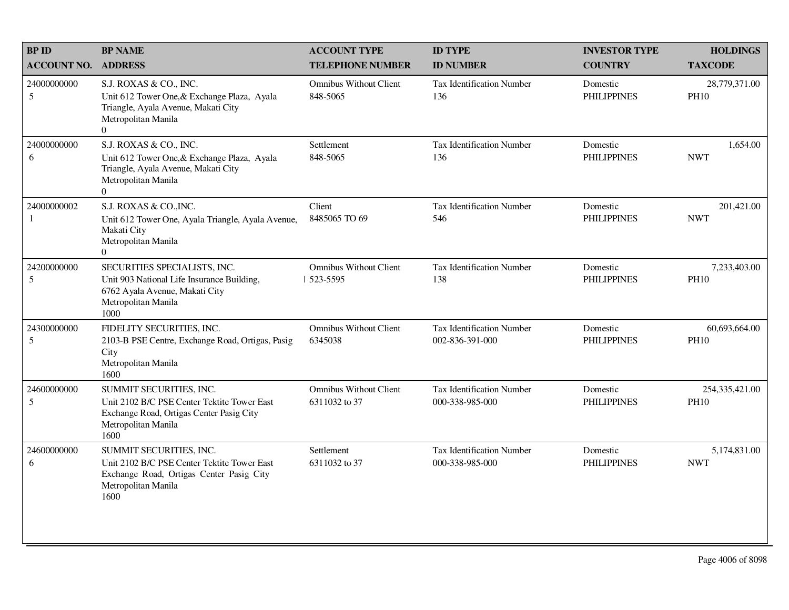| <b>BP ID</b>       | <b>BP NAME</b>                                                                                                                                        | <b>ACCOUNT TYPE</b>                            | <b>ID TYPE</b>                                      | <b>INVESTOR TYPE</b>           | <b>HOLDINGS</b>               |
|--------------------|-------------------------------------------------------------------------------------------------------------------------------------------------------|------------------------------------------------|-----------------------------------------------------|--------------------------------|-------------------------------|
| <b>ACCOUNT NO.</b> | <b>ADDRESS</b>                                                                                                                                        | <b>TELEPHONE NUMBER</b>                        | <b>ID NUMBER</b>                                    | <b>COUNTRY</b>                 | <b>TAXCODE</b>                |
| 24000000000<br>5   | S.J. ROXAS & CO., INC.<br>Unit 612 Tower One, & Exchange Plaza, Ayala<br>Triangle, Ayala Avenue, Makati City<br>Metropolitan Manila<br>$\Omega$       | <b>Omnibus Without Client</b><br>848-5065      | <b>Tax Identification Number</b><br>136             | Domestic<br><b>PHILIPPINES</b> | 28,779,371.00<br><b>PH10</b>  |
| 24000000000<br>6   | S.J. ROXAS & CO., INC.<br>Unit 612 Tower One, & Exchange Plaza, Ayala<br>Triangle, Ayala Avenue, Makati City<br>Metropolitan Manila<br>$\overline{0}$ | Settlement<br>848-5065                         | Tax Identification Number<br>136                    | Domestic<br><b>PHILIPPINES</b> | 1,654.00<br><b>NWT</b>        |
| 24000000002<br>1   | S.J. ROXAS & CO., INC.<br>Unit 612 Tower One, Ayala Triangle, Ayala Avenue,<br>Makati City<br>Metropolitan Manila<br>$\Omega$                         | Client<br>8485065 TO 69                        | <b>Tax Identification Number</b><br>546             | Domestic<br><b>PHILIPPINES</b> | 201,421.00<br><b>NWT</b>      |
| 24200000000<br>5   | SECURITIES SPECIALISTS, INC.<br>Unit 903 National Life Insurance Building,<br>6762 Ayala Avenue, Makati City<br>Metropolitan Manila<br>1000           | <b>Omnibus Without Client</b><br>  523-5595    | <b>Tax Identification Number</b><br>138             | Domestic<br><b>PHILIPPINES</b> | 7,233,403.00<br><b>PH10</b>   |
| 24300000000<br>5   | FIDELITY SECURITIES, INC.<br>2103-B PSE Centre, Exchange Road, Ortigas, Pasig<br>City<br>Metropolitan Manila<br>1600                                  | <b>Omnibus Without Client</b><br>6345038       | <b>Tax Identification Number</b><br>002-836-391-000 | Domestic<br><b>PHILIPPINES</b> | 60,693,664.00<br><b>PH10</b>  |
| 24600000000<br>5   | SUMMIT SECURITIES, INC.<br>Unit 2102 B/C PSE Center Tektite Tower East<br>Exchange Road, Ortigas Center Pasig City<br>Metropolitan Manila<br>1600     | <b>Omnibus Without Client</b><br>6311032 to 37 | <b>Tax Identification Number</b><br>000-338-985-000 | Domestic<br><b>PHILIPPINES</b> | 254,335,421.00<br><b>PH10</b> |
| 24600000000<br>6   | SUMMIT SECURITIES, INC.<br>Unit 2102 B/C PSE Center Tektite Tower East<br>Exchange Road, Ortigas Center Pasig City<br>Metropolitan Manila<br>1600     | Settlement<br>6311032 to 37                    | <b>Tax Identification Number</b><br>000-338-985-000 | Domestic<br><b>PHILIPPINES</b> | 5,174,831.00<br><b>NWT</b>    |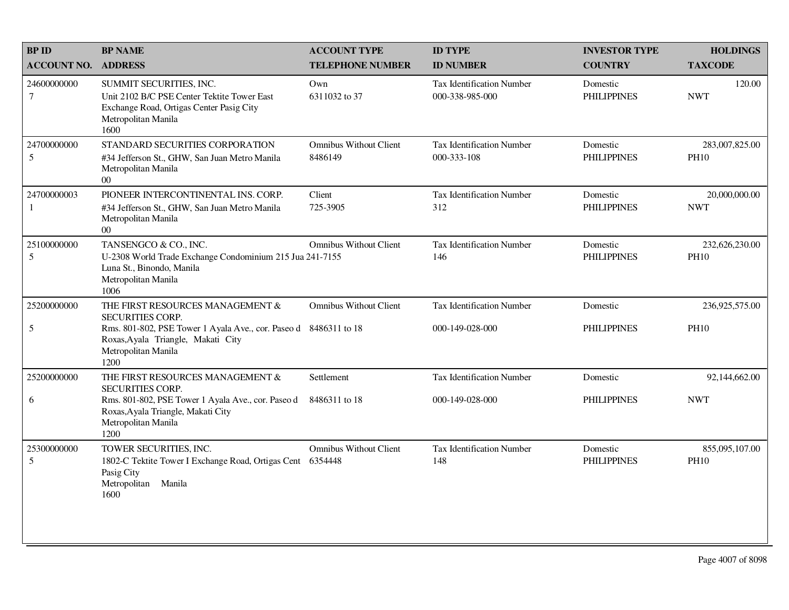| <b>BPID</b>        | <b>BP NAME</b>                                                                                                                                    | <b>ACCOUNT TYPE</b>                      | <b>ID TYPE</b>                                      | <b>INVESTOR TYPE</b>           | <b>HOLDINGS</b>               |
|--------------------|---------------------------------------------------------------------------------------------------------------------------------------------------|------------------------------------------|-----------------------------------------------------|--------------------------------|-------------------------------|
| <b>ACCOUNT NO.</b> | <b>ADDRESS</b>                                                                                                                                    | <b>TELEPHONE NUMBER</b>                  | <b>ID NUMBER</b>                                    | <b>COUNTRY</b>                 | <b>TAXCODE</b>                |
| 24600000000<br>7   | SUMMIT SECURITIES, INC.<br>Unit 2102 B/C PSE Center Tektite Tower East<br>Exchange Road, Ortigas Center Pasig City<br>Metropolitan Manila<br>1600 | Own<br>6311032 to 37                     | <b>Tax Identification Number</b><br>000-338-985-000 | Domestic<br><b>PHILIPPINES</b> | 120.00<br><b>NWT</b>          |
| 24700000000<br>5   | STANDARD SECURITIES CORPORATION<br>#34 Jefferson St., GHW, San Juan Metro Manila<br>Metropolitan Manila<br>$00\,$                                 | <b>Omnibus Without Client</b><br>8486149 | Tax Identification Number<br>000-333-108            | Domestic<br><b>PHILIPPINES</b> | 283,007,825.00<br><b>PH10</b> |
| 24700000003<br>1   | PIONEER INTERCONTINENTAL INS. CORP.<br>#34 Jefferson St., GHW, San Juan Metro Manila<br>Metropolitan Manila<br>$00\,$                             | Client<br>725-3905                       | <b>Tax Identification Number</b><br>312             | Domestic<br><b>PHILIPPINES</b> | 20,000,000.00<br><b>NWT</b>   |
| 25100000000<br>5   | TANSENGCO & CO., INC.<br>U-2308 World Trade Exchange Condominium 215 Jua 241-7155<br>Luna St., Binondo, Manila<br>Metropolitan Manila<br>1006     | <b>Omnibus Without Client</b>            | <b>Tax Identification Number</b><br>146             | Domestic<br><b>PHILIPPINES</b> | 232,626,230.00<br><b>PH10</b> |
| 25200000000        | THE FIRST RESOURCES MANAGEMENT &<br><b>SECURITIES CORP.</b>                                                                                       | <b>Omnibus Without Client</b>            | <b>Tax Identification Number</b>                    | Domestic                       | 236,925,575.00                |
| 5                  | Rms. 801-802, PSE Tower 1 Ayala Ave., cor. Paseo d 8486311 to 18<br>Roxas, Ayala Triangle, Makati City<br>Metropolitan Manila<br>1200             |                                          | 000-149-028-000                                     | <b>PHILIPPINES</b>             | <b>PH10</b>                   |
| 25200000000        | THE FIRST RESOURCES MANAGEMENT &<br><b>SECURITIES CORP.</b>                                                                                       | Settlement                               | <b>Tax Identification Number</b>                    | Domestic                       | 92,144,662.00                 |
| 6                  | Rms. 801-802, PSE Tower 1 Ayala Ave., cor. Paseo d<br>Roxas, Ayala Triangle, Makati City<br>Metropolitan Manila<br>1200                           | 8486311 to 18                            | 000-149-028-000                                     | <b>PHILIPPINES</b>             | <b>NWT</b>                    |
| 25300000000<br>5   | TOWER SECURITIES, INC.<br>1802-C Tektite Tower I Exchange Road, Ortigas Cent<br>Pasig City<br>Metropolitan<br>Manila<br>1600                      | <b>Omnibus Without Client</b><br>6354448 | <b>Tax Identification Number</b><br>148             | Domestic<br><b>PHILIPPINES</b> | 855,095,107.00<br><b>PH10</b> |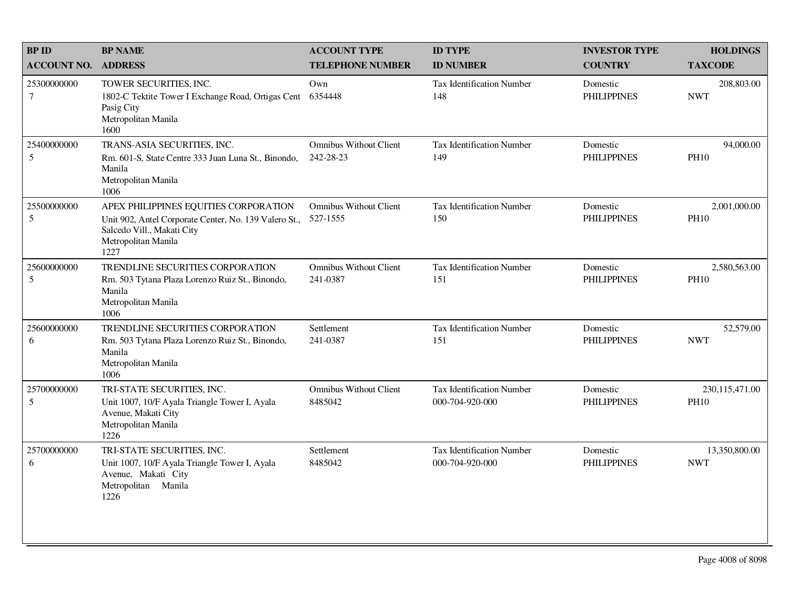| <b>BP ID</b>                   | <b>BP NAME</b>                                                                                                                                              | <b>ACCOUNT TYPE</b>                        | <b>ID TYPE</b>                                      | <b>INVESTOR TYPE</b>           | <b>HOLDINGS</b>               |
|--------------------------------|-------------------------------------------------------------------------------------------------------------------------------------------------------------|--------------------------------------------|-----------------------------------------------------|--------------------------------|-------------------------------|
| <b>ACCOUNT NO.</b>             | <b>ADDRESS</b>                                                                                                                                              | <b>TELEPHONE NUMBER</b>                    | <b>ID NUMBER</b>                                    | <b>COUNTRY</b>                 | <b>TAXCODE</b>                |
| 25300000000<br>$\tau$          | TOWER SECURITIES, INC.<br>1802-C Tektite Tower I Exchange Road, Ortigas Cent<br>Pasig City<br>Metropolitan Manila<br>1600                                   | Own<br>6354448                             | <b>Tax Identification Number</b><br>148             | Domestic<br><b>PHILIPPINES</b> | 208,803.00<br><b>NWT</b>      |
| 25400000000<br>$5\overline{)}$ | TRANS-ASIA SECURITIES, INC.<br>Rm. 601-S, State Centre 333 Juan Luna St., Binondo,<br>Manila<br>Metropolitan Manila<br>1006                                 | <b>Omnibus Without Client</b><br>242-28-23 | <b>Tax Identification Number</b><br>149             | Domestic<br><b>PHILIPPINES</b> | 94,000.00<br><b>PH10</b>      |
| 25500000000<br>5               | APEX PHILIPPINES EQUITIES CORPORATION<br>Unit 902, Antel Corporate Center, No. 139 Valero St.,<br>Salcedo Vill., Makati City<br>Metropolitan Manila<br>1227 | <b>Omnibus Without Client</b><br>527-1555  | <b>Tax Identification Number</b><br>150             | Domestic<br><b>PHILIPPINES</b> | 2,001,000.00<br><b>PH10</b>   |
| 25600000000<br>5               | TRENDLINE SECURITIES CORPORATION<br>Rm. 503 Tytana Plaza Lorenzo Ruiz St., Binondo,<br>Manila<br>Metropolitan Manila<br>1006                                | <b>Omnibus Without Client</b><br>241-0387  | <b>Tax Identification Number</b><br>151             | Domestic<br><b>PHILIPPINES</b> | 2,580,563.00<br><b>PH10</b>   |
| 25600000000<br>6               | TRENDLINE SECURITIES CORPORATION<br>Rm. 503 Tytana Plaza Lorenzo Ruiz St., Binondo,<br>Manila<br>Metropolitan Manila<br>1006                                | Settlement<br>241-0387                     | Tax Identification Number<br>151                    | Domestic<br><b>PHILIPPINES</b> | 52,579.00<br><b>NWT</b>       |
| 25700000000<br>5               | TRI-STATE SECURITIES, INC.<br>Unit 1007, 10/F Ayala Triangle Tower I, Ayala<br>Avenue, Makati City<br>Metropolitan Manila<br>1226                           | <b>Omnibus Without Client</b><br>8485042   | <b>Tax Identification Number</b><br>000-704-920-000 | Domestic<br><b>PHILIPPINES</b> | 230,115,471.00<br><b>PH10</b> |
| 25700000000<br>6               | TRI-STATE SECURITIES, INC.<br>Unit 1007, 10/F Ayala Triangle Tower I, Ayala<br>Avenue, Makati City<br>Metropolitan Manila<br>1226                           | Settlement<br>8485042                      | <b>Tax Identification Number</b><br>000-704-920-000 | Domestic<br><b>PHILIPPINES</b> | 13,350,800.00<br><b>NWT</b>   |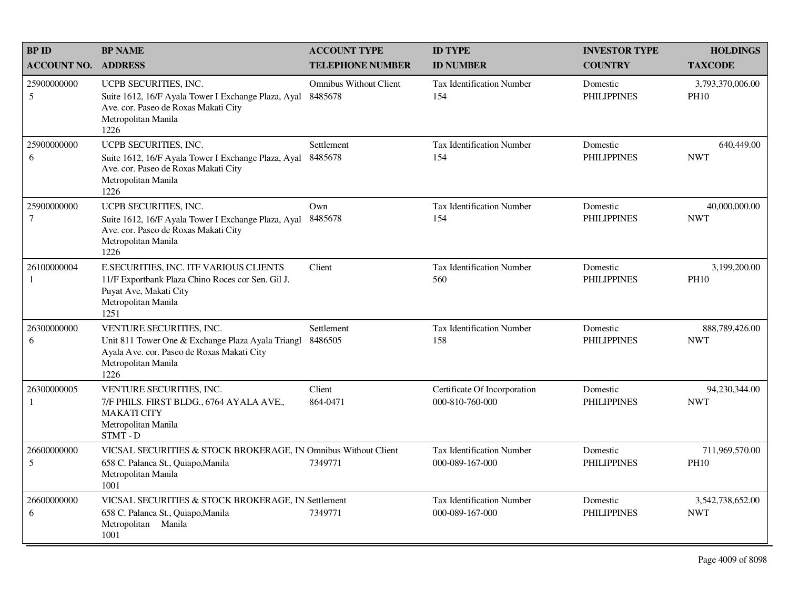| <b>BPID</b>                 | <b>BP NAME</b>                                                                                                                                             | <b>ACCOUNT TYPE</b>                      | <b>ID TYPE</b>                                      | <b>INVESTOR TYPE</b>           | <b>HOLDINGS</b>                 |
|-----------------------------|------------------------------------------------------------------------------------------------------------------------------------------------------------|------------------------------------------|-----------------------------------------------------|--------------------------------|---------------------------------|
| <b>ACCOUNT NO. ADDRESS</b>  |                                                                                                                                                            | <b>TELEPHONE NUMBER</b>                  | <b>ID NUMBER</b>                                    | <b>COUNTRY</b>                 | <b>TAXCODE</b>                  |
| 25900000000<br>5            | UCPB SECURITIES, INC.<br>Suite 1612, 16/F Ayala Tower I Exchange Plaza, Ayal<br>Ave. cor. Paseo de Roxas Makati City<br>Metropolitan Manila<br>1226        | <b>Omnibus Without Client</b><br>8485678 | <b>Tax Identification Number</b><br>154             | Domestic<br><b>PHILIPPINES</b> | 3,793,370,006.00<br><b>PH10</b> |
| 25900000000<br>6            | UCPB SECURITIES, INC.<br>Suite 1612, 16/F Ayala Tower I Exchange Plaza, Ayal<br>Ave. cor. Paseo de Roxas Makati City<br>Metropolitan Manila<br>1226        | Settlement<br>8485678                    | <b>Tax Identification Number</b><br>154             | Domestic<br><b>PHILIPPINES</b> | 640,449.00<br><b>NWT</b>        |
| 25900000000<br>$\tau$       | UCPB SECURITIES, INC.<br>Suite 1612, 16/F Ayala Tower I Exchange Plaza, Ayal<br>Ave. cor. Paseo de Roxas Makati City<br>Metropolitan Manila<br>1226        | Own<br>8485678                           | <b>Tax Identification Number</b><br>154             | Domestic<br><b>PHILIPPINES</b> | 40,000,000.00<br><b>NWT</b>     |
| 26100000004<br>$\mathbf{1}$ | E.SECURITIES, INC. ITF VARIOUS CLIENTS<br>11/F Exportbank Plaza Chino Roces cor Sen. Gil J.<br>Puyat Ave, Makati City<br>Metropolitan Manila<br>1251       | Client                                   | Tax Identification Number<br>560                    | Domestic<br><b>PHILIPPINES</b> | 3,199,200.00<br><b>PH10</b>     |
| 26300000000<br>6            | VENTURE SECURITIES, INC.<br>Unit 811 Tower One & Exchange Plaza Ayala Triangl<br>Ayala Ave. cor. Paseo de Roxas Makati City<br>Metropolitan Manila<br>1226 | Settlement<br>8486505                    | <b>Tax Identification Number</b><br>158             | Domestic<br><b>PHILIPPINES</b> | 888,789,426.00<br><b>NWT</b>    |
| 26300000005<br>1            | VENTURE SECURITIES, INC.<br>7/F PHILS. FIRST BLDG., 6764 AYALA AVE.,<br><b>MAKATI CITY</b><br>Metropolitan Manila<br>STMT-D                                | Client<br>864-0471                       | Certificate Of Incorporation<br>000-810-760-000     | Domestic<br><b>PHILIPPINES</b> | 94,230,344.00<br><b>NWT</b>     |
| 26600000000<br>5            | VICSAL SECURITIES & STOCK BROKERAGE, IN Omnibus Without Client<br>658 C. Palanca St., Quiapo, Manila<br>Metropolitan Manila<br>1001                        | 7349771                                  | Tax Identification Number<br>000-089-167-000        | Domestic<br><b>PHILIPPINES</b> | 711,969,570.00<br><b>PH10</b>   |
| 26600000000<br>6            | VICSAL SECURITIES & STOCK BROKERAGE, IN Settlement<br>658 C. Palanca St., Quiapo, Manila<br>Metropolitan Manila<br>1001                                    | 7349771                                  | <b>Tax Identification Number</b><br>000-089-167-000 | Domestic<br><b>PHILIPPINES</b> | 3,542,738,652.00<br><b>NWT</b>  |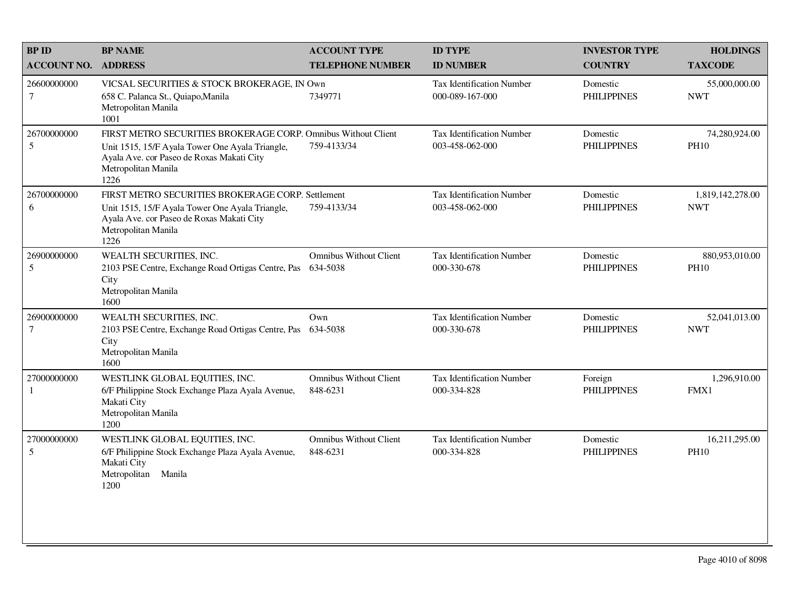| <b>BPID</b>                | <b>BP NAME</b>                                                                                                                                                                               | <b>ACCOUNT TYPE</b>                       | <b>ID TYPE</b>                                      | <b>INVESTOR TYPE</b>           | <b>HOLDINGS</b>                |
|----------------------------|----------------------------------------------------------------------------------------------------------------------------------------------------------------------------------------------|-------------------------------------------|-----------------------------------------------------|--------------------------------|--------------------------------|
| <b>ACCOUNT NO. ADDRESS</b> |                                                                                                                                                                                              | <b>TELEPHONE NUMBER</b>                   | <b>ID NUMBER</b>                                    | <b>COUNTRY</b>                 | <b>TAXCODE</b>                 |
| 26600000000<br>$\tau$      | VICSAL SECURITIES & STOCK BROKERAGE, IN Own<br>658 C. Palanca St., Quiapo, Manila<br>Metropolitan Manila<br>1001                                                                             | 7349771                                   | <b>Tax Identification Number</b><br>000-089-167-000 | Domestic<br><b>PHILIPPINES</b> | 55,000,000.00<br><b>NWT</b>    |
| 26700000000<br>5           | FIRST METRO SECURITIES BROKERAGE CORP. Omnibus Without Client<br>Unit 1515, 15/F Ayala Tower One Ayala Triangle,<br>Ayala Ave. cor Paseo de Roxas Makati City<br>Metropolitan Manila<br>1226 | 759-4133/34                               | <b>Tax Identification Number</b><br>003-458-062-000 | Domestic<br><b>PHILIPPINES</b> | 74,280,924.00<br><b>PH10</b>   |
| 26700000000<br>6           | FIRST METRO SECURITIES BROKERAGE CORP. Settlement<br>Unit 1515, 15/F Ayala Tower One Ayala Triangle,<br>Ayala Ave. cor Paseo de Roxas Makati City<br>Metropolitan Manila<br>1226             | 759-4133/34                               | <b>Tax Identification Number</b><br>003-458-062-000 | Domestic<br><b>PHILIPPINES</b> | 1,819,142,278.00<br><b>NWT</b> |
| 26900000000<br>5           | WEALTH SECURITIES, INC.<br>2103 PSE Centre, Exchange Road Ortigas Centre, Pas<br>City<br>Metropolitan Manila<br>1600                                                                         | <b>Omnibus Without Client</b><br>634-5038 | Tax Identification Number<br>000-330-678            | Domestic<br><b>PHILIPPINES</b> | 880,953,010.00<br><b>PH10</b>  |
| 26900000000<br>$\tau$      | WEALTH SECURITIES, INC.<br>2103 PSE Centre, Exchange Road Ortigas Centre, Pas<br>City<br>Metropolitan Manila<br>1600                                                                         | Own<br>634-5038                           | Tax Identification Number<br>000-330-678            | Domestic<br><b>PHILIPPINES</b> | 52,041,013.00<br><b>NWT</b>    |
| 27000000000<br>1           | WESTLINK GLOBAL EQUITIES, INC.<br>6/F Philippine Stock Exchange Plaza Ayala Avenue,<br>Makati City<br>Metropolitan Manila<br>1200                                                            | <b>Omnibus Without Client</b><br>848-6231 | <b>Tax Identification Number</b><br>000-334-828     | Foreign<br><b>PHILIPPINES</b>  | 1,296,910.00<br>FMX1           |
| 27000000000<br>5           | WESTLINK GLOBAL EQUITIES, INC.<br>6/F Philippine Stock Exchange Plaza Ayala Avenue,<br>Makati City<br>Metropolitan<br>Manila<br>1200                                                         | <b>Omnibus Without Client</b><br>848-6231 | <b>Tax Identification Number</b><br>000-334-828     | Domestic<br><b>PHILIPPINES</b> | 16,211,295.00<br><b>PH10</b>   |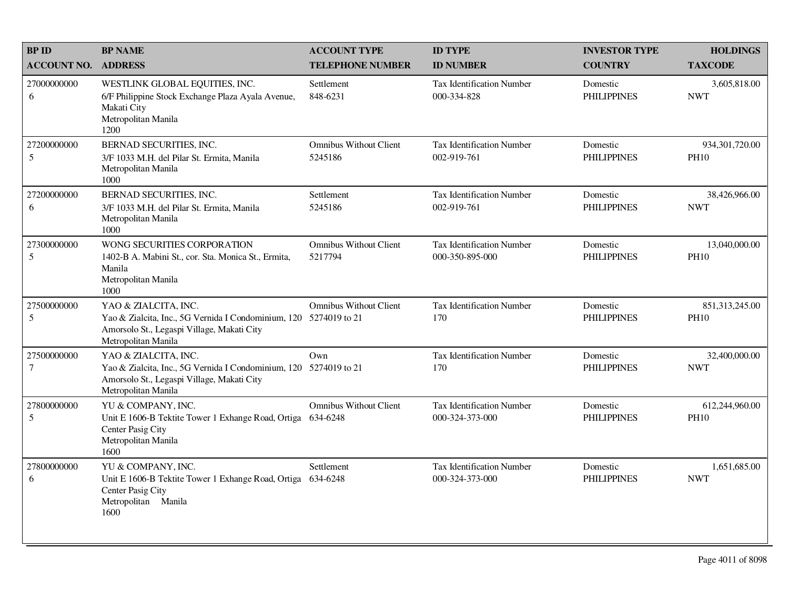| <b>BPID</b>           | <b>BP NAME</b>                                                                                                                                                 | <b>ACCOUNT TYPE</b>                      | <b>ID TYPE</b>                                      | <b>INVESTOR TYPE</b>           | <b>HOLDINGS</b>               |
|-----------------------|----------------------------------------------------------------------------------------------------------------------------------------------------------------|------------------------------------------|-----------------------------------------------------|--------------------------------|-------------------------------|
| <b>ACCOUNT NO.</b>    | <b>ADDRESS</b>                                                                                                                                                 | <b>TELEPHONE NUMBER</b>                  | <b>ID NUMBER</b>                                    | <b>COUNTRY</b>                 | <b>TAXCODE</b>                |
| 27000000000<br>6      | WESTLINK GLOBAL EQUITIES, INC.<br>6/F Philippine Stock Exchange Plaza Ayala Avenue,<br>Makati City<br>Metropolitan Manila<br>1200                              | Settlement<br>848-6231                   | Tax Identification Number<br>000-334-828            | Domestic<br><b>PHILIPPINES</b> | 3,605,818.00<br><b>NWT</b>    |
| 27200000000<br>5      | <b>BERNAD SECURITIES, INC.</b><br>3/F 1033 M.H. del Pilar St. Ermita, Manila<br>Metropolitan Manila<br>1000                                                    | <b>Omnibus Without Client</b><br>5245186 | <b>Tax Identification Number</b><br>002-919-761     | Domestic<br><b>PHILIPPINES</b> | 934,301,720.00<br><b>PH10</b> |
| 27200000000<br>6      | BERNAD SECURITIES, INC.<br>3/F 1033 M.H. del Pilar St. Ermita, Manila<br>Metropolitan Manila<br>1000                                                           | Settlement<br>5245186                    | Tax Identification Number<br>002-919-761            | Domestic<br><b>PHILIPPINES</b> | 38,426,966.00<br><b>NWT</b>   |
| 27300000000<br>5      | WONG SECURITIES CORPORATION<br>1402-B A. Mabini St., cor. Sta. Monica St., Ermita,<br>Manila<br>Metropolitan Manila<br>1000                                    | <b>Omnibus Without Client</b><br>5217794 | <b>Tax Identification Number</b><br>000-350-895-000 | Domestic<br><b>PHILIPPINES</b> | 13,040,000.00<br><b>PH10</b>  |
| 27500000000<br>5      | YAO & ZIALCITA, INC.<br>Yao & Zialcita, Inc., 5G Vernida I Condominium, 120 5274019 to 21<br>Amorsolo St., Legaspi Village, Makati City<br>Metropolitan Manila | <b>Omnibus Without Client</b>            | <b>Tax Identification Number</b><br>170             | Domestic<br><b>PHILIPPINES</b> | 851,313,245.00<br><b>PH10</b> |
| 27500000000<br>$\tau$ | YAO & ZIALCITA, INC.<br>Yao & Zialcita, Inc., 5G Vernida I Condominium, 120 5274019 to 21<br>Amorsolo St., Legaspi Village, Makati City<br>Metropolitan Manila | Own                                      | <b>Tax Identification Number</b><br>170             | Domestic<br><b>PHILIPPINES</b> | 32,400,000.00<br><b>NWT</b>   |
| 27800000000<br>5      | YU & COMPANY, INC.<br>Unit E 1606-B Tektite Tower 1 Exhange Road, Ortiga 634-6248<br>Center Pasig City<br>Metropolitan Manila<br>1600                          | <b>Omnibus Without Client</b>            | <b>Tax Identification Number</b><br>000-324-373-000 | Domestic<br><b>PHILIPPINES</b> | 612,244,960.00<br><b>PH10</b> |
| 27800000000<br>6      | YU & COMPANY, INC.<br>Unit E 1606-B Tektite Tower 1 Exhange Road, Ortiga 634-6248<br>Center Pasig City<br>Metropolitan Manila<br>1600                          | Settlement                               | <b>Tax Identification Number</b><br>000-324-373-000 | Domestic<br><b>PHILIPPINES</b> | 1,651,685.00<br><b>NWT</b>    |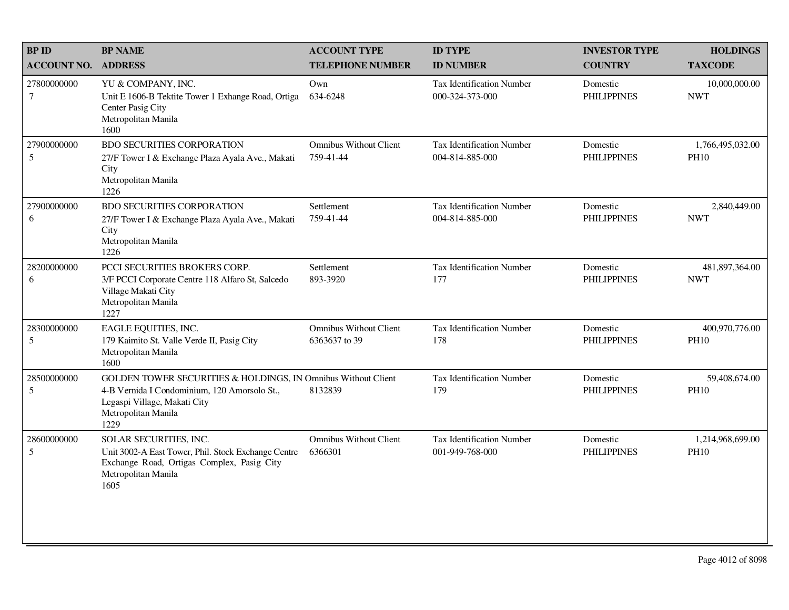| <b>BPID</b>                     | <b>BP NAME</b>                                                                                                                                                               | <b>ACCOUNT TYPE</b>                            | <b>ID TYPE</b>                                      | <b>INVESTOR TYPE</b>           | <b>HOLDINGS</b>                 |
|---------------------------------|------------------------------------------------------------------------------------------------------------------------------------------------------------------------------|------------------------------------------------|-----------------------------------------------------|--------------------------------|---------------------------------|
| <b>ACCOUNT NO.</b>              | <b>ADDRESS</b>                                                                                                                                                               | <b>TELEPHONE NUMBER</b>                        | <b>ID NUMBER</b>                                    | <b>COUNTRY</b>                 | <b>TAXCODE</b>                  |
| 27800000000<br>$\boldsymbol{7}$ | YU & COMPANY, INC.<br>Unit E 1606-B Tektite Tower 1 Exhange Road, Ortiga<br>Center Pasig City<br>Metropolitan Manila<br>1600                                                 | Own<br>634-6248                                | <b>Tax Identification Number</b><br>000-324-373-000 | Domestic<br><b>PHILIPPINES</b> | 10,000,000.00<br><b>NWT</b>     |
| 27900000000<br>5                | <b>BDO SECURITIES CORPORATION</b><br>27/F Tower I & Exchange Plaza Ayala Ave., Makati<br>City<br>Metropolitan Manila<br>1226                                                 | <b>Omnibus Without Client</b><br>759-41-44     | <b>Tax Identification Number</b><br>004-814-885-000 | Domestic<br><b>PHILIPPINES</b> | 1,766,495,032.00<br><b>PH10</b> |
| 27900000000<br>6                | <b>BDO SECURITIES CORPORATION</b><br>27/F Tower I & Exchange Plaza Ayala Ave., Makati<br>City<br>Metropolitan Manila<br>1226                                                 | Settlement<br>759-41-44                        | Tax Identification Number<br>004-814-885-000        | Domestic<br><b>PHILIPPINES</b> | 2,840,449.00<br><b>NWT</b>      |
| 28200000000<br>6                | PCCI SECURITIES BROKERS CORP.<br>3/F PCCI Corporate Centre 118 Alfaro St, Salcedo<br>Village Makati City<br>Metropolitan Manila<br>1227                                      | Settlement<br>893-3920                         | Tax Identification Number<br>177                    | Domestic<br><b>PHILIPPINES</b> | 481,897,364.00<br><b>NWT</b>    |
| 28300000000<br>5                | EAGLE EQUITIES, INC.<br>179 Kaimito St. Valle Verde II, Pasig City<br>Metropolitan Manila<br>1600                                                                            | <b>Omnibus Without Client</b><br>6363637 to 39 | <b>Tax Identification Number</b><br>178             | Domestic<br><b>PHILIPPINES</b> | 400,970,776.00<br><b>PH10</b>   |
| 28500000000<br>5                | GOLDEN TOWER SECURITIES & HOLDINGS, IN Omnibus Without Client<br>4-B Vernida I Condominium, 120 Amorsolo St.,<br>Legaspi Village, Makati City<br>Metropolitan Manila<br>1229 | 8132839                                        | <b>Tax Identification Number</b><br>179             | Domestic<br><b>PHILIPPINES</b> | 59,408,674.00<br><b>PH10</b>    |
| 28600000000<br>5                | SOLAR SECURITIES, INC.<br>Unit 3002-A East Tower, Phil. Stock Exchange Centre<br>Exchange Road, Ortigas Complex, Pasig City<br>Metropolitan Manila<br>1605                   | <b>Omnibus Without Client</b><br>6366301       | <b>Tax Identification Number</b><br>001-949-768-000 | Domestic<br><b>PHILIPPINES</b> | 1,214,968,699.00<br><b>PH10</b> |
|                                 |                                                                                                                                                                              |                                                |                                                     |                                |                                 |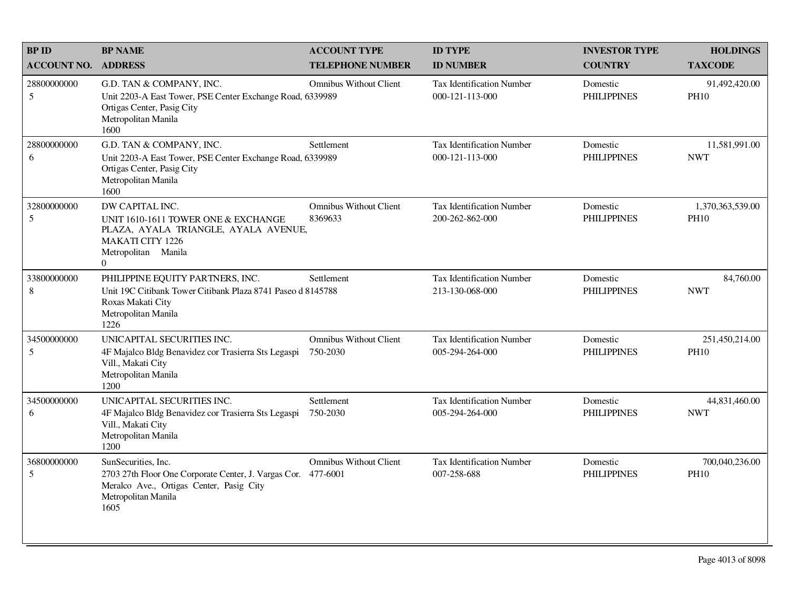| <b>BP ID</b>       | <b>BP NAME</b>                                                                                                                                                  | <b>ACCOUNT TYPE</b>                       | <b>ID TYPE</b>                                      | <b>INVESTOR TYPE</b>           | <b>HOLDINGS</b>                 |
|--------------------|-----------------------------------------------------------------------------------------------------------------------------------------------------------------|-------------------------------------------|-----------------------------------------------------|--------------------------------|---------------------------------|
| <b>ACCOUNT NO.</b> | <b>ADDRESS</b>                                                                                                                                                  | <b>TELEPHONE NUMBER</b>                   | <b>ID NUMBER</b>                                    | <b>COUNTRY</b>                 | <b>TAXCODE</b>                  |
| 28800000000<br>5   | G.D. TAN & COMPANY, INC.<br>Unit 2203-A East Tower, PSE Center Exchange Road, 6339989<br>Ortigas Center, Pasig City<br>Metropolitan Manila<br>1600              | <b>Omnibus Without Client</b>             | <b>Tax Identification Number</b><br>000-121-113-000 | Domestic<br><b>PHILIPPINES</b> | 91,492,420.00<br><b>PH10</b>    |
| 28800000000<br>6   | G.D. TAN & COMPANY, INC.<br>Unit 2203-A East Tower, PSE Center Exchange Road, 6339989<br>Ortigas Center, Pasig City<br>Metropolitan Manila<br>1600              | Settlement                                | <b>Tax Identification Number</b><br>000-121-113-000 | Domestic<br><b>PHILIPPINES</b> | 11,581,991.00<br><b>NWT</b>     |
| 32800000000<br>5   | DW CAPITAL INC.<br>UNIT 1610-1611 TOWER ONE & EXCHANGE<br>PLAZA, AYALA TRIANGLE, AYALA AVENUE,<br><b>MAKATI CITY 1226</b><br>Metropolitan Manila<br>$\Omega$    | <b>Omnibus Without Client</b><br>8369633  | <b>Tax Identification Number</b><br>200-262-862-000 | Domestic<br><b>PHILIPPINES</b> | 1,370,363,539.00<br><b>PH10</b> |
| 33800000000<br>8   | PHILIPPINE EQUITY PARTNERS, INC.<br>Unit 19C Citibank Tower Citibank Plaza 8741 Paseo d 8145788<br>Roxas Makati City<br>Metropolitan Manila<br>1226             | Settlement                                | Tax Identification Number<br>213-130-068-000        | Domestic<br><b>PHILIPPINES</b> | 84,760.00<br><b>NWT</b>         |
| 34500000000<br>5   | UNICAPITAL SECURITIES INC.<br>4F Majalco Bldg Benavidez cor Trasierra Sts Legaspi<br>Vill., Makati City<br>Metropolitan Manila<br>1200                          | <b>Omnibus Without Client</b><br>750-2030 | <b>Tax Identification Number</b><br>005-294-264-000 | Domestic<br><b>PHILIPPINES</b> | 251,450,214.00<br><b>PH10</b>   |
| 34500000000<br>6   | UNICAPITAL SECURITIES INC.<br>4F Majalco Bldg Benavidez cor Trasierra Sts Legaspi<br>Vill., Makati City<br>Metropolitan Manila<br>1200                          | Settlement<br>750-2030                    | <b>Tax Identification Number</b><br>005-294-264-000 | Domestic<br><b>PHILIPPINES</b> | 44,831,460.00<br><b>NWT</b>     |
| 36800000000<br>5   | SunSecurities, Inc.<br>2703 27th Floor One Corporate Center, J. Vargas Cor. 477-6001<br>Meralco Ave., Ortigas Center, Pasig City<br>Metropolitan Manila<br>1605 | <b>Omnibus Without Client</b>             | Tax Identification Number<br>007-258-688            | Domestic<br><b>PHILIPPINES</b> | 700,040,236.00<br><b>PH10</b>   |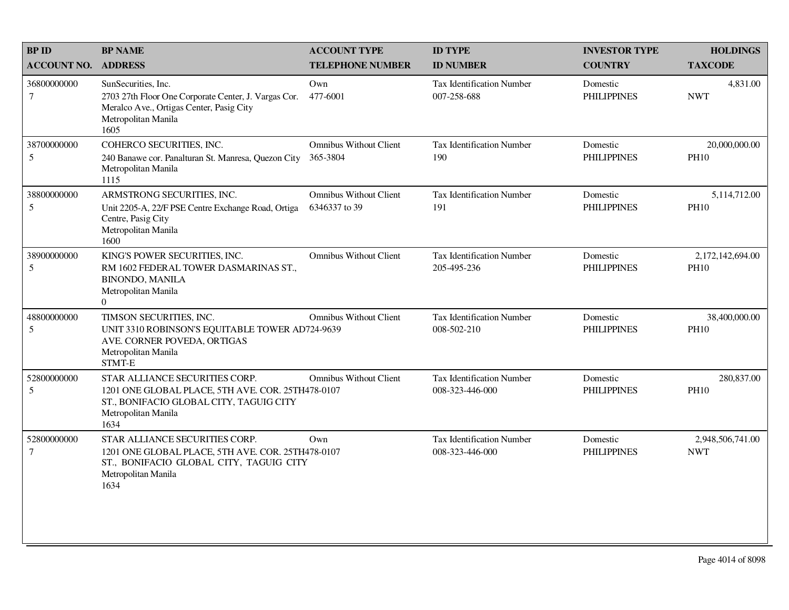| <b>BP ID</b>                   | <b>BP NAME</b>                                                                                                                                                | <b>ACCOUNT TYPE</b>                            | <b>ID TYPE</b>                                      | <b>INVESTOR TYPE</b>           | <b>HOLDINGS</b>                 |
|--------------------------------|---------------------------------------------------------------------------------------------------------------------------------------------------------------|------------------------------------------------|-----------------------------------------------------|--------------------------------|---------------------------------|
| <b>ACCOUNT NO.</b>             | <b>ADDRESS</b>                                                                                                                                                | <b>TELEPHONE NUMBER</b>                        | <b>ID NUMBER</b>                                    | <b>COUNTRY</b>                 | <b>TAXCODE</b>                  |
| 36800000000<br>$7\overline{ }$ | SunSecurities, Inc.<br>2703 27th Floor One Corporate Center, J. Vargas Cor.<br>Meralco Ave., Ortigas Center, Pasig City<br>Metropolitan Manila<br>1605        | Own<br>477-6001                                | <b>Tax Identification Number</b><br>007-258-688     | Domestic<br><b>PHILIPPINES</b> | 4,831.00<br><b>NWT</b>          |
| 38700000000<br>5               | COHERCO SECURITIES, INC.<br>240 Banawe cor. Panalturan St. Manresa, Quezon City<br>Metropolitan Manila<br>1115                                                | <b>Omnibus Without Client</b><br>365-3804      | Tax Identification Number<br>190                    | Domestic<br><b>PHILIPPINES</b> | 20,000,000.00<br><b>PH10</b>    |
| 38800000000<br>5               | ARMSTRONG SECURITIES, INC.<br>Unit 2205-A, 22/F PSE Centre Exchange Road, Ortiga<br>Centre, Pasig City<br>Metropolitan Manila<br>1600                         | <b>Omnibus Without Client</b><br>6346337 to 39 | <b>Tax Identification Number</b><br>191             | Domestic<br><b>PHILIPPINES</b> | 5,114,712.00<br><b>PH10</b>     |
| 38900000000<br>$\sqrt{5}$      | KING'S POWER SECURITIES, INC.<br>RM 1602 FEDERAL TOWER DASMARINAS ST.,<br><b>BINONDO, MANILA</b><br>Metropolitan Manila<br>$\Omega$                           | <b>Omnibus Without Client</b>                  | <b>Tax Identification Number</b><br>205-495-236     | Domestic<br><b>PHILIPPINES</b> | 2,172,142,694.00<br><b>PH10</b> |
| 48800000000<br>5               | TIMSON SECURITIES, INC.<br>UNIT 3310 ROBINSON'S EQUITABLE TOWER AD724-9639<br>AVE. CORNER POVEDA, ORTIGAS<br>Metropolitan Manila<br>STMT-E                    | <b>Omnibus Without Client</b>                  | Tax Identification Number<br>008-502-210            | Domestic<br><b>PHILIPPINES</b> | 38,400,000.00<br><b>PH10</b>    |
| 52800000000<br>5               | STAR ALLIANCE SECURITIES CORP.<br>1201 ONE GLOBAL PLACE, 5TH AVE. COR. 25TH478-0107<br>ST., BONIFACIO GLOBAL CITY, TAGUIG CITY<br>Metropolitan Manila<br>1634 | <b>Omnibus Without Client</b>                  | <b>Tax Identification Number</b><br>008-323-446-000 | Domestic<br><b>PHILIPPINES</b> | 280,837.00<br><b>PH10</b>       |
| 52800000000<br>$\tau$          | STAR ALLIANCE SECURITIES CORP.<br>1201 ONE GLOBAL PLACE, 5TH AVE. COR. 25TH478-0107<br>ST., BONIFACIO GLOBAL CITY, TAGUIG CITY<br>Metropolitan Manila<br>1634 | Own                                            | <b>Tax Identification Number</b><br>008-323-446-000 | Domestic<br><b>PHILIPPINES</b> | 2,948,506,741.00<br><b>NWT</b>  |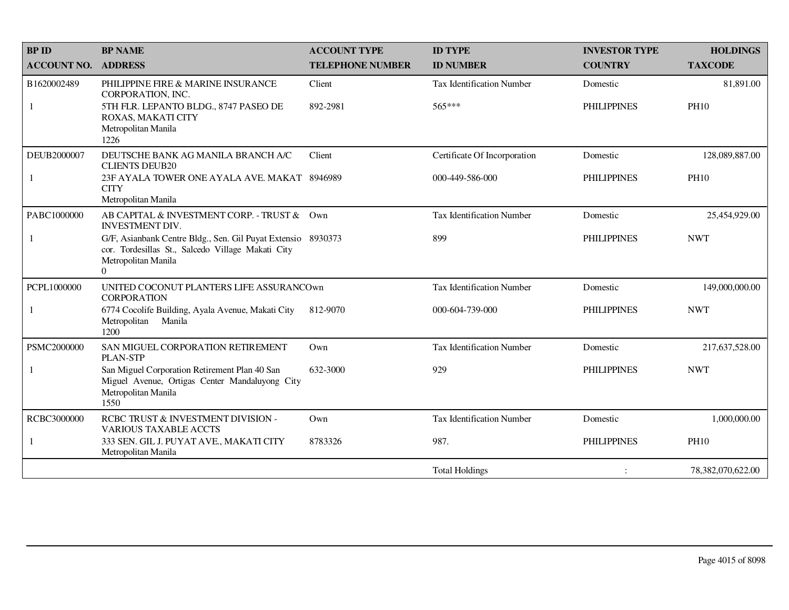| <b>BPID</b>        | <b>BP NAME</b>                                                                                                                                       | <b>ACCOUNT TYPE</b>     | <b>ID TYPE</b>                   | <b>INVESTOR TYPE</b> | <b>HOLDINGS</b>   |
|--------------------|------------------------------------------------------------------------------------------------------------------------------------------------------|-------------------------|----------------------------------|----------------------|-------------------|
| <b>ACCOUNT NO.</b> | <b>ADDRESS</b>                                                                                                                                       | <b>TELEPHONE NUMBER</b> | <b>ID NUMBER</b>                 | <b>COUNTRY</b>       | <b>TAXCODE</b>    |
| B1620002489        | PHILIPPINE FIRE & MARINE INSURANCE<br>CORPORATION, INC.                                                                                              | Client                  | Tax Identification Number        | Domestic             | 81,891.00         |
| 1                  | 5TH FLR. LEPANTO BLDG., 8747 PASEO DE<br>ROXAS, MAKATI CITY<br>Metropolitan Manila<br>1226                                                           | 892-2981                | 565***                           | <b>PHILIPPINES</b>   | <b>PH10</b>       |
| DEUB2000007        | DEUTSCHE BANK AG MANILA BRANCH A/C<br><b>CLIENTS DEUB20</b>                                                                                          | Client                  | Certificate Of Incorporation     | Domestic             | 128,089,887.00    |
| -1                 | 23F AYALA TOWER ONE AYALA AVE. MAKAT 8946989<br><b>CITY</b><br>Metropolitan Manila                                                                   |                         | 000-449-586-000                  | <b>PHILIPPINES</b>   | <b>PH10</b>       |
| PABC1000000        | AB CAPITAL & INVESTMENT CORP. - TRUST & Own<br><b>INVESTMENT DIV.</b>                                                                                |                         | <b>Tax Identification Number</b> | Domestic             | 25,454,929.00     |
| -1                 | G/F, Asianbank Centre Bldg., Sen. Gil Puyat Extensio 8930373<br>cor. Tordesillas St., Salcedo Village Makati City<br>Metropolitan Manila<br>$\Omega$ |                         | 899                              | <b>PHILIPPINES</b>   | <b>NWT</b>        |
| PCPL1000000        | UNITED COCONUT PLANTERS LIFE ASSURANCOWN<br><b>CORPORATION</b>                                                                                       |                         | <b>Tax Identification Number</b> | Domestic             | 149,000,000.00    |
| 1                  | 6774 Cocolife Building, Ayala Avenue, Makati City<br>Metropolitan Manila<br>1200                                                                     | 812-9070                | 000-604-739-000                  | <b>PHILIPPINES</b>   | <b>NWT</b>        |
| PSMC2000000        | SAN MIGUEL CORPORATION RETIREMENT<br><b>PLAN-STP</b>                                                                                                 | Own                     | Tax Identification Number        | Domestic             | 217,637,528.00    |
|                    | San Miguel Corporation Retirement Plan 40 San<br>Miguel Avenue, Ortigas Center Mandaluyong City<br>Metropolitan Manila<br>1550                       | 632-3000                | 929                              | <b>PHILIPPINES</b>   | <b>NWT</b>        |
| RCBC3000000        | RCBC TRUST & INVESTMENT DIVISION -<br><b>VARIOUS TAXABLE ACCTS</b>                                                                                   | Own                     | Tax Identification Number        | Domestic             | 1,000,000.00      |
| 1                  | 333 SEN. GIL J. PUYAT AVE., MAKATI CITY<br>Metropolitan Manila                                                                                       | 8783326                 | 987.                             | <b>PHILIPPINES</b>   | <b>PH10</b>       |
|                    |                                                                                                                                                      |                         | <b>Total Holdings</b>            |                      | 78,382,070,622.00 |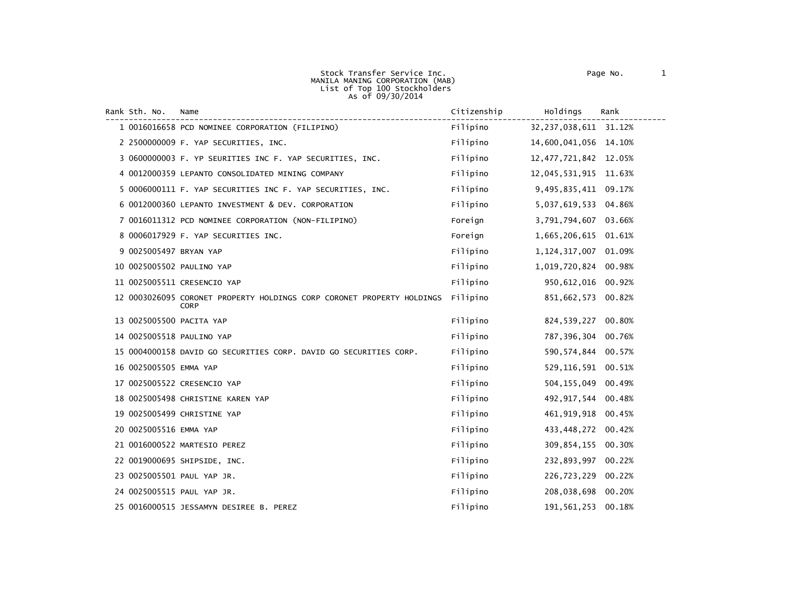| Rank Sth. No.            | Name                                                                                  | Citizenship | Holdings                 | Rank   |
|--------------------------|---------------------------------------------------------------------------------------|-------------|--------------------------|--------|
|                          | 1 0016016658 PCD NOMINEE CORPORATION (FILIPINO)                                       | Filipino    | 32, 237, 038, 611 31.12% |        |
|                          | 2 2500000009 F. YAP SECURITIES, INC.                                                  | Filipino    | 14,600,041,056 14.10%    |        |
|                          | 3 0600000003 F. YP SEURITIES INC F. YAP SECURITIES, INC.                              | Filipino    | 12, 477, 721, 842        | 12.05% |
|                          | 4 0012000359 LEPANTO CONSOLIDATED MINING COMPANY                                      | Filipino    | 12,045,531,915           | 11.63% |
|                          | 5 0006000111 F. YAP SECURITIES INC F. YAP SECURITIES, INC.                            | Filipino    | 9,495,835,411            | 09.17% |
|                          | 6 0012000360 LEPANTO INVESTMENT & DEV. CORPORATION                                    | Filipino    | 5,037,619,533            | 04.86% |
|                          | 7 0016011312 PCD NOMINEE CORPORATION (NON-FILIPINO)                                   | Foreign     | 3,791,794,607            | 03.66% |
|                          | 8 0006017929 F. YAP SECURITIES INC.                                                   | Foreign     | 1,665,206,615            | 01.61% |
| 9 0025005497 BRYAN YAP   |                                                                                       | Filipino    | 1, 124, 317, 007         | 01.09% |
|                          | 10 0025005502 PAULINO YAP                                                             | Filipino    | 1,019,720,824            | 00.98% |
|                          | 11 0025005511 CRESENCIO YAP                                                           | Filipino    | 950,612,016              | 00.92% |
|                          | 12 0003026095 CORONET PROPERTY HOLDINGS CORP CORONET PROPERTY HOLDINGS<br><b>CORP</b> | Filipino    | 851,662,573              | 00.82% |
| 13 0025005500 PACITA YAP |                                                                                       | Filipino    | 824,539,227              | 00.80% |
|                          | 14 0025005518 PAULINO YAP                                                             | Filipino    | 787, 396, 304            | 00.76% |
|                          | 15 0004000158 DAVID GO SECURITIES CORP. DAVID GO SECURITIES CORP.                     | Filipino    | 590, 574, 844            | 00.57% |
| 16 0025005505 EMMA YAP   |                                                                                       | Filipino    | 529,116,591              | 00.51% |
|                          | 17 0025005522 CRESENCIO YAP                                                           | Filipino    | 504, 155, 049            | 00.49% |
|                          | 18 0025005498 CHRISTINE KAREN YAP                                                     | Filipino    | 492, 917, 544            | 00.48% |
|                          | 19 0025005499 CHRISTINE YAP                                                           | Filipino    | 461, 919, 918            | 00.45% |
| 20 0025005516 EMMA YAP   |                                                                                       | Filipino    | 433,448,272              | 00.42% |
|                          | 21 0016000522 MARTESIO PEREZ                                                          | Filipino    | 309,854,155              | 00.30% |
|                          | 22 0019000695 SHIPSIDE, INC.                                                          | Filipino    | 232,893,997              | 00.22% |
|                          | 23 0025005501 PAUL YAP JR.                                                            | Filipino    | 226,723,229              | 00.22% |
|                          | 24 0025005515 PAUL YAP JR.                                                            | Filipino    | 208,038,698              | 00.20% |
|                          | 25 0016000515 JESSAMYN DESIREE B. PEREZ                                               | Filipino    | 191, 561, 253            | 00.18% |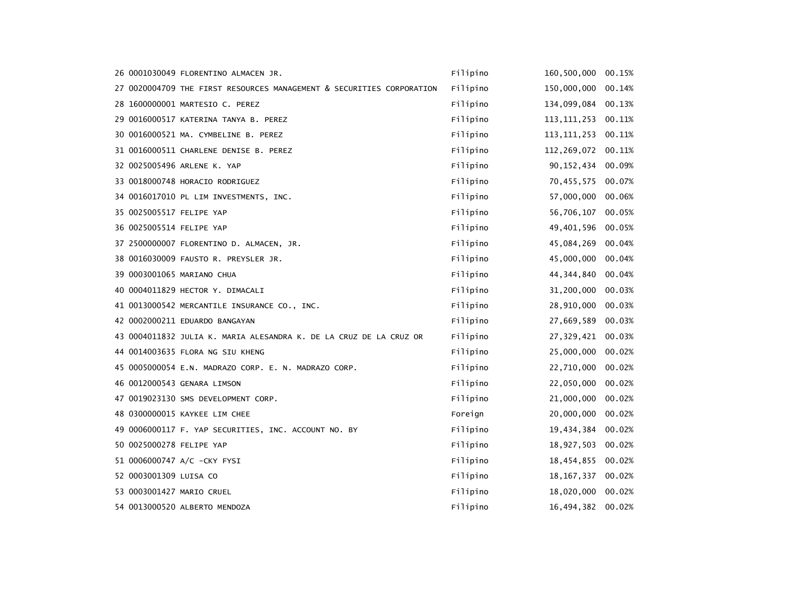|                           | 26 0001030049 FLORENTINO ALMACEN JR.                                  | Filipino | 160,500,000           | 00.15% |
|---------------------------|-----------------------------------------------------------------------|----------|-----------------------|--------|
|                           | 27 0020004709 THE FIRST RESOURCES MANAGEMENT & SECURITIES CORPORATION | Filipino | 150,000,000           | 00.14% |
|                           | 28 1600000001 MARTESIO C. PEREZ                                       | Filipino | 134,099,084           | 00.13% |
|                           | 29 0016000517 KATERINA TANYA B. PEREZ                                 | Filipino | 113, 111, 253 00. 11% |        |
|                           | 30 0016000521 MA. CYMBELINE B. PEREZ                                  | Filipino | 113, 111, 253         | 00.11% |
|                           | 31 0016000511 CHARLENE DENISE B. PEREZ                                | Filipino | 112, 269, 072         | 00.11% |
|                           | 32 0025005496 ARLENE K. YAP                                           | Filipino | 90, 152, 434 00.09%   |        |
|                           | 33 0018000748 HORACIO RODRIGUEZ                                       | Filipino | 70,455,575 00.07%     |        |
|                           | 34 0016017010 PL LIM INVESTMENTS, INC.                                | Filipino | 57,000,000            | 00.06% |
| 35 0025005517 FELIPE YAP  |                                                                       | Filipino | 56,706,107            | 00.05% |
| 36 0025005514 FELIPE YAP  |                                                                       | Filipino | 49,401,596            | 00.05% |
|                           | 37 2500000007 FLORENTINO D. ALMACEN, JR.                              | Filipino | 45,084,269            | 00.04% |
|                           | 38 0016030009 FAUSTO R. PREYSLER JR.                                  | Filipino | 45,000,000            | 00.04% |
|                           | 39 0003001065 MARIANO CHUA                                            | Filipino | 44, 344, 840          | 00.04% |
|                           | 40 0004011829 HECTOR Y. DIMACALI                                      | Filipino | 31,200,000            | 00.03% |
|                           | 41 0013000542 MERCANTILE INSURANCE CO., INC.                          | Filipino | 28,910,000            | 00.03% |
|                           | 42 0002000211 EDUARDO BANGAYAN                                        | Filipino | 27,669,589 00.03%     |        |
|                           | 43 0004011832 JULIA K. MARIA ALESANDRA K. DE LA CRUZ DE LA CRUZ OR    | Filipino | 27,329,421 00.03%     |        |
|                           | 44 0014003635 FLORA NG SIU KHENG                                      | Filipino | 25,000,000            | 00.02% |
|                           | 45 0005000054 E.N. MADRAZO CORP. E. N. MADRAZO CORP.                  | Filipino | 22,710,000            | 00.02% |
|                           | 46 0012000543 GENARA LIMSON                                           | Filipino | 22,050,000            | 00.02% |
|                           | 47 0019023130 SMS DEVELOPMENT CORP.                                   | Filipino | 21,000,000            | 00.02% |
|                           | 48 0300000015 KAYKEE LIM CHEE                                         | Foreign  | 20,000,000            | 00.02% |
|                           | 49 0006000117 F. YAP SECURITIES, INC. ACCOUNT NO. BY                  | Filipino | 19,434,384            | 00.02% |
| 50 0025000278 FELIPE YAP  |                                                                       | Filipino | 18,927,503            | 00.02% |
|                           | 51 0006000747 A/C -CKY FYSI                                           | Filipino | 18,454,855            | 00.02% |
| 52 0003001309 LUISA CO    |                                                                       | Filipino | 18, 167, 337          | 00.02% |
| 53 0003001427 MARIO CRUEL |                                                                       | Filipino | 18,020,000            | 00.02% |
|                           | 54 0013000520 ALBERTO MENDOZA                                         | Filipino | 16,494,382            | 00.02% |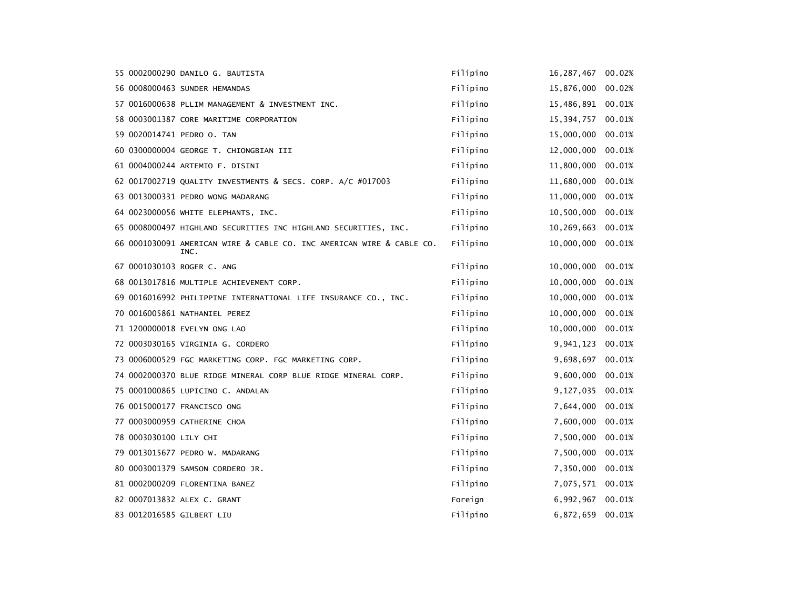|                        | 55 0002000290 DANILO G. BAUTISTA                                              | Filipino | 16, 287, 467      | 00.02% |
|------------------------|-------------------------------------------------------------------------------|----------|-------------------|--------|
|                        | 56 0008000463 SUNDER HEMANDAS                                                 | Filipino | 15,876,000        | 00.02% |
|                        | 57 0016000638 PLLIM MANAGEMENT & INVESTMENT INC.                              | Filipino | 15,486,891        | 00.01% |
|                        | 58 0003001387 CORE MARITIME CORPORATION                                       | Filipino | 15,394,757        | 00.01% |
|                        | 59 0020014741 PEDRO O. TAN                                                    | Filipino | 15,000,000        | 00.01% |
|                        | 60 0300000004 GEORGE T. CHIONGBIAN III                                        | Filipino | 12,000,000        | 00.01% |
|                        | 61 0004000244 ARTEMIO F. DISINI                                               | Filipino | 11,800,000        | 00.01% |
|                        | 62 0017002719 QUALITY INVESTMENTS & SECS. CORP. A/C #017003                   | Filipino | 11,680,000        | 00.01% |
|                        | 63 0013000331 PEDRO WONG MADARANG                                             | Filipino | 11,000,000        | 00.01% |
|                        | 64 0023000056 WHITE ELEPHANTS, INC.                                           | Filipino | 10,500,000        | 00.01% |
|                        | 65 0008000497 HIGHLAND SECURITIES INC HIGHLAND SECURITIES, INC.               | Filipino | 10,269,663        | 00.01% |
|                        | 66 0001030091 AMERICAN WIRE & CABLE CO. INC AMERICAN WIRE & CABLE CO.<br>INC. | Filipino | 10,000,000 00.01% |        |
|                        | 67 0001030103 ROGER C. ANG                                                    | Filipino | 10,000,000        | 00.01% |
|                        | 68 0013017816 MULTIPLE ACHIEVEMENT CORP.                                      | Filipino | 10,000,000        | 00.01% |
|                        | 69 0016016992 PHILIPPINE INTERNATIONAL LIFE INSURANCE CO., INC.               | Filipino | 10,000,000        | 00.01% |
|                        | 70 0016005861 NATHANIEL PEREZ                                                 | Filipino | 10,000,000        | 00.01% |
|                        | 71 1200000018 EVELYN ONG LAO                                                  | Filipino | 10,000,000        | 00.01% |
|                        | 72 0003030165 VIRGINIA G. CORDERO                                             | Filipino | 9,941,123         | 00.01% |
|                        | 73 0006000529 FGC MARKETING CORP. FGC MARKETING CORP.                         | Filipino | 9,698,697         | 00.01% |
|                        | 74 0002000370 BLUE RIDGE MINERAL CORP BLUE RIDGE MINERAL CORP.                | Filipino | 9,600,000         | 00.01% |
|                        | 75 0001000865 LUPICINO C. ANDALAN                                             | Filipino | 9,127,035         | 00.01% |
|                        | 76 0015000177 FRANCISCO ONG                                                   | Filipino | 7,644,000         | 00.01% |
|                        | 77 0003000959 CATHERINE CHOA                                                  | Filipino | 7,600,000         | 00.01% |
| 78 0003030100 LILY CHI |                                                                               | Filipino | 7,500,000         | 00.01% |
|                        | 79 0013015677 PEDRO W. MADARANG                                               | Filipino | 7,500,000         | 00.01% |
|                        | 80 0003001379 SAMSON CORDERO JR.                                              | Filipino | 7,350,000         | 00.01% |
|                        | 81 0002000209 FLORENTINA BANEZ                                                | Filipino | 7,075,571 00.01%  |        |
|                        | 82 0007013832 ALEX C. GRANT                                                   | Foreign  | 6,992,967         | 00.01% |
|                        | 83 0012016585 GILBERT LIU                                                     | Filipino | 6,872,659         | 00.01% |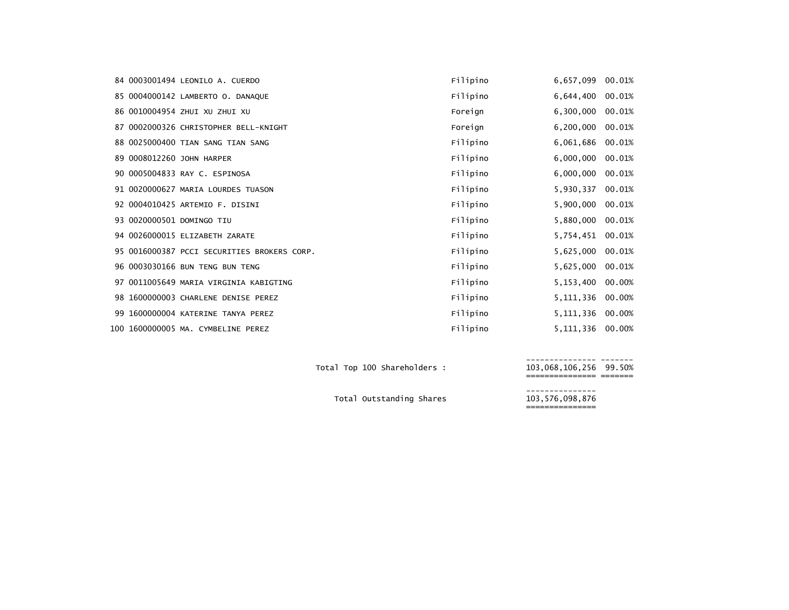|  | 84 0003001494 LEONILO A. CUERDO             | Filipino | 6,657,099        | 00.01% |
|--|---------------------------------------------|----------|------------------|--------|
|  | 85 0004000142 LAMBERTO O. DANAQUE           | Filipino | 6,644,400        | 00.01% |
|  | 86 0010004954 ZHUI XU ZHUI XU               | Foreign  | 6,300,000        | 00.01% |
|  | 87 0002000326 CHRISTOPHER BELL-KNIGHT       | Foreign  | 6,200,000        | 00.01% |
|  | 88 0025000400 TIAN SANG TIAN SANG           | Filipino | 6,061,686        | 00.01% |
|  | 89 0008012260 JOHN HARPER                   | Filipino | 6,000,000        | 00.01% |
|  | 90 0005004833 RAY C. ESPINOSA               | Filipino | 6,000,000        | 00.01% |
|  | 91 0020000627 MARIA LOURDES TUASON          | Filipino | 5,930,337        | 00.01% |
|  | 92 0004010425 ARTEMIO F. DISINI             | Filipino | 5,900,000        | 00.01% |
|  | 93 0020000501 DOMINGO TIU                   | Filipino | 5,880,000        | 00.01% |
|  | 94 0026000015 ELIZABETH ZARATE              | Filipino | 5,754,451        | 00.01% |
|  | 95 0016000387 PCCI SECURITIES BROKERS CORP. | Filipino | 5,625,000        | 00.01% |
|  | 96 0003030166 BUN TENG BUN TENG             | Filipino | 5,625,000        | 00.01% |
|  | 97 0011005649 MARIA VIRGINIA KABIGTING      | Filipino | 5,153,400        | 00.00% |
|  | 98 1600000003 CHARLENE DENISE PEREZ         | Filipino | 5, 111, 336      | 00.00% |
|  | 99 1600000004 KATERINE TANYA PEREZ          | Filipino | 5, 111, 336      | 00.00% |
|  | 100 1600000005 MA. CYMBELINE PEREZ          | Filipino | 5,111,336 00.00% |        |

--------------- ------- Total Top <sup>100</sup> Shareholders : 103,068,106,256 99.50% =============== ======= --------------- Total Outstanding Shares 103,576,098,876 ===============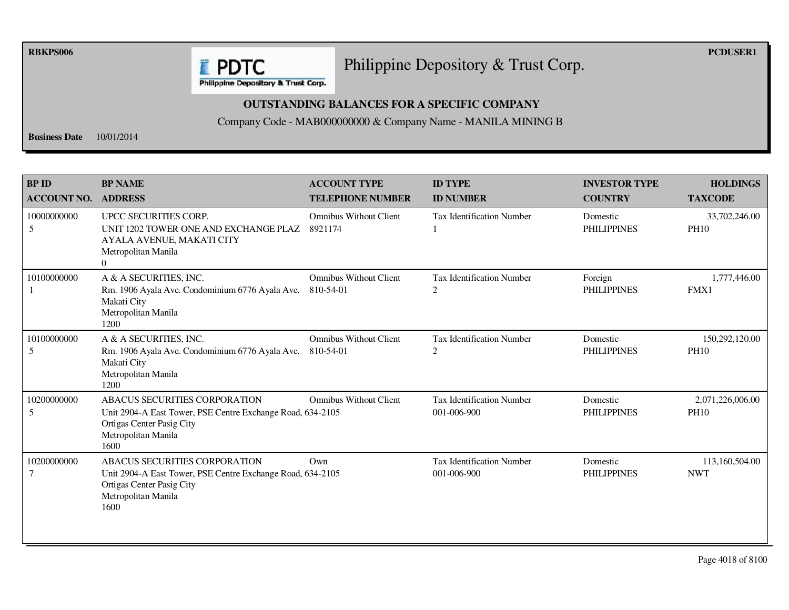**RBKPS006 PCDUSER1** 

## Philippine Depository & Trust Corp.

**E** PDTC Philippine Depository & Trust Corp.

## **OUTSTANDING BALANCES FOR A SPECIFIC COMPANY**

Company Code - MAB000000000 & Company Name - MANILA MINING B

**Business Date** 10/01/2014

| <b>BP ID</b><br><b>ACCOUNT NO.</b> | <b>BP NAME</b><br><b>ADDRESS</b>                                                                                                                               | <b>ACCOUNT TYPE</b><br><b>TELEPHONE NUMBER</b> | <b>ID TYPE</b><br><b>ID NUMBER</b>              | <b>INVESTOR TYPE</b><br><b>COUNTRY</b> | <b>HOLDINGS</b><br><b>TAXCODE</b> |
|------------------------------------|----------------------------------------------------------------------------------------------------------------------------------------------------------------|------------------------------------------------|-------------------------------------------------|----------------------------------------|-----------------------------------|
| 10000000000<br>5                   | UPCC SECURITIES CORP.<br>UNIT 1202 TOWER ONE AND EXCHANGE PLAZ<br>AYALA AVENUE, MAKATI CITY<br>Metropolitan Manila<br>$\Omega$                                 | <b>Omnibus Without Client</b><br>8921174       | <b>Tax Identification Number</b>                | Domestic<br><b>PHILIPPINES</b>         | 33,702,246.00<br><b>PH10</b>      |
| 10100000000                        | A & A SECURITIES, INC.<br>Rm. 1906 Ayala Ave. Condominium 6776 Ayala Ave.<br>Makati City<br>Metropolitan Manila<br>1200                                        | <b>Omnibus Without Client</b><br>810-54-01     | Tax Identification Number<br>2                  | Foreign<br><b>PHILIPPINES</b>          | 1,777,446.00<br>FMX1              |
| 10100000000<br>5                   | A & A SECURITIES, INC.<br>Rm. 1906 Ayala Ave. Condominium 6776 Ayala Ave.<br>Makati City<br>Metropolitan Manila<br>1200                                        | <b>Omnibus Without Client</b><br>810-54-01     | <b>Tax Identification Number</b><br>2           | Domestic<br><b>PHILIPPINES</b>         | 150,292,120.00<br><b>PH10</b>     |
| 10200000000<br>5                   | ABACUS SECURITIES CORPORATION<br>Unit 2904-A East Tower, PSE Centre Exchange Road, 634-2105<br>Ortigas Center Pasig City<br>Metropolitan Manila<br>1600        | <b>Omnibus Without Client</b>                  | <b>Tax Identification Number</b><br>001-006-900 | Domestic<br><b>PHILIPPINES</b>         | 2,071,226,006.00<br><b>PH10</b>   |
| 10200000000                        | <b>ABACUS SECURITIES CORPORATION</b><br>Unit 2904-A East Tower, PSE Centre Exchange Road, 634-2105<br>Ortigas Center Pasig City<br>Metropolitan Manila<br>1600 | Own                                            | <b>Tax Identification Number</b><br>001-006-900 | Domestic<br><b>PHILIPPINES</b>         | 113,160,504.00<br><b>NWT</b>      |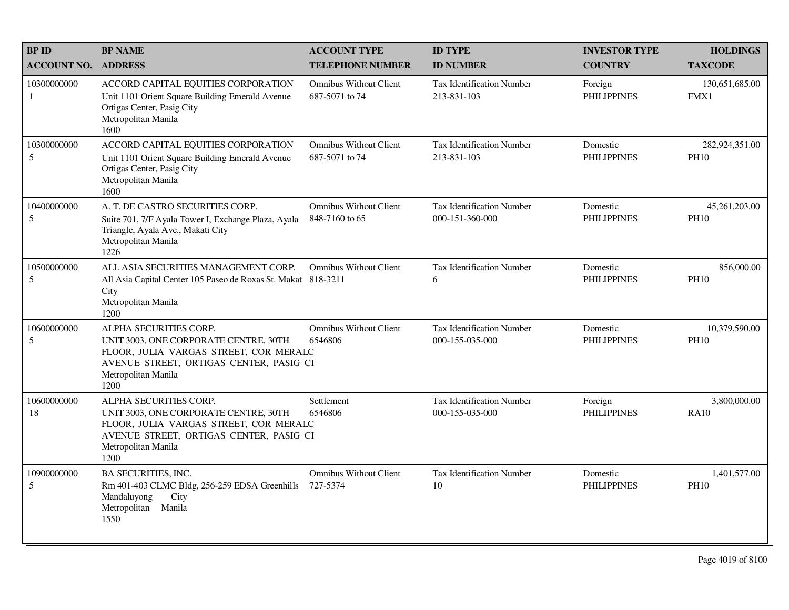| <b>BPID</b>        | <b>BP NAME</b>                                                                                                                                                                      | <b>ACCOUNT TYPE</b>                             | <b>ID TYPE</b>                                      | <b>INVESTOR TYPE</b>           | <b>HOLDINGS</b>               |
|--------------------|-------------------------------------------------------------------------------------------------------------------------------------------------------------------------------------|-------------------------------------------------|-----------------------------------------------------|--------------------------------|-------------------------------|
| <b>ACCOUNT NO.</b> | <b>ADDRESS</b>                                                                                                                                                                      | <b>TELEPHONE NUMBER</b>                         | <b>ID NUMBER</b>                                    | <b>COUNTRY</b>                 | <b>TAXCODE</b>                |
| 10300000000<br>-1  | ACCORD CAPITAL EQUITIES CORPORATION<br>Unit 1101 Orient Square Building Emerald Avenue<br>Ortigas Center, Pasig City<br>Metropolitan Manila<br>1600                                 | <b>Omnibus Without Client</b><br>687-5071 to 74 | <b>Tax Identification Number</b><br>213-831-103     | Foreign<br><b>PHILIPPINES</b>  | 130,651,685.00<br>FMX1        |
| 10300000000<br>5   | ACCORD CAPITAL EQUITIES CORPORATION<br>Unit 1101 Orient Square Building Emerald Avenue<br>Ortigas Center, Pasig City<br>Metropolitan Manila<br>1600                                 | <b>Omnibus Without Client</b><br>687-5071 to 74 | Tax Identification Number<br>213-831-103            | Domestic<br><b>PHILIPPINES</b> | 282,924,351.00<br><b>PH10</b> |
| 10400000000<br>5   | A. T. DE CASTRO SECURITIES CORP.<br>Suite 701, 7/F Ayala Tower I, Exchange Plaza, Ayala<br>Triangle, Ayala Ave., Makati City<br>Metropolitan Manila<br>1226                         | <b>Omnibus Without Client</b><br>848-7160 to 65 | Tax Identification Number<br>000-151-360-000        | Domestic<br><b>PHILIPPINES</b> | 45,261,203.00<br><b>PH10</b>  |
| 10500000000<br>5   | ALL ASIA SECURITIES MANAGEMENT CORP.<br>All Asia Capital Center 105 Paseo de Roxas St. Makat 818-3211<br>City<br>Metropolitan Manila<br>1200                                        | <b>Omnibus Without Client</b>                   | Tax Identification Number<br>6                      | Domestic<br><b>PHILIPPINES</b> | 856,000.00<br><b>PH10</b>     |
| 10600000000<br>5   | ALPHA SECURITIES CORP.<br>UNIT 3003, ONE CORPORATE CENTRE, 30TH<br>FLOOR, JULIA VARGAS STREET, COR MERALC<br>AVENUE STREET, ORTIGAS CENTER, PASIG CI<br>Metropolitan Manila<br>1200 | <b>Omnibus Without Client</b><br>6546806        | <b>Tax Identification Number</b><br>000-155-035-000 | Domestic<br><b>PHILIPPINES</b> | 10,379,590.00<br><b>PH10</b>  |
| 10600000000<br>18  | ALPHA SECURITIES CORP.<br>UNIT 3003, ONE CORPORATE CENTRE, 30TH<br>FLOOR, JULIA VARGAS STREET, COR MERALC<br>AVENUE STREET, ORTIGAS CENTER, PASIG CI<br>Metropolitan Manila<br>1200 | Settlement<br>6546806                           | <b>Tax Identification Number</b><br>000-155-035-000 | Foreign<br><b>PHILIPPINES</b>  | 3,800,000.00<br><b>RA10</b>   |
| 10900000000<br>5   | <b>BA SECURITIES, INC.</b><br>Rm 401-403 CLMC Bldg, 256-259 EDSA Greenhills<br>Mandaluyong<br>City<br>Metropolitan Manila<br>1550                                                   | <b>Omnibus Without Client</b><br>727-5374       | Tax Identification Number<br>10                     | Domestic<br><b>PHILIPPINES</b> | 1,401,577.00<br><b>PH10</b>   |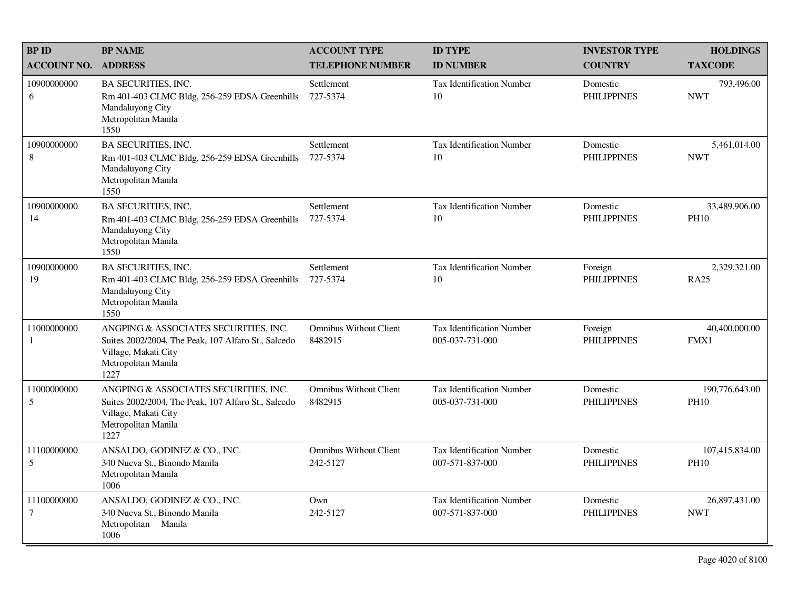| <b>BPID</b>                   | <b>BP NAME</b>                                                                                                                                      | <b>ACCOUNT TYPE</b>                       | <b>ID TYPE</b>                                      | <b>INVESTOR TYPE</b>           | <b>HOLDINGS</b>               |
|-------------------------------|-----------------------------------------------------------------------------------------------------------------------------------------------------|-------------------------------------------|-----------------------------------------------------|--------------------------------|-------------------------------|
| <b>ACCOUNT NO.</b>            | <b>ADDRESS</b>                                                                                                                                      | <b>TELEPHONE NUMBER</b>                   | <b>ID NUMBER</b>                                    | <b>COUNTRY</b>                 | <b>TAXCODE</b>                |
| 10900000000<br>6              | <b>BA SECURITIES, INC.</b><br>Rm 401-403 CLMC Bldg, 256-259 EDSA Greenhills<br>Mandaluyong City<br>Metropolitan Manila<br>1550                      | Settlement<br>727-5374                    | <b>Tax Identification Number</b><br>10              | Domestic<br><b>PHILIPPINES</b> | 793,496.00<br><b>NWT</b>      |
| 10900000000<br>8              | <b>BA SECURITIES, INC.</b><br>Rm 401-403 CLMC Bldg, 256-259 EDSA Greenhills<br>Mandaluyong City<br>Metropolitan Manila<br>1550                      | Settlement<br>727-5374                    | Tax Identification Number<br>10                     | Domestic<br><b>PHILIPPINES</b> | 5,461,014.00<br><b>NWT</b>    |
| 10900000000<br>14             | BA SECURITIES, INC.<br>Rm 401-403 CLMC Bldg, 256-259 EDSA Greenhills<br>Mandaluyong City<br>Metropolitan Manila<br>1550                             | Settlement<br>727-5374                    | <b>Tax Identification Number</b><br>10              | Domestic<br><b>PHILIPPINES</b> | 33,489,906.00<br><b>PH10</b>  |
| 10900000000<br>19             | <b>BA SECURITIES, INC.</b><br>Rm 401-403 CLMC Bldg, 256-259 EDSA Greenhills<br>Mandaluyong City<br>Metropolitan Manila<br>1550                      | Settlement<br>727-5374                    | <b>Tax Identification Number</b><br>10              | Foreign<br><b>PHILIPPINES</b>  | 2,329,321.00<br><b>RA25</b>   |
| 11000000000<br>1              | ANGPING & ASSOCIATES SECURITIES, INC.<br>Suites 2002/2004, The Peak, 107 Alfaro St., Salcedo<br>Village, Makati City<br>Metropolitan Manila<br>1227 | <b>Omnibus Without Client</b><br>8482915  | Tax Identification Number<br>005-037-731-000        | Foreign<br><b>PHILIPPINES</b>  | 40,400,000.00<br>FMX1         |
| 11000000000<br>5              | ANGPING & ASSOCIATES SECURITIES, INC.<br>Suites 2002/2004, The Peak, 107 Alfaro St., Salcedo<br>Village, Makati City<br>Metropolitan Manila<br>1227 | <b>Omnibus Without Client</b><br>8482915  | <b>Tax Identification Number</b><br>005-037-731-000 | Domestic<br><b>PHILIPPINES</b> | 190,776,643.00<br><b>PH10</b> |
| 11100000000<br>5              | ANSALDO, GODINEZ & CO., INC.<br>340 Nueva St., Binondo Manila<br>Metropolitan Manila<br>1006                                                        | <b>Omnibus Without Client</b><br>242-5127 | Tax Identification Number<br>007-571-837-000        | Domestic<br><b>PHILIPPINES</b> | 107,415,834.00<br><b>PH10</b> |
| 11100000000<br>$\overline{7}$ | ANSALDO, GODINEZ & CO., INC.<br>340 Nueva St., Binondo Manila<br>Metropolitan Manila<br>1006                                                        | Own<br>242-5127                           | <b>Tax Identification Number</b><br>007-571-837-000 | Domestic<br><b>PHILIPPINES</b> | 26,897,431.00<br><b>NWT</b>   |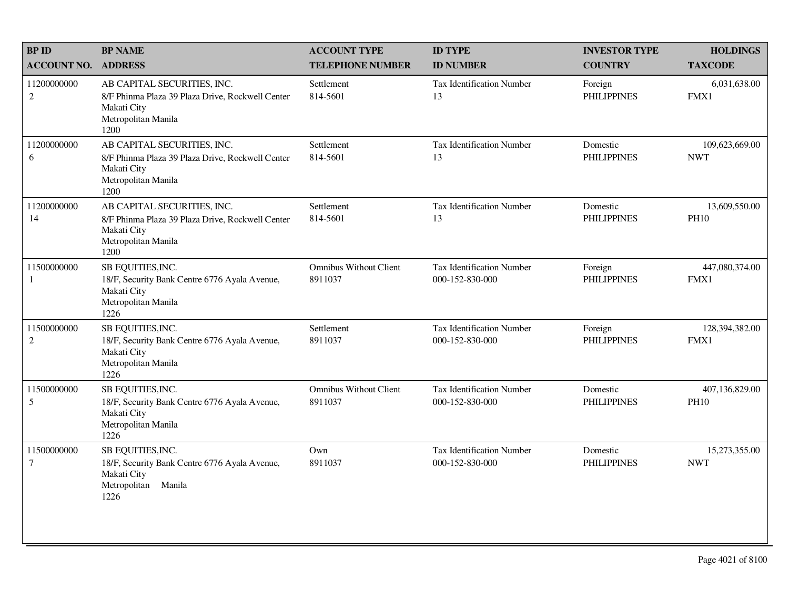| <b>BPID</b>                   | <b>BP NAME</b>                                                                                                                | <b>ACCOUNT TYPE</b>                      | <b>ID TYPE</b>                                      | <b>INVESTOR TYPE</b>           | <b>HOLDINGS</b>               |
|-------------------------------|-------------------------------------------------------------------------------------------------------------------------------|------------------------------------------|-----------------------------------------------------|--------------------------------|-------------------------------|
| <b>ACCOUNT NO.</b>            | <b>ADDRESS</b>                                                                                                                | <b>TELEPHONE NUMBER</b>                  | <b>ID NUMBER</b>                                    | <b>COUNTRY</b>                 | <b>TAXCODE</b>                |
| 11200000000<br>$\overline{c}$ | AB CAPITAL SECURITIES, INC.<br>8/F Phinma Plaza 39 Plaza Drive, Rockwell Center<br>Makati City<br>Metropolitan Manila<br>1200 | Settlement<br>814-5601                   | <b>Tax Identification Number</b><br>13              | Foreign<br><b>PHILIPPINES</b>  | 6,031,638.00<br>FMX1          |
| 11200000000<br>6              | AB CAPITAL SECURITIES, INC.<br>8/F Phinma Plaza 39 Plaza Drive, Rockwell Center<br>Makati City<br>Metropolitan Manila<br>1200 | Settlement<br>814-5601                   | Tax Identification Number<br>13                     | Domestic<br><b>PHILIPPINES</b> | 109,623,669.00<br><b>NWT</b>  |
| 11200000000<br>14             | AB CAPITAL SECURITIES, INC.<br>8/F Phinma Plaza 39 Plaza Drive, Rockwell Center<br>Makati City<br>Metropolitan Manila<br>1200 | Settlement<br>814-5601                   | <b>Tax Identification Number</b><br>13              | Domestic<br><b>PHILIPPINES</b> | 13,609,550.00<br><b>PH10</b>  |
| 11500000000<br>1              | SB EQUITIES, INC.<br>18/F, Security Bank Centre 6776 Ayala Avenue,<br>Makati City<br>Metropolitan Manila<br>1226              | <b>Omnibus Without Client</b><br>8911037 | <b>Tax Identification Number</b><br>000-152-830-000 | Foreign<br><b>PHILIPPINES</b>  | 447,080,374.00<br>FMX1        |
| 11500000000<br>$\overline{c}$ | SB EQUITIES, INC.<br>18/F, Security Bank Centre 6776 Ayala Avenue,<br>Makati City<br>Metropolitan Manila<br>1226              | Settlement<br>8911037                    | <b>Tax Identification Number</b><br>000-152-830-000 | Foreign<br><b>PHILIPPINES</b>  | 128,394,382.00<br>FMX1        |
| 11500000000<br>5              | SB EQUITIES, INC.<br>18/F, Security Bank Centre 6776 Ayala Avenue,<br>Makati City<br>Metropolitan Manila<br>1226              | <b>Omnibus Without Client</b><br>8911037 | <b>Tax Identification Number</b><br>000-152-830-000 | Domestic<br><b>PHILIPPINES</b> | 407,136,829.00<br><b>PH10</b> |
| 11500000000<br>$\tau$         | SB EQUITIES, INC.<br>18/F, Security Bank Centre 6776 Ayala Avenue,<br>Makati City<br>Manila<br>Metropolitan<br>1226           | Own<br>8911037                           | <b>Tax Identification Number</b><br>000-152-830-000 | Domestic<br><b>PHILIPPINES</b> | 15,273,355.00<br><b>NWT</b>   |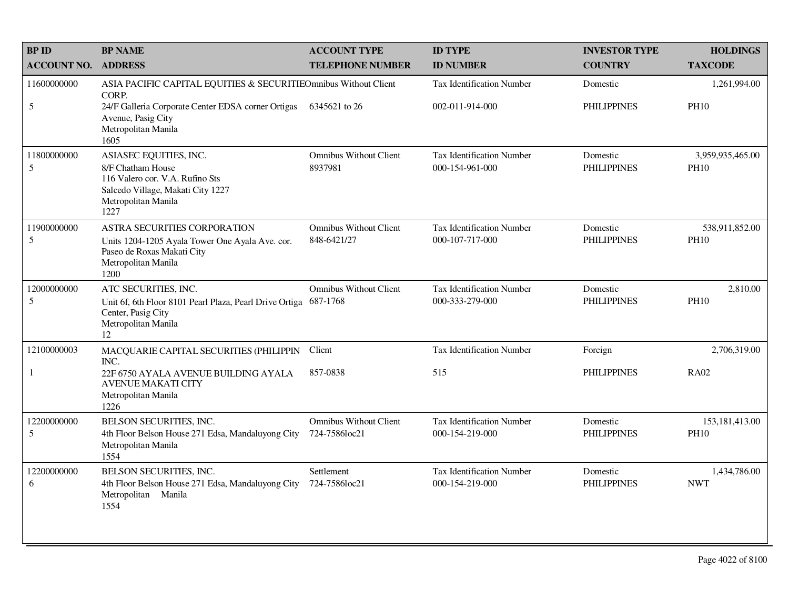| <b>BP ID</b>       | <b>BP NAME</b>                                                                                                                                     | <b>ACCOUNT TYPE</b>                          | <b>ID TYPE</b>                                      | <b>INVESTOR TYPE</b>           | <b>HOLDINGS</b>                 |
|--------------------|----------------------------------------------------------------------------------------------------------------------------------------------------|----------------------------------------------|-----------------------------------------------------|--------------------------------|---------------------------------|
| <b>ACCOUNT NO.</b> | <b>ADDRESS</b>                                                                                                                                     | <b>TELEPHONE NUMBER</b>                      | <b>ID NUMBER</b>                                    | <b>COUNTRY</b>                 | <b>TAXCODE</b>                  |
| 11600000000        | ASIA PACIFIC CAPITAL EQUITIES & SECURITIEOmnibus Without Client<br>CORP.                                                                           |                                              | <b>Tax Identification Number</b>                    | Domestic                       | 1,261,994.00                    |
| 5                  | 24/F Galleria Corporate Center EDSA corner Ortigas<br>Avenue, Pasig City<br>Metropolitan Manila<br>1605                                            | 6345621 to 26                                | 002-011-914-000                                     | <b>PHILIPPINES</b>             | <b>PH10</b>                     |
| 11800000000<br>5   | ASIASEC EQUITIES, INC.<br>8/F Chatham House<br>116 Valero cor. V.A. Rufino Sts<br>Salcedo Village, Makati City 1227<br>Metropolitan Manila<br>1227 | <b>Omnibus Without Client</b><br>8937981     | <b>Tax Identification Number</b><br>000-154-961-000 | Domestic<br><b>PHILIPPINES</b> | 3,959,935,465.00<br><b>PH10</b> |
| 11900000000<br>5   | ASTRA SECURITIES CORPORATION<br>Units 1204-1205 Ayala Tower One Ayala Ave. cor.<br>Paseo de Roxas Makati City<br>Metropolitan Manila<br>1200       | <b>Omnibus Without Client</b><br>848-6421/27 | <b>Tax Identification Number</b><br>000-107-717-000 | Domestic<br><b>PHILIPPINES</b> | 538,911,852.00<br><b>PH10</b>   |
| 12000000000<br>5   | ATC SECURITIES, INC.<br>Unit 6f, 6th Floor 8101 Pearl Plaza, Pearl Drive Ortiga<br>Center, Pasig City<br>Metropolitan Manila<br>12                 | <b>Omnibus Without Client</b><br>687-1768    | Tax Identification Number<br>000-333-279-000        | Domestic<br><b>PHILIPPINES</b> | 2,810.00<br><b>PH10</b>         |
| 12100000003        | MACQUARIE CAPITAL SECURITIES (PHILIPPIN<br>INC.                                                                                                    | Client                                       | Tax Identification Number                           | Foreign                        | 2,706,319.00                    |
| 1                  | 22F 6750 AYALA AVENUE BUILDING AYALA<br><b>AVENUE MAKATI CITY</b><br>Metropolitan Manila<br>1226                                                   | 857-0838                                     | 515                                                 | <b>PHILIPPINES</b>             | <b>RA02</b>                     |
| 12200000000<br>5   | BELSON SECURITIES, INC.<br>4th Floor Belson House 271 Edsa, Mandaluyong City<br>Metropolitan Manila<br>1554                                        | Omnibus Without Client<br>724-7586loc21      | Tax Identification Number<br>000-154-219-000        | Domestic<br><b>PHILIPPINES</b> | 153, 181, 413.00<br><b>PH10</b> |
| 12200000000<br>6   | BELSON SECURITIES, INC.<br>4th Floor Belson House 271 Edsa, Mandaluyong City<br>Metropolitan Manila<br>1554                                        | Settlement<br>724-7586loc21                  | <b>Tax Identification Number</b><br>000-154-219-000 | Domestic<br><b>PHILIPPINES</b> | 1,434,786.00<br><b>NWT</b>      |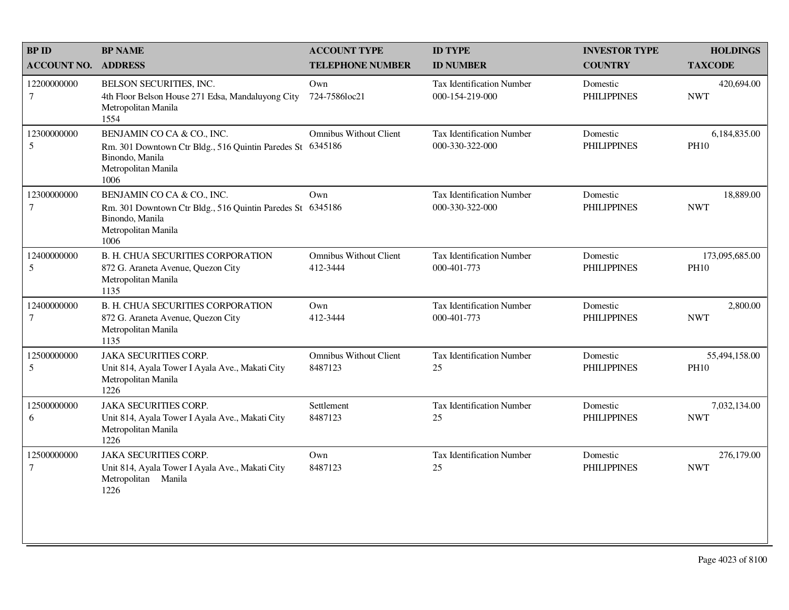| <b>BPID</b>                   | <b>BP NAME</b>                                                                                                                             | <b>ACCOUNT TYPE</b>                       | <b>ID TYPE</b>                                      | <b>INVESTOR TYPE</b>           | <b>HOLDINGS</b>               |
|-------------------------------|--------------------------------------------------------------------------------------------------------------------------------------------|-------------------------------------------|-----------------------------------------------------|--------------------------------|-------------------------------|
| <b>ACCOUNT NO.</b>            | <b>ADDRESS</b>                                                                                                                             | <b>TELEPHONE NUMBER</b>                   | <b>ID NUMBER</b>                                    | <b>COUNTRY</b>                 | <b>TAXCODE</b>                |
| 12200000000<br>$\tau$         | BELSON SECURITIES, INC.<br>4th Floor Belson House 271 Edsa, Mandaluyong City<br>Metropolitan Manila<br>1554                                | Own<br>724-7586loc21                      | <b>Tax Identification Number</b><br>000-154-219-000 | Domestic<br><b>PHILIPPINES</b> | 420,694.00<br><b>NWT</b>      |
| 12300000000<br>5              | BENJAMIN CO CA & CO., INC.<br>Rm. 301 Downtown Ctr Bldg., 516 Quintin Paredes St<br>Binondo, Manila<br>Metropolitan Manila<br>1006         | <b>Omnibus Without Client</b><br>6345186  | Tax Identification Number<br>000-330-322-000        | Domestic<br><b>PHILIPPINES</b> | 6,184,835.00<br><b>PH10</b>   |
| 12300000000<br>$\tau$         | BENJAMIN CO CA & CO., INC.<br>Rm. 301 Downtown Ctr Bldg., 516 Quintin Paredes St 6345186<br>Binondo, Manila<br>Metropolitan Manila<br>1006 | Own                                       | Tax Identification Number<br>000-330-322-000        | Domestic<br><b>PHILIPPINES</b> | 18,889.00<br><b>NWT</b>       |
| 12400000000<br>$\sqrt{5}$     | <b>B. H. CHUA SECURITIES CORPORATION</b><br>872 G. Araneta Avenue, Quezon City<br>Metropolitan Manila<br>1135                              | <b>Omnibus Without Client</b><br>412-3444 | <b>Tax Identification Number</b><br>000-401-773     | Domestic<br><b>PHILIPPINES</b> | 173,095,685.00<br><b>PH10</b> |
| 12400000000<br>$\tau$         | <b>B. H. CHUA SECURITIES CORPORATION</b><br>872 G. Araneta Avenue, Quezon City<br>Metropolitan Manila<br>1135                              | Own<br>412-3444                           | Tax Identification Number<br>000-401-773            | Domestic<br><b>PHILIPPINES</b> | 2,800.00<br><b>NWT</b>        |
| 12500000000<br>5              | <b>JAKA SECURITIES CORP.</b><br>Unit 814, Ayala Tower I Ayala Ave., Makati City<br>Metropolitan Manila<br>1226                             | <b>Omnibus Without Client</b><br>8487123  | Tax Identification Number<br>25                     | Domestic<br><b>PHILIPPINES</b> | 55,494,158.00<br><b>PH10</b>  |
| 12500000000<br>6              | <b>JAKA SECURITIES CORP.</b><br>Unit 814, Ayala Tower I Ayala Ave., Makati City<br>Metropolitan Manila<br>1226                             | Settlement<br>8487123                     | Tax Identification Number<br>25                     | Domestic<br><b>PHILIPPINES</b> | 7,032,134.00<br><b>NWT</b>    |
| 12500000000<br>$\overline{7}$ | <b>JAKA SECURITIES CORP.</b><br>Unit 814, Ayala Tower I Ayala Ave., Makati City<br>Metropolitan Manila<br>1226                             | Own<br>8487123                            | Tax Identification Number<br>25                     | Domestic<br><b>PHILIPPINES</b> | 276,179.00<br><b>NWT</b>      |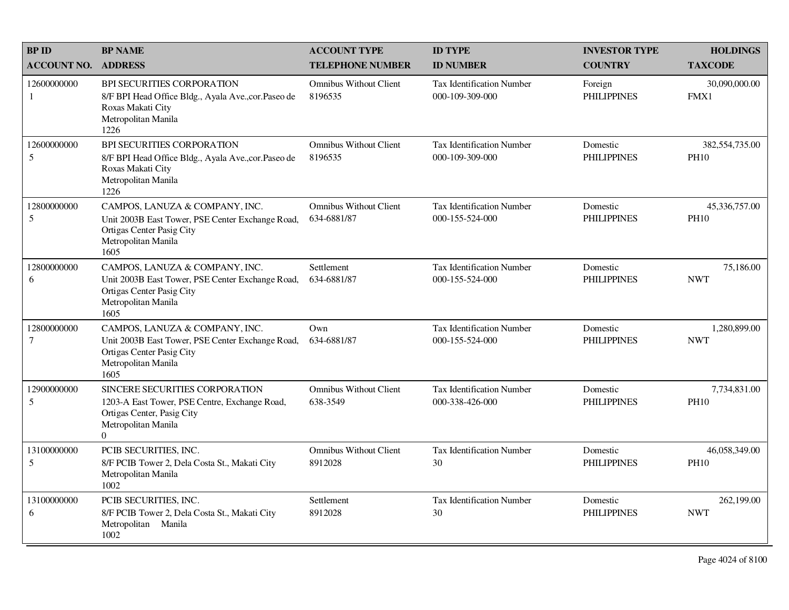| <b>BP ID</b>       | <b>BP NAME</b>                                                                                                                                                | <b>ACCOUNT TYPE</b>                          | <b>ID TYPE</b>                                      | <b>INVESTOR TYPE</b>           | <b>HOLDINGS</b>               |
|--------------------|---------------------------------------------------------------------------------------------------------------------------------------------------------------|----------------------------------------------|-----------------------------------------------------|--------------------------------|-------------------------------|
| <b>ACCOUNT NO.</b> | <b>ADDRESS</b>                                                                                                                                                | <b>TELEPHONE NUMBER</b>                      | <b>ID NUMBER</b>                                    | <b>COUNTRY</b>                 | <b>TAXCODE</b>                |
| 12600000000<br>1   | <b>BPI SECURITIES CORPORATION</b><br>8/F BPI Head Office Bldg., Ayala Ave., cor. Paseo de<br>Roxas Makati City<br>Metropolitan Manila<br>1226                 | <b>Omnibus Without Client</b><br>8196535     | Tax Identification Number<br>000-109-309-000        | Foreign<br><b>PHILIPPINES</b>  | 30,090,000.00<br>FMX1         |
| 12600000000<br>5   | BPI SECURITIES CORPORATION<br>8/F BPI Head Office Bldg., Ayala Ave., cor. Paseo de<br>Roxas Makati City<br>Metropolitan Manila<br>1226                        | <b>Omnibus Without Client</b><br>8196535     | <b>Tax Identification Number</b><br>000-109-309-000 | Domestic<br><b>PHILIPPINES</b> | 382,554,735.00<br><b>PH10</b> |
| 12800000000<br>5   | CAMPOS, LANUZA & COMPANY, INC.<br>Unit 2003B East Tower, PSE Center Exchange Road,<br>Ortigas Center Pasig City<br>Metropolitan Manila<br>1605                | <b>Omnibus Without Client</b><br>634-6881/87 | <b>Tax Identification Number</b><br>000-155-524-000 | Domestic<br><b>PHILIPPINES</b> | 45,336,757.00<br><b>PH10</b>  |
| 12800000000<br>6   | CAMPOS, LANUZA & COMPANY, INC.<br>Unit 2003B East Tower, PSE Center Exchange Road,<br>Ortigas Center Pasig City<br>Metropolitan Manila<br>1605                | Settlement<br>634-6881/87                    | <b>Tax Identification Number</b><br>000-155-524-000 | Domestic<br><b>PHILIPPINES</b> | 75,186.00<br><b>NWT</b>       |
| 12800000000<br>7   | CAMPOS, LANUZA & COMPANY, INC.<br>Unit 2003B East Tower, PSE Center Exchange Road,<br>Ortigas Center Pasig City<br>Metropolitan Manila<br>1605                | Own<br>634-6881/87                           | <b>Tax Identification Number</b><br>000-155-524-000 | Domestic<br><b>PHILIPPINES</b> | 1,280,899.00<br><b>NWT</b>    |
| 12900000000<br>5   | <b>SINCERE SECURITIES CORPORATION</b><br>1203-A East Tower, PSE Centre, Exchange Road,<br>Ortigas Center, Pasig City<br>Metropolitan Manila<br>$\overline{0}$ | <b>Omnibus Without Client</b><br>638-3549    | Tax Identification Number<br>000-338-426-000        | Domestic<br><b>PHILIPPINES</b> | 7,734,831.00<br><b>PH10</b>   |
| 13100000000<br>5   | PCIB SECURITIES, INC.<br>8/F PCIB Tower 2, Dela Costa St., Makati City<br>Metropolitan Manila<br>1002                                                         | <b>Omnibus Without Client</b><br>8912028     | <b>Tax Identification Number</b><br>30              | Domestic<br><b>PHILIPPINES</b> | 46,058,349.00<br><b>PH10</b>  |
| 13100000000<br>6   | PCIB SECURITIES, INC.<br>8/F PCIB Tower 2, Dela Costa St., Makati City<br>Metropolitan Manila<br>1002                                                         | Settlement<br>8912028                        | <b>Tax Identification Number</b><br>30              | Domestic<br><b>PHILIPPINES</b> | 262,199.00<br><b>NWT</b>      |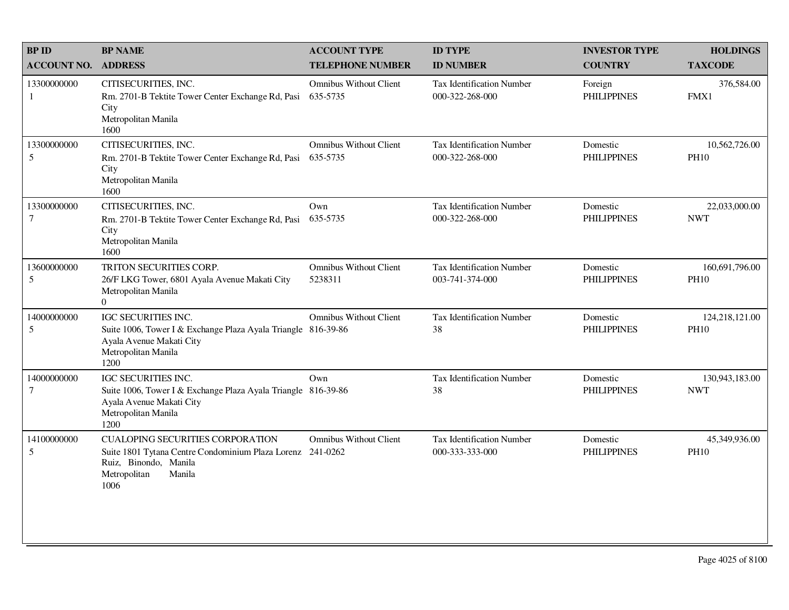| <b>BPID</b>                     | <b>BP NAME</b>                                                                                                                                                   | <b>ACCOUNT TYPE</b>                       | <b>ID TYPE</b>                                      | <b>INVESTOR TYPE</b>           | <b>HOLDINGS</b>               |
|---------------------------------|------------------------------------------------------------------------------------------------------------------------------------------------------------------|-------------------------------------------|-----------------------------------------------------|--------------------------------|-------------------------------|
| <b>ACCOUNT NO.</b>              | <b>ADDRESS</b>                                                                                                                                                   | <b>TELEPHONE NUMBER</b>                   | <b>ID NUMBER</b>                                    | <b>COUNTRY</b>                 | <b>TAXCODE</b>                |
| 13300000000<br>1                | CITISECURITIES, INC.<br>Rm. 2701-B Tektite Tower Center Exchange Rd, Pasi<br>City<br>Metropolitan Manila<br>1600                                                 | <b>Omnibus Without Client</b><br>635-5735 | <b>Tax Identification Number</b><br>000-322-268-000 | Foreign<br><b>PHILIPPINES</b>  | 376,584.00<br>FMX1            |
| 13300000000<br>5                | CITISECURITIES, INC.<br>Rm. 2701-B Tektite Tower Center Exchange Rd, Pasi<br>City<br>Metropolitan Manila<br>1600                                                 | <b>Omnibus Without Client</b><br>635-5735 | Tax Identification Number<br>000-322-268-000        | Domestic<br><b>PHILIPPINES</b> | 10,562,726.00<br><b>PH10</b>  |
| 13300000000<br>$\tau$           | CITISECURITIES, INC.<br>Rm. 2701-B Tektite Tower Center Exchange Rd, Pasi<br>City<br>Metropolitan Manila<br>1600                                                 | Own<br>635-5735                           | <b>Tax Identification Number</b><br>000-322-268-000 | Domestic<br><b>PHILIPPINES</b> | 22,033,000.00<br><b>NWT</b>   |
| 13600000000<br>5                | TRITON SECURITIES CORP.<br>26/F LKG Tower, 6801 Ayala Avenue Makati City<br>Metropolitan Manila<br>$\Omega$                                                      | <b>Omnibus Without Client</b><br>5238311  | <b>Tax Identification Number</b><br>003-741-374-000 | Domestic<br><b>PHILIPPINES</b> | 160,691,796.00<br><b>PH10</b> |
| 14000000000<br>5                | IGC SECURITIES INC.<br>Suite 1006, Tower I & Exchange Plaza Ayala Triangle 816-39-86<br>Ayala Avenue Makati City<br>Metropolitan Manila<br>1200                  | <b>Omnibus Without Client</b>             | <b>Tax Identification Number</b><br>38              | Domestic<br><b>PHILIPPINES</b> | 124,218,121.00<br><b>PH10</b> |
| 14000000000<br>$\boldsymbol{7}$ | IGC SECURITIES INC.<br>Suite 1006, Tower I & Exchange Plaza Ayala Triangle 816-39-86<br>Ayala Avenue Makati City<br>Metropolitan Manila<br>1200                  | Own                                       | <b>Tax Identification Number</b><br>38              | Domestic<br><b>PHILIPPINES</b> | 130,943,183.00<br><b>NWT</b>  |
| 14100000000<br>5                | <b>CUALOPING SECURITIES CORPORATION</b><br>Suite 1801 Tytana Centre Condominium Plaza Lorenz 241-0262<br>Ruiz, Binondo, Manila<br>Metropolitan<br>Manila<br>1006 | <b>Omnibus Without Client</b>             | Tax Identification Number<br>000-333-333-000        | Domestic<br><b>PHILIPPINES</b> | 45,349,936.00<br><b>PH10</b>  |
|                                 |                                                                                                                                                                  |                                           |                                                     |                                |                               |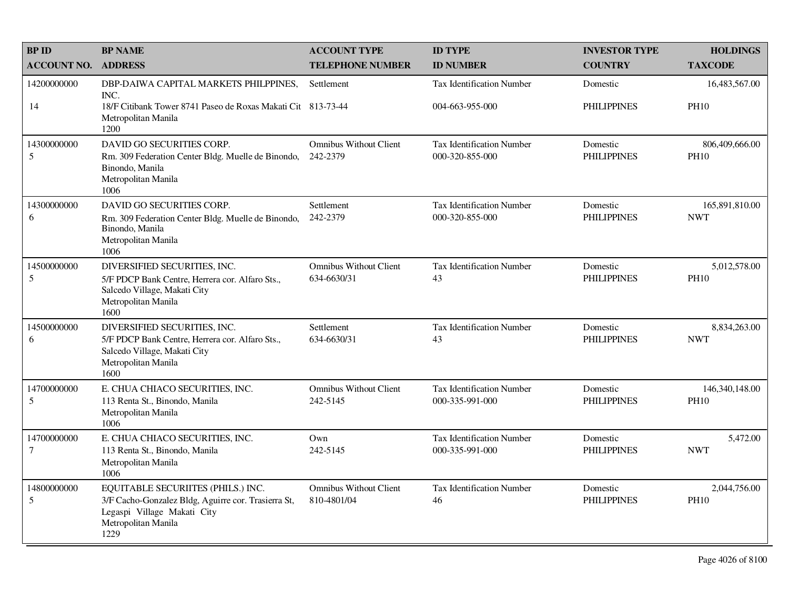| <b>BPID</b>                    | <b>BP NAME</b>                                                                                                                                          | <b>ACCOUNT TYPE</b>                          | <b>ID TYPE</b>                                      | <b>INVESTOR TYPE</b>           | <b>HOLDINGS</b>               |
|--------------------------------|---------------------------------------------------------------------------------------------------------------------------------------------------------|----------------------------------------------|-----------------------------------------------------|--------------------------------|-------------------------------|
| <b>ACCOUNT NO.</b>             | <b>ADDRESS</b>                                                                                                                                          | <b>TELEPHONE NUMBER</b>                      | <b>ID NUMBER</b>                                    | <b>COUNTRY</b>                 | <b>TAXCODE</b>                |
| 14200000000                    | DBP-DAIWA CAPITAL MARKETS PHILPPINES,<br>INC.                                                                                                           | Settlement                                   | <b>Tax Identification Number</b>                    | Domestic                       | 16,483,567.00                 |
| 14                             | 18/F Citibank Tower 8741 Paseo de Roxas Makati Cit 813-73-44<br>Metropolitan Manila<br>1200                                                             |                                              | 004-663-955-000                                     | <b>PHILIPPINES</b>             | <b>PH10</b>                   |
| 14300000000<br>5               | DAVID GO SECURITIES CORP.<br>Rm. 309 Federation Center Bldg. Muelle de Binondo,<br>Binondo, Manila<br>Metropolitan Manila<br>1006                       | <b>Omnibus Without Client</b><br>242-2379    | Tax Identification Number<br>000-320-855-000        | Domestic<br><b>PHILIPPINES</b> | 806,409,666.00<br><b>PH10</b> |
| 14300000000<br>6               | DAVID GO SECURITIES CORP.<br>Rm. 309 Federation Center Bldg. Muelle de Binondo,<br>Binondo, Manila<br>Metropolitan Manila<br>1006                       | Settlement<br>242-2379                       | Tax Identification Number<br>000-320-855-000        | Domestic<br><b>PHILIPPINES</b> | 165,891,810.00<br><b>NWT</b>  |
| 14500000000<br>5               | DIVERSIFIED SECURITIES, INC.<br>5/F PDCP Bank Centre, Herrera cor. Alfaro Sts.,<br>Salcedo Village, Makati City<br>Metropolitan Manila<br>1600          | <b>Omnibus Without Client</b><br>634-6630/31 | Tax Identification Number<br>43                     | Domestic<br><b>PHILIPPINES</b> | 5,012,578.00<br><b>PH10</b>   |
| 14500000000<br>6               | DIVERSIFIED SECURITIES, INC.<br>5/F PDCP Bank Centre, Herrera cor. Alfaro Sts.,<br>Salcedo Village, Makati City<br>Metropolitan Manila<br>1600          | Settlement<br>634-6630/31                    | Tax Identification Number<br>43                     | Domestic<br><b>PHILIPPINES</b> | 8,834,263.00<br><b>NWT</b>    |
| 14700000000<br>5               | E. CHUA CHIACO SECURITIES, INC.<br>113 Renta St., Binondo, Manila<br>Metropolitan Manila<br>1006                                                        | <b>Omnibus Without Client</b><br>242-5145    | <b>Tax Identification Number</b><br>000-335-991-000 | Domestic<br><b>PHILIPPINES</b> | 146,340,148.00<br><b>PH10</b> |
| 14700000000<br>$7\phantom{.0}$ | E. CHUA CHIACO SECURITIES, INC.<br>113 Renta St., Binondo, Manila<br>Metropolitan Manila<br>1006                                                        | Own<br>242-5145                              | <b>Tax Identification Number</b><br>000-335-991-000 | Domestic<br><b>PHILIPPINES</b> | 5,472.00<br><b>NWT</b>        |
| 14800000000<br>5               | EQUITABLE SECURIITES (PHILS.) INC.<br>3/F Cacho-Gonzalez Bldg, Aguirre cor. Trasierra St,<br>Legaspi Village Makati City<br>Metropolitan Manila<br>1229 | <b>Omnibus Without Client</b><br>810-4801/04 | Tax Identification Number<br>46                     | Domestic<br><b>PHILIPPINES</b> | 2,044,756.00<br><b>PH10</b>   |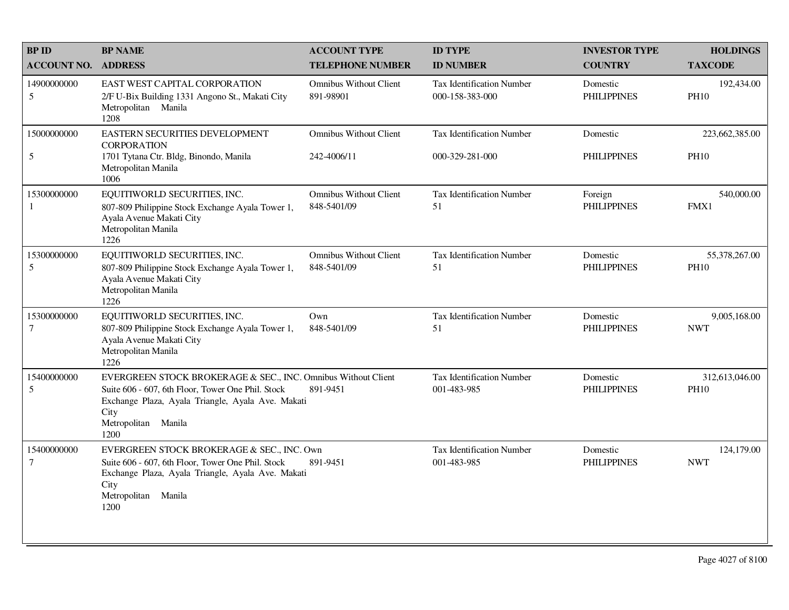| <b>BPID</b>           | <b>BP NAME</b>                                                                                                                                                                                                 | <b>ACCOUNT TYPE</b>                          | <b>ID TYPE</b>                                      | <b>INVESTOR TYPE</b>           | <b>HOLDINGS</b>               |
|-----------------------|----------------------------------------------------------------------------------------------------------------------------------------------------------------------------------------------------------------|----------------------------------------------|-----------------------------------------------------|--------------------------------|-------------------------------|
| <b>ACCOUNT NO.</b>    | <b>ADDRESS</b>                                                                                                                                                                                                 | <b>TELEPHONE NUMBER</b>                      | <b>ID NUMBER</b>                                    | <b>COUNTRY</b>                 | <b>TAXCODE</b>                |
| 14900000000<br>5      | EAST WEST CAPITAL CORPORATION<br>2/F U-Bix Building 1331 Angono St., Makati City<br>Metropolitan Manila<br>1208                                                                                                | <b>Omnibus Without Client</b><br>891-98901   | <b>Tax Identification Number</b><br>000-158-383-000 | Domestic<br><b>PHILIPPINES</b> | 192,434.00<br><b>PH10</b>     |
| 15000000000           | EASTERN SECURITIES DEVELOPMENT<br><b>CORPORATION</b>                                                                                                                                                           | <b>Omnibus Without Client</b>                | <b>Tax Identification Number</b>                    | Domestic                       | 223,662,385.00                |
| 5                     | 1701 Tytana Ctr. Bldg, Binondo, Manila<br>Metropolitan Manila<br>1006                                                                                                                                          | 242-4006/11                                  | 000-329-281-000                                     | <b>PHILIPPINES</b>             | <b>PH10</b>                   |
| 15300000000<br>1      | EQUITIWORLD SECURITIES, INC.<br>807-809 Philippine Stock Exchange Ayala Tower 1,<br>Ayala Avenue Makati City<br>Metropolitan Manila<br>1226                                                                    | <b>Omnibus Without Client</b><br>848-5401/09 | Tax Identification Number<br>51                     | Foreign<br><b>PHILIPPINES</b>  | 540,000.00<br>FMX1            |
| 15300000000<br>5      | EQUITIWORLD SECURITIES, INC.<br>807-809 Philippine Stock Exchange Ayala Tower 1,<br>Ayala Avenue Makati City<br>Metropolitan Manila<br>1226                                                                    | <b>Omnibus Without Client</b><br>848-5401/09 | Tax Identification Number<br>51                     | Domestic<br><b>PHILIPPINES</b> | 55,378,267.00<br><b>PH10</b>  |
| 15300000000<br>$\tau$ | EQUITIWORLD SECURITIES, INC.<br>807-809 Philippine Stock Exchange Ayala Tower 1,<br>Ayala Avenue Makati City<br>Metropolitan Manila<br>1226                                                                    | Own<br>848-5401/09                           | <b>Tax Identification Number</b><br>51              | Domestic<br><b>PHILIPPINES</b> | 9,005,168.00<br><b>NWT</b>    |
| 15400000000<br>5      | EVERGREEN STOCK BROKERAGE & SEC., INC. Omnibus Without Client<br>Suite 606 - 607, 6th Floor, Tower One Phil. Stock<br>Exchange Plaza, Ayala Triangle, Ayala Ave. Makati<br>City<br>Metropolitan Manila<br>1200 | 891-9451                                     | <b>Tax Identification Number</b><br>001-483-985     | Domestic<br><b>PHILIPPINES</b> | 312,613,046.00<br><b>PH10</b> |
| 15400000000<br>$\tau$ | EVERGREEN STOCK BROKERAGE & SEC., INC. Own<br>Suite 606 - 607, 6th Floor, Tower One Phil. Stock<br>Exchange Plaza, Ayala Triangle, Ayala Ave. Makati<br>City<br>Metropolitan<br>Manila<br>1200                 | 891-9451                                     | <b>Tax Identification Number</b><br>001-483-985     | Domestic<br><b>PHILIPPINES</b> | 124,179.00<br><b>NWT</b>      |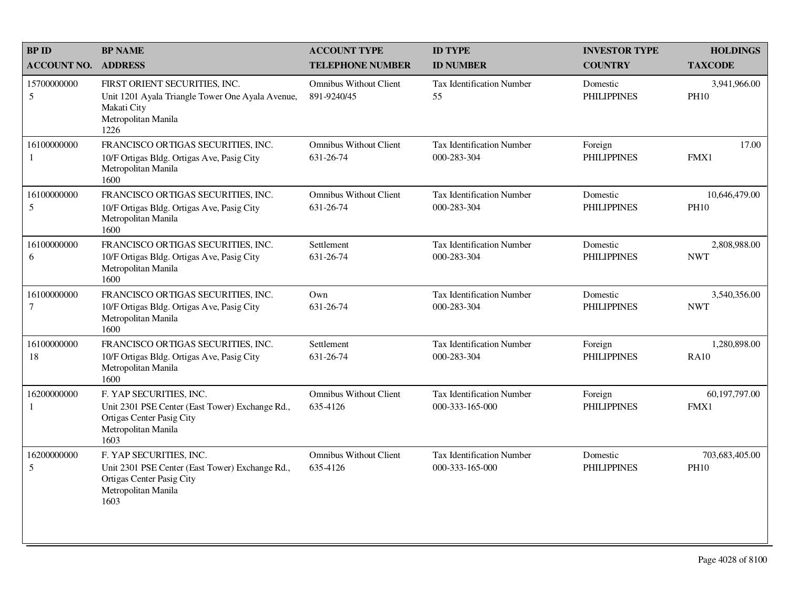| <b>BPID</b>                   | <b>BP NAME</b>                                                                                                                         | <b>ACCOUNT TYPE</b>                          | <b>ID TYPE</b>                                      | <b>INVESTOR TYPE</b>           | <b>HOLDINGS</b>               |
|-------------------------------|----------------------------------------------------------------------------------------------------------------------------------------|----------------------------------------------|-----------------------------------------------------|--------------------------------|-------------------------------|
| <b>ACCOUNT NO.</b>            | <b>ADDRESS</b>                                                                                                                         | <b>TELEPHONE NUMBER</b>                      | <b>ID NUMBER</b>                                    | <b>COUNTRY</b>                 | <b>TAXCODE</b>                |
| 15700000000<br>5              | FIRST ORIENT SECURITIES, INC.<br>Unit 1201 Ayala Triangle Tower One Ayala Avenue,<br>Makati City<br>Metropolitan Manila<br>1226        | <b>Omnibus Without Client</b><br>891-9240/45 | <b>Tax Identification Number</b><br>55              | Domestic<br><b>PHILIPPINES</b> | 3,941,966.00<br><b>PH10</b>   |
| 16100000000<br>1              | FRANCISCO ORTIGAS SECURITIES, INC.<br>10/F Ortigas Bldg. Ortigas Ave, Pasig City<br>Metropolitan Manila<br>1600                        | <b>Omnibus Without Client</b><br>631-26-74   | <b>Tax Identification Number</b><br>000-283-304     | Foreign<br><b>PHILIPPINES</b>  | 17.00<br>FMX1                 |
| 16100000000<br>5              | FRANCISCO ORTIGAS SECURITIES, INC.<br>10/F Ortigas Bldg. Ortigas Ave, Pasig City<br>Metropolitan Manila<br>1600                        | <b>Omnibus Without Client</b><br>631-26-74   | <b>Tax Identification Number</b><br>000-283-304     | Domestic<br><b>PHILIPPINES</b> | 10,646,479.00<br><b>PH10</b>  |
| 16100000000<br>6              | FRANCISCO ORTIGAS SECURITIES, INC.<br>10/F Ortigas Bldg. Ortigas Ave, Pasig City<br>Metropolitan Manila<br>1600                        | Settlement<br>631-26-74                      | Tax Identification Number<br>000-283-304            | Domestic<br><b>PHILIPPINES</b> | 2,808,988.00<br><b>NWT</b>    |
| 16100000000<br>$\overline{7}$ | FRANCISCO ORTIGAS SECURITIES, INC.<br>10/F Ortigas Bldg. Ortigas Ave, Pasig City<br>Metropolitan Manila<br>1600                        | Own<br>631-26-74                             | <b>Tax Identification Number</b><br>000-283-304     | Domestic<br><b>PHILIPPINES</b> | 3,540,356.00<br><b>NWT</b>    |
| 16100000000<br>18             | FRANCISCO ORTIGAS SECURITIES, INC.<br>10/F Ortigas Bldg. Ortigas Ave, Pasig City<br>Metropolitan Manila<br>1600                        | Settlement<br>631-26-74                      | <b>Tax Identification Number</b><br>000-283-304     | Foreign<br><b>PHILIPPINES</b>  | 1,280,898.00<br><b>RA10</b>   |
| 16200000000                   | F. YAP SECURITIES, INC.<br>Unit 2301 PSE Center (East Tower) Exchange Rd.,<br>Ortigas Center Pasig City<br>Metropolitan Manila<br>1603 | <b>Omnibus Without Client</b><br>635-4126    | <b>Tax Identification Number</b><br>000-333-165-000 | Foreign<br><b>PHILIPPINES</b>  | 60,197,797.00<br>FMX1         |
| 16200000000<br>5              | F. YAP SECURITIES, INC.<br>Unit 2301 PSE Center (East Tower) Exchange Rd.,<br>Ortigas Center Pasig City<br>Metropolitan Manila<br>1603 | <b>Omnibus Without Client</b><br>635-4126    | <b>Tax Identification Number</b><br>000-333-165-000 | Domestic<br><b>PHILIPPINES</b> | 703,683,405.00<br><b>PH10</b> |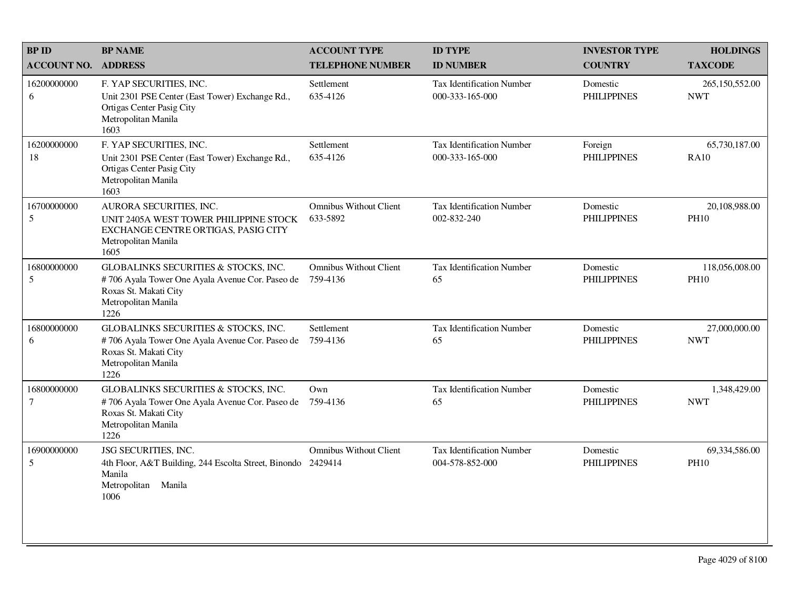| <b>BP ID</b>          | <b>BP NAME</b>                                                                                                                                  | <b>ACCOUNT TYPE</b>                       | <b>ID TYPE</b>                                      | <b>INVESTOR TYPE</b>           | <b>HOLDINGS</b>               |
|-----------------------|-------------------------------------------------------------------------------------------------------------------------------------------------|-------------------------------------------|-----------------------------------------------------|--------------------------------|-------------------------------|
| <b>ACCOUNT NO.</b>    | <b>ADDRESS</b>                                                                                                                                  | <b>TELEPHONE NUMBER</b>                   | <b>ID NUMBER</b>                                    | <b>COUNTRY</b>                 | <b>TAXCODE</b>                |
| 16200000000<br>6      | F. YAP SECURITIES, INC.<br>Unit 2301 PSE Center (East Tower) Exchange Rd.,<br>Ortigas Center Pasig City<br>Metropolitan Manila<br>1603          | Settlement<br>635-4126                    | Tax Identification Number<br>000-333-165-000        | Domestic<br><b>PHILIPPINES</b> | 265,150,552.00<br><b>NWT</b>  |
| 16200000000<br>18     | F. YAP SECURITIES, INC.<br>Unit 2301 PSE Center (East Tower) Exchange Rd.,<br>Ortigas Center Pasig City<br>Metropolitan Manila<br>1603          | Settlement<br>635-4126                    | <b>Tax Identification Number</b><br>000-333-165-000 | Foreign<br><b>PHILIPPINES</b>  | 65,730,187.00<br><b>RA10</b>  |
| 16700000000<br>5      | AURORA SECURITIES, INC.<br>UNIT 2405A WEST TOWER PHILIPPINE STOCK<br>EXCHANGE CENTRE ORTIGAS, PASIG CITY<br>Metropolitan Manila<br>1605         | <b>Omnibus Without Client</b><br>633-5892 | <b>Tax Identification Number</b><br>002-832-240     | Domestic<br><b>PHILIPPINES</b> | 20,108,988.00<br><b>PH10</b>  |
| 16800000000<br>5      | GLOBALINKS SECURITIES & STOCKS, INC.<br>#706 Ayala Tower One Ayala Avenue Cor. Paseo de<br>Roxas St. Makati City<br>Metropolitan Manila<br>1226 | <b>Omnibus Without Client</b><br>759-4136 | <b>Tax Identification Number</b><br>65              | Domestic<br><b>PHILIPPINES</b> | 118,056,008.00<br><b>PH10</b> |
| 16800000000<br>6      | GLOBALINKS SECURITIES & STOCKS, INC.<br>#706 Ayala Tower One Ayala Avenue Cor. Paseo de<br>Roxas St. Makati City<br>Metropolitan Manila<br>1226 | Settlement<br>759-4136                    | <b>Tax Identification Number</b><br>65              | Domestic<br><b>PHILIPPINES</b> | 27,000,000.00<br><b>NWT</b>   |
| 16800000000<br>$\tau$ | GLOBALINKS SECURITIES & STOCKS, INC.<br>#706 Ayala Tower One Ayala Avenue Cor. Paseo de<br>Roxas St. Makati City<br>Metropolitan Manila<br>1226 | Own<br>759-4136                           | <b>Tax Identification Number</b><br>65              | Domestic<br><b>PHILIPPINES</b> | 1,348,429.00<br><b>NWT</b>    |
| 16900000000<br>5      | JSG SECURITIES, INC.<br>4th Floor, A&T Building, 244 Escolta Street, Binondo 2429414<br>Manila<br>Metropolitan Manila<br>1006                   | <b>Omnibus Without Client</b>             | Tax Identification Number<br>004-578-852-000        | Domestic<br><b>PHILIPPINES</b> | 69,334,586.00<br><b>PH10</b>  |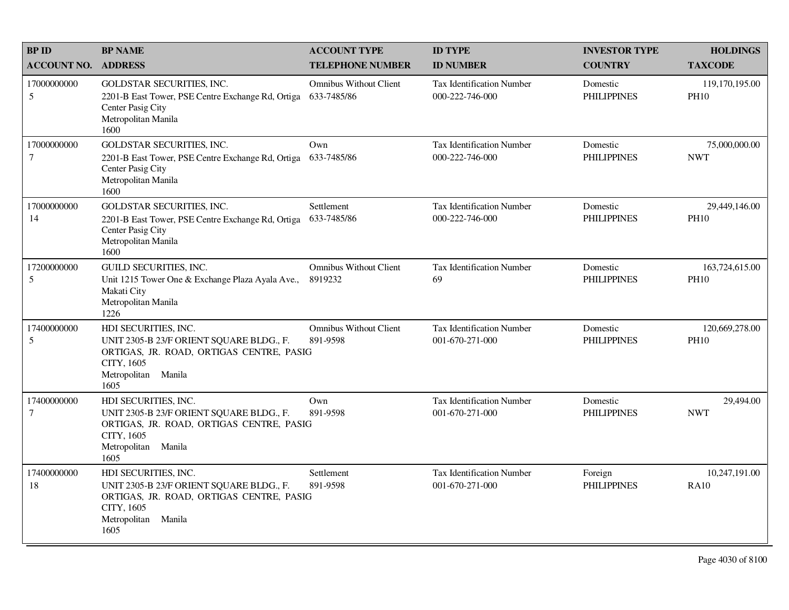| <b>BP ID</b>          | <b>BP NAME</b>                                                                                                                                               | <b>ACCOUNT TYPE</b>                          | <b>ID TYPE</b>                                      | <b>INVESTOR TYPE</b>           | <b>HOLDINGS</b>               |
|-----------------------|--------------------------------------------------------------------------------------------------------------------------------------------------------------|----------------------------------------------|-----------------------------------------------------|--------------------------------|-------------------------------|
| <b>ACCOUNT NO.</b>    | <b>ADDRESS</b>                                                                                                                                               | <b>TELEPHONE NUMBER</b>                      | <b>ID NUMBER</b>                                    | <b>COUNTRY</b>                 | <b>TAXCODE</b>                |
| 17000000000<br>5      | <b>GOLDSTAR SECURITIES, INC.</b><br>2201-B East Tower, PSE Centre Exchange Rd, Ortiga<br>Center Pasig City<br>Metropolitan Manila<br>1600                    | <b>Omnibus Without Client</b><br>633-7485/86 | <b>Tax Identification Number</b><br>000-222-746-000 | Domestic<br><b>PHILIPPINES</b> | 119,170,195.00<br><b>PH10</b> |
| 17000000000<br>$\tau$ | GOLDSTAR SECURITIES, INC.<br>2201-B East Tower, PSE Centre Exchange Rd, Ortiga<br>Center Pasig City<br>Metropolitan Manila<br>1600                           | Own<br>633-7485/86                           | Tax Identification Number<br>000-222-746-000        | Domestic<br><b>PHILIPPINES</b> | 75,000,000.00<br><b>NWT</b>   |
| 17000000000<br>14     | GOLDSTAR SECURITIES, INC.<br>2201-B East Tower, PSE Centre Exchange Rd, Ortiga<br>Center Pasig City<br>Metropolitan Manila<br>1600                           | <b>Settlement</b><br>633-7485/86             | <b>Tax Identification Number</b><br>000-222-746-000 | Domestic<br><b>PHILIPPINES</b> | 29,449,146.00<br><b>PH10</b>  |
| 17200000000<br>5      | <b>GUILD SECURITIES, INC.</b><br>Unit 1215 Tower One & Exchange Plaza Ayala Ave.,<br>Makati City<br>Metropolitan Manila<br>1226                              | <b>Omnibus Without Client</b><br>8919232     | <b>Tax Identification Number</b><br>69              | Domestic<br><b>PHILIPPINES</b> | 163,724,615.00<br><b>PH10</b> |
| 17400000000<br>5      | HDI SECURITIES, INC.<br>UNIT 2305-B 23/F ORIENT SQUARE BLDG., F.<br>ORTIGAS, JR. ROAD, ORTIGAS CENTRE, PASIG<br>CITY, 1605<br>Metropolitan<br>Manila<br>1605 | <b>Omnibus Without Client</b><br>891-9598    | <b>Tax Identification Number</b><br>001-670-271-000 | Domestic<br><b>PHILIPPINES</b> | 120,669,278.00<br><b>PH10</b> |
| 17400000000<br>7      | HDI SECURITIES, INC.<br>UNIT 2305-B 23/F ORIENT SQUARE BLDG., F.<br>ORTIGAS, JR. ROAD, ORTIGAS CENTRE, PASIG<br>CITY, 1605<br>Metropolitan<br>Manila<br>1605 | Own<br>891-9598                              | <b>Tax Identification Number</b><br>001-670-271-000 | Domestic<br><b>PHILIPPINES</b> | 29,494.00<br><b>NWT</b>       |
| 17400000000<br>18     | HDI SECURITIES, INC.<br>UNIT 2305-B 23/F ORIENT SQUARE BLDG., F.<br>ORTIGAS, JR. ROAD, ORTIGAS CENTRE, PASIG<br>CITY, 1605<br>Metropolitan<br>Manila<br>1605 | Settlement<br>891-9598                       | <b>Tax Identification Number</b><br>001-670-271-000 | Foreign<br><b>PHILIPPINES</b>  | 10,247,191.00<br><b>RA10</b>  |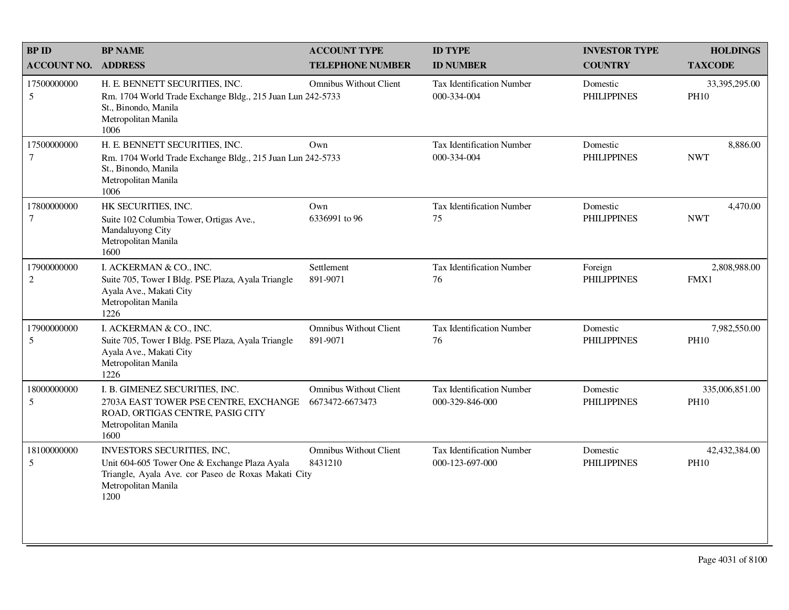| <b>BPID</b>                   | <b>BP NAME</b>                                                                                                                                                    | <b>ACCOUNT TYPE</b>                              | <b>ID TYPE</b>                                      | <b>INVESTOR TYPE</b>           | <b>HOLDINGS</b>               |
|-------------------------------|-------------------------------------------------------------------------------------------------------------------------------------------------------------------|--------------------------------------------------|-----------------------------------------------------|--------------------------------|-------------------------------|
| <b>ACCOUNT NO.</b>            | <b>ADDRESS</b>                                                                                                                                                    | <b>TELEPHONE NUMBER</b>                          | <b>ID NUMBER</b>                                    | <b>COUNTRY</b>                 | <b>TAXCODE</b>                |
| 17500000000<br>5              | H. E. BENNETT SECURITIES, INC.<br>Rm. 1704 World Trade Exchange Bldg., 215 Juan Lun 242-5733<br>St., Binondo, Manila<br>Metropolitan Manila<br>1006               | <b>Omnibus Without Client</b>                    | Tax Identification Number<br>000-334-004            | Domestic<br><b>PHILIPPINES</b> | 33,395,295.00<br><b>PH10</b>  |
| 17500000000<br>7              | H. E. BENNETT SECURITIES, INC.<br>Rm. 1704 World Trade Exchange Bldg., 215 Juan Lun 242-5733<br>St., Binondo, Manila<br>Metropolitan Manila<br>1006               | Own                                              | Tax Identification Number<br>000-334-004            | Domestic<br><b>PHILIPPINES</b> | 8,886.00<br><b>NWT</b>        |
| 17800000000<br>$\overline{7}$ | HK SECURITIES, INC.<br>Suite 102 Columbia Tower, Ortigas Ave.,<br>Mandaluyong City<br>Metropolitan Manila<br>1600                                                 | Own<br>6336991 to 96                             | Tax Identification Number<br>75                     | Domestic<br><b>PHILIPPINES</b> | 4,470.00<br><b>NWT</b>        |
| 17900000000<br>2              | I. ACKERMAN & CO., INC.<br>Suite 705, Tower I Bldg. PSE Plaza, Ayala Triangle<br>Ayala Ave., Makati City<br>Metropolitan Manila<br>1226                           | Settlement<br>891-9071                           | <b>Tax Identification Number</b><br>76              | Foreign<br><b>PHILIPPINES</b>  | 2,808,988.00<br>FMX1          |
| 17900000000<br>5              | I. ACKERMAN & CO., INC.<br>Suite 705, Tower I Bldg. PSE Plaza, Ayala Triangle<br>Ayala Ave., Makati City<br>Metropolitan Manila<br>1226                           | <b>Omnibus Without Client</b><br>891-9071        | <b>Tax Identification Number</b><br>76              | Domestic<br><b>PHILIPPINES</b> | 7,982,550.00<br><b>PH10</b>   |
| 18000000000<br>5              | I. B. GIMENEZ SECURITIES, INC.<br>2703A EAST TOWER PSE CENTRE, EXCHANGE<br>ROAD, ORTIGAS CENTRE, PASIG CITY<br>Metropolitan Manila<br>1600                        | <b>Omnibus Without Client</b><br>6673472-6673473 | <b>Tax Identification Number</b><br>000-329-846-000 | Domestic<br><b>PHILIPPINES</b> | 335,006,851.00<br><b>PH10</b> |
| 18100000000<br>5              | INVESTORS SECURITIES, INC,<br>Unit 604-605 Tower One & Exchange Plaza Ayala<br>Triangle, Ayala Ave. cor Paseo de Roxas Makati City<br>Metropolitan Manila<br>1200 | <b>Omnibus Without Client</b><br>8431210         | Tax Identification Number<br>000-123-697-000        | Domestic<br><b>PHILIPPINES</b> | 42,432,384.00<br><b>PH10</b>  |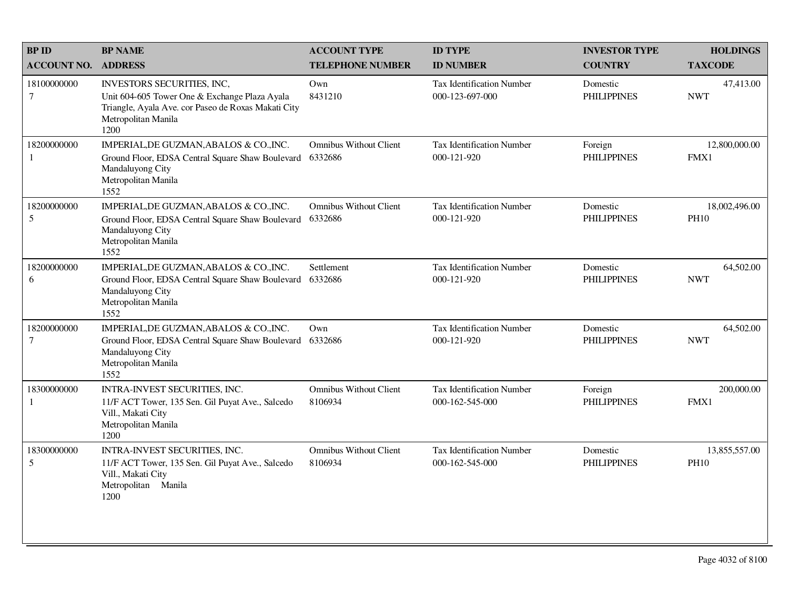| <b>BPID</b>                   | <b>BP NAME</b>                                                                                                                                                    | <b>ACCOUNT TYPE</b>                      | <b>ID TYPE</b>                                      | <b>INVESTOR TYPE</b>           | <b>HOLDINGS</b>              |
|-------------------------------|-------------------------------------------------------------------------------------------------------------------------------------------------------------------|------------------------------------------|-----------------------------------------------------|--------------------------------|------------------------------|
| <b>ACCOUNT NO.</b>            | <b>ADDRESS</b>                                                                                                                                                    | <b>TELEPHONE NUMBER</b>                  | <b>ID NUMBER</b>                                    | <b>COUNTRY</b>                 | <b>TAXCODE</b>               |
| 18100000000<br>$\overline{7}$ | INVESTORS SECURITIES, INC,<br>Unit 604-605 Tower One & Exchange Plaza Ayala<br>Triangle, Ayala Ave. cor Paseo de Roxas Makati City<br>Metropolitan Manila<br>1200 | Own<br>8431210                           | <b>Tax Identification Number</b><br>000-123-697-000 | Domestic<br><b>PHILIPPINES</b> | 47,413.00<br><b>NWT</b>      |
| 18200000000<br>1              | IMPERIAL, DE GUZMAN, ABALOS & CO., INC.<br>Ground Floor, EDSA Central Square Shaw Boulevard<br>Mandaluyong City<br>Metropolitan Manila<br>1552                    | <b>Omnibus Without Client</b><br>6332686 | Tax Identification Number<br>000-121-920            | Foreign<br><b>PHILIPPINES</b>  | 12,800,000.00<br>FMX1        |
| 18200000000<br>5              | IMPERIAL, DE GUZMAN, ABALOS & CO., INC.<br>Ground Floor, EDSA Central Square Shaw Boulevard<br>Mandaluyong City<br>Metropolitan Manila<br>1552                    | <b>Omnibus Without Client</b><br>6332686 | <b>Tax Identification Number</b><br>000-121-920     | Domestic<br><b>PHILIPPINES</b> | 18,002,496.00<br><b>PH10</b> |
| 18200000000<br>6              | IMPERIAL, DE GUZMAN, ABALOS & CO., INC.<br>Ground Floor, EDSA Central Square Shaw Boulevard<br>Mandaluyong City<br>Metropolitan Manila<br>1552                    | Settlement<br>6332686                    | <b>Tax Identification Number</b><br>000-121-920     | Domestic<br><b>PHILIPPINES</b> | 64,502.00<br><b>NWT</b>      |
| 18200000000<br>7              | IMPERIAL, DE GUZMAN, ABALOS & CO., INC.<br>Ground Floor, EDSA Central Square Shaw Boulevard<br>Mandaluyong City<br>Metropolitan Manila<br>1552                    | Own<br>6332686                           | <b>Tax Identification Number</b><br>000-121-920     | Domestic<br><b>PHILIPPINES</b> | 64,502.00<br><b>NWT</b>      |
| 18300000000<br>1              | INTRA-INVEST SECURITIES, INC.<br>11/F ACT Tower, 135 Sen. Gil Puyat Ave., Salcedo<br>Vill., Makati City<br>Metropolitan Manila<br>1200                            | <b>Omnibus Without Client</b><br>8106934 | <b>Tax Identification Number</b><br>000-162-545-000 | Foreign<br><b>PHILIPPINES</b>  | 200,000.00<br>FMX1           |
| 18300000000<br>5              | INTRA-INVEST SECURITIES, INC.<br>11/F ACT Tower, 135 Sen. Gil Puyat Ave., Salcedo<br>Vill., Makati City<br>Metropolitan Manila<br>1200                            | <b>Omnibus Without Client</b><br>8106934 | Tax Identification Number<br>000-162-545-000        | Domestic<br><b>PHILIPPINES</b> | 13,855,557.00<br><b>PH10</b> |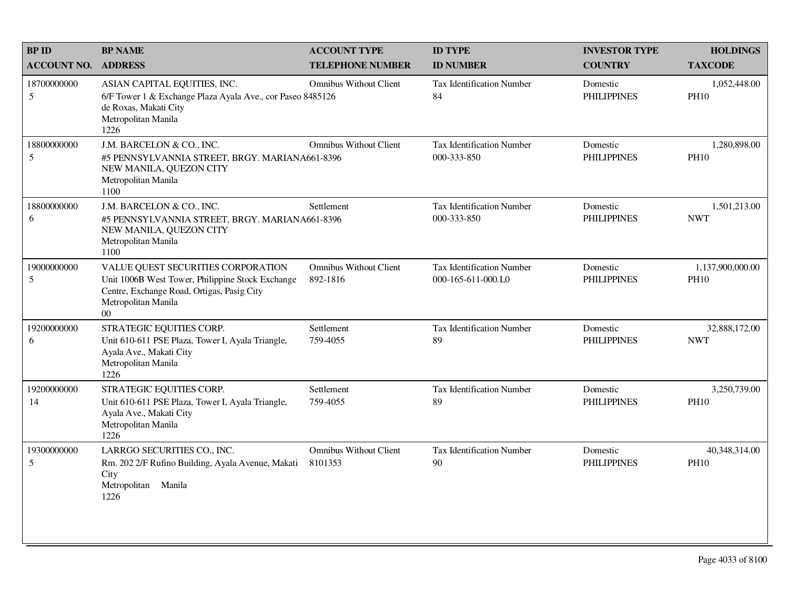| <b>BP ID</b>       | <b>BP NAME</b>                                                                                                                                                                | <b>ACCOUNT TYPE</b>                       | <b>ID TYPE</b>                                  | <b>INVESTOR TYPE</b>           | <b>HOLDINGS</b>                 |
|--------------------|-------------------------------------------------------------------------------------------------------------------------------------------------------------------------------|-------------------------------------------|-------------------------------------------------|--------------------------------|---------------------------------|
| <b>ACCOUNT NO.</b> | <b>ADDRESS</b>                                                                                                                                                                | <b>TELEPHONE NUMBER</b>                   | <b>ID NUMBER</b>                                | <b>COUNTRY</b>                 | <b>TAXCODE</b>                  |
| 18700000000<br>5   | ASIAN CAPITAL EQUITIES, INC.<br>6/F Tower 1 & Exchange Plaza Ayala Ave., cor Paseo 8485126<br>de Roxas, Makati City<br>Metropolitan Manila<br>1226                            | <b>Omnibus Without Client</b>             | <b>Tax Identification Number</b><br>84          | Domestic<br><b>PHILIPPINES</b> | 1,052,448.00<br><b>PH10</b>     |
| 18800000000<br>5   | J.M. BARCELON & CO., INC.<br>#5 PENNSYLVANNIA STREET, BRGY. MARIANA661-8396<br>NEW MANILA, QUEZON CITY<br>Metropolitan Manila<br>1100                                         | <b>Omnibus Without Client</b>             | Tax Identification Number<br>000-333-850        | Domestic<br><b>PHILIPPINES</b> | 1,280,898.00<br><b>PH10</b>     |
| 18800000000<br>6   | J.M. BARCELON & CO., INC.<br>#5 PENNSYLVANNIA STREET, BRGY. MARIANA661-8396<br>NEW MANILA, QUEZON CITY<br>Metropolitan Manila<br>1100                                         | Settlement                                | Tax Identification Number<br>000-333-850        | Domestic<br><b>PHILIPPINES</b> | 1,501,213.00<br><b>NWT</b>      |
| 19000000000<br>5   | VALUE QUEST SECURITIES CORPORATION<br>Unit 1006B West Tower, Philippine Stock Exchange<br>Centre, Exchange Road, Ortigas, Pasig City<br>Metropolitan Manila<br>0 <sup>0</sup> | <b>Omnibus Without Client</b><br>892-1816 | Tax Identification Number<br>000-165-611-000.L0 | Domestic<br><b>PHILIPPINES</b> | 1,137,900,000.00<br><b>PH10</b> |
| 19200000000<br>6   | STRATEGIC EQUITIES CORP.<br>Unit 610-611 PSE Plaza, Tower I, Ayala Triangle,<br>Ayala Ave., Makati City<br>Metropolitan Manila<br>1226                                        | Settlement<br>759-4055                    | Tax Identification Number<br>89                 | Domestic<br><b>PHILIPPINES</b> | 32,888,172.00<br><b>NWT</b>     |
| 19200000000<br>14  | STRATEGIC EQUITIES CORP.<br>Unit 610-611 PSE Plaza, Tower I, Ayala Triangle,<br>Ayala Ave., Makati City<br>Metropolitan Manila<br>1226                                        | Settlement<br>759-4055                    | Tax Identification Number<br>89                 | Domestic<br><b>PHILIPPINES</b> | 3,250,739.00<br><b>PH10</b>     |
| 19300000000<br>5   | LARRGO SECURITIES CO., INC.<br>Rm. 202 2/F Rufino Building, Ayala Avenue, Makati<br>City<br>Metropolitan<br>Manila<br>1226                                                    | <b>Omnibus Without Client</b><br>8101353  | <b>Tax Identification Number</b><br>90          | Domestic<br><b>PHILIPPINES</b> | 40,348,314.00<br><b>PH10</b>    |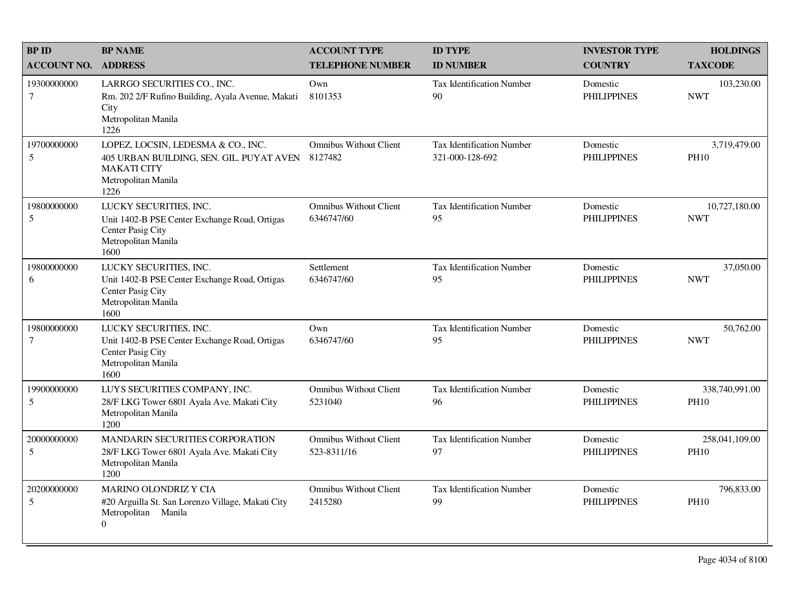| <b>BPID</b>           | <b>BP NAME</b>                                                                                                                      | <b>ACCOUNT TYPE</b>                          | <b>ID TYPE</b>                                      | <b>INVESTOR TYPE</b>           | <b>HOLDINGS</b>               |
|-----------------------|-------------------------------------------------------------------------------------------------------------------------------------|----------------------------------------------|-----------------------------------------------------|--------------------------------|-------------------------------|
| <b>ACCOUNT NO.</b>    | <b>ADDRESS</b>                                                                                                                      | <b>TELEPHONE NUMBER</b>                      | <b>ID NUMBER</b>                                    | <b>COUNTRY</b>                 | <b>TAXCODE</b>                |
| 19300000000<br>$\tau$ | LARRGO SECURITIES CO., INC.<br>Rm. 202 2/F Rufino Building, Ayala Avenue, Makati<br>City<br>Metropolitan Manila<br>1226             | Own<br>8101353                               | Tax Identification Number<br>90                     | Domestic<br><b>PHILIPPINES</b> | 103,230.00<br><b>NWT</b>      |
| 19700000000<br>5      | LOPEZ, LOCSIN, LEDESMA & CO., INC.<br>405 URBAN BUILDING, SEN. GIL. PUYAT AVEN<br><b>MAKATI CITY</b><br>Metropolitan Manila<br>1226 | <b>Omnibus Without Client</b><br>8127482     | <b>Tax Identification Number</b><br>321-000-128-692 | Domestic<br><b>PHILIPPINES</b> | 3,719,479.00<br><b>PH10</b>   |
| 19800000000<br>5      | LUCKY SECURITIES, INC.<br>Unit 1402-B PSE Center Exchange Road, Ortigas<br>Center Pasig City<br>Metropolitan Manila<br>1600         | <b>Omnibus Without Client</b><br>6346747/60  | <b>Tax Identification Number</b><br>95              | Domestic<br><b>PHILIPPINES</b> | 10,727,180.00<br><b>NWT</b>   |
| 19800000000<br>6      | LUCKY SECURITIES, INC.<br>Unit 1402-B PSE Center Exchange Road, Ortigas<br>Center Pasig City<br>Metropolitan Manila<br>1600         | Settlement<br>6346747/60                     | <b>Tax Identification Number</b><br>95              | Domestic<br><b>PHILIPPINES</b> | 37,050.00<br><b>NWT</b>       |
| 19800000000<br>7      | LUCKY SECURITIES, INC.<br>Unit 1402-B PSE Center Exchange Road, Ortigas<br>Center Pasig City<br>Metropolitan Manila<br>1600         | Own<br>6346747/60                            | Tax Identification Number<br>95                     | Domestic<br><b>PHILIPPINES</b> | 50,762.00<br><b>NWT</b>       |
| 19900000000<br>5      | LUYS SECURITIES COMPANY, INC.<br>28/F LKG Tower 6801 Ayala Ave. Makati City<br>Metropolitan Manila<br>1200                          | <b>Omnibus Without Client</b><br>5231040     | <b>Tax Identification Number</b><br>96              | Domestic<br><b>PHILIPPINES</b> | 338,740,991.00<br><b>PH10</b> |
| 20000000000<br>5      | MANDARIN SECURITIES CORPORATION<br>28/F LKG Tower 6801 Ayala Ave. Makati City<br>Metropolitan Manila<br>1200                        | <b>Omnibus Without Client</b><br>523-8311/16 | <b>Tax Identification Number</b><br>97              | Domestic<br><b>PHILIPPINES</b> | 258,041,109.00<br><b>PH10</b> |
| 20200000000<br>5      | MARINO OLONDRIZ Y CIA<br>#20 Arguilla St. San Lorenzo Village, Makati City<br>Metropolitan Manila<br>$\overline{0}$                 | <b>Omnibus Without Client</b><br>2415280     | <b>Tax Identification Number</b><br>99              | Domestic<br><b>PHILIPPINES</b> | 796,833.00<br><b>PH10</b>     |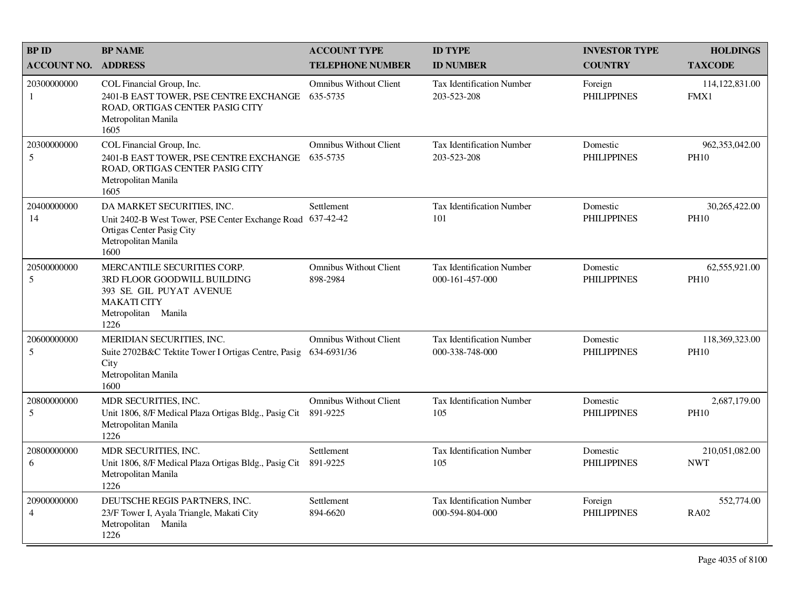| <b>BP ID</b>                   | <b>BP NAME</b>                                                                                                                              | <b>ACCOUNT TYPE</b>                          | <b>ID TYPE</b>                                      | <b>INVESTOR TYPE</b>           | <b>HOLDINGS</b>               |
|--------------------------------|---------------------------------------------------------------------------------------------------------------------------------------------|----------------------------------------------|-----------------------------------------------------|--------------------------------|-------------------------------|
| <b>ACCOUNT NO.</b>             | <b>ADDRESS</b>                                                                                                                              | <b>TELEPHONE NUMBER</b>                      | <b>ID NUMBER</b>                                    | <b>COUNTRY</b>                 | <b>TAXCODE</b>                |
| 20300000000<br>1               | COL Financial Group, Inc.<br>2401-B EAST TOWER, PSE CENTRE EXCHANGE<br>ROAD, ORTIGAS CENTER PASIG CITY<br>Metropolitan Manila<br>1605       | <b>Omnibus Without Client</b><br>635-5735    | <b>Tax Identification Number</b><br>203-523-208     | Foreign<br><b>PHILIPPINES</b>  | 114, 122, 831.00<br>FMX1      |
| 20300000000<br>5               | COL Financial Group, Inc.<br>2401-B EAST TOWER, PSE CENTRE EXCHANGE<br>ROAD, ORTIGAS CENTER PASIG CITY<br>Metropolitan Manila<br>1605       | <b>Omnibus Without Client</b><br>635-5735    | Tax Identification Number<br>203-523-208            | Domestic<br><b>PHILIPPINES</b> | 962,353,042.00<br><b>PH10</b> |
| 20400000000<br>14              | DA MARKET SECURITIES, INC.<br>Unit 2402-B West Tower, PSE Center Exchange Road<br>Ortigas Center Pasig City<br>Metropolitan Manila<br>1600  | Settlement<br>637-42-42                      | <b>Tax Identification Number</b><br>101             | Domestic<br><b>PHILIPPINES</b> | 30,265,422.00<br><b>PH10</b>  |
| 20500000000<br>$5\overline{)}$ | MERCANTILE SECURITIES CORP.<br>3RD FLOOR GOODWILL BUILDING<br>393 SE. GIL PUYAT AVENUE<br><b>MAKATI CITY</b><br>Metropolitan Manila<br>1226 | <b>Omnibus Without Client</b><br>898-2984    | Tax Identification Number<br>000-161-457-000        | Domestic<br><b>PHILIPPINES</b> | 62,555,921.00<br><b>PH10</b>  |
| 20600000000<br>5               | MERIDIAN SECURITIES, INC.<br>Suite 2702B&C Tektite Tower I Ortigas Centre, Pasig<br>City<br>Metropolitan Manila<br>1600                     | <b>Omnibus Without Client</b><br>634-6931/36 | <b>Tax Identification Number</b><br>000-338-748-000 | Domestic<br><b>PHILIPPINES</b> | 118,369,323.00<br><b>PH10</b> |
| 20800000000<br>5               | MDR SECURITIES, INC.<br>Unit 1806, 8/F Medical Plaza Ortigas Bldg., Pasig Cit<br>Metropolitan Manila<br>1226                                | <b>Omnibus Without Client</b><br>891-9225    | <b>Tax Identification Number</b><br>105             | Domestic<br><b>PHILIPPINES</b> | 2,687,179.00<br><b>PH10</b>   |
| 20800000000<br>6               | MDR SECURITIES, INC.<br>Unit 1806, 8/F Medical Plaza Ortigas Bldg., Pasig Cit<br>Metropolitan Manila<br>1226                                | Settlement<br>891-9225                       | <b>Tax Identification Number</b><br>105             | Domestic<br><b>PHILIPPINES</b> | 210,051,082.00<br><b>NWT</b>  |
| 20900000000<br>$\overline{4}$  | DEUTSCHE REGIS PARTNERS, INC.<br>23/F Tower I, Ayala Triangle, Makati City<br>Metropolitan Manila<br>1226                                   | Settlement<br>894-6620                       | Tax Identification Number<br>000-594-804-000        | Foreign<br><b>PHILIPPINES</b>  | 552,774.00<br><b>RA02</b>     |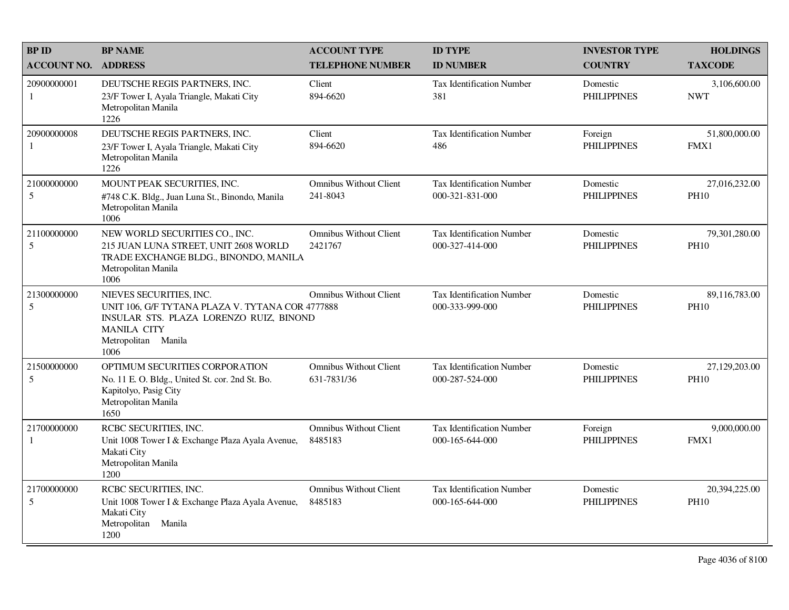| <b>BPID</b>        | <b>BP NAME</b>                                                                                                                                                       | <b>ACCOUNT TYPE</b>                          | <b>ID TYPE</b>                                      | <b>INVESTOR TYPE</b>           | <b>HOLDINGS</b>              |
|--------------------|----------------------------------------------------------------------------------------------------------------------------------------------------------------------|----------------------------------------------|-----------------------------------------------------|--------------------------------|------------------------------|
| <b>ACCOUNT NO.</b> | <b>ADDRESS</b>                                                                                                                                                       | <b>TELEPHONE NUMBER</b>                      | <b>ID NUMBER</b>                                    | <b>COUNTRY</b>                 | <b>TAXCODE</b>               |
| 20900000001<br>-1  | DEUTSCHE REGIS PARTNERS, INC.<br>23/F Tower I, Ayala Triangle, Makati City<br>Metropolitan Manila<br>1226                                                            | Client<br>894-6620                           | Tax Identification Number<br>381                    | Domestic<br><b>PHILIPPINES</b> | 3,106,600.00<br><b>NWT</b>   |
| 20900000008<br>-1  | DEUTSCHE REGIS PARTNERS, INC.<br>23/F Tower I, Ayala Triangle, Makati City<br>Metropolitan Manila<br>1226                                                            | Client<br>894-6620                           | <b>Tax Identification Number</b><br>486             | Foreign<br><b>PHILIPPINES</b>  | 51,800,000.00<br>FMX1        |
| 21000000000<br>5   | MOUNT PEAK SECURITIES, INC.<br>#748 C.K. Bldg., Juan Luna St., Binondo, Manila<br>Metropolitan Manila<br>1006                                                        | <b>Omnibus Without Client</b><br>241-8043    | Tax Identification Number<br>000-321-831-000        | Domestic<br><b>PHILIPPINES</b> | 27,016,232.00<br><b>PH10</b> |
| 21100000000<br>5   | NEW WORLD SECURITIES CO., INC.<br>215 JUAN LUNA STREET, UNIT 2608 WORLD<br>TRADE EXCHANGE BLDG., BINONDO, MANILA<br>Metropolitan Manila<br>1006                      | <b>Omnibus Without Client</b><br>2421767     | <b>Tax Identification Number</b><br>000-327-414-000 | Domestic<br><b>PHILIPPINES</b> | 79,301,280.00<br><b>PH10</b> |
| 21300000000<br>5   | NIEVES SECURITIES, INC.<br>UNIT 106, G/F TYTANA PLAZA V. TYTANA COR 4777888<br>INSULAR STS. PLAZA LORENZO RUIZ, BINOND<br>MANILA CITY<br>Metropolitan Manila<br>1006 | <b>Omnibus Without Client</b>                | <b>Tax Identification Number</b><br>000-333-999-000 | Domestic<br><b>PHILIPPINES</b> | 89,116,783.00<br><b>PH10</b> |
| 21500000000<br>5   | OPTIMUM SECURITIES CORPORATION<br>No. 11 E. O. Bldg., United St. cor. 2nd St. Bo.<br>Kapitolyo, Pasig City<br>Metropolitan Manila<br>1650                            | <b>Omnibus Without Client</b><br>631-7831/36 | Tax Identification Number<br>000-287-524-000        | Domestic<br><b>PHILIPPINES</b> | 27,129,203.00<br><b>PH10</b> |
| 21700000000<br>-1  | RCBC SECURITIES, INC.<br>Unit 1008 Tower I & Exchange Plaza Ayala Avenue,<br>Makati City<br>Metropolitan Manila<br>1200                                              | <b>Omnibus Without Client</b><br>8485183     | <b>Tax Identification Number</b><br>000-165-644-000 | Foreign<br><b>PHILIPPINES</b>  | 9,000,000.00<br>FMX1         |
| 21700000000<br>5   | RCBC SECURITIES, INC.<br>Unit 1008 Tower I & Exchange Plaza Ayala Avenue,<br>Makati City<br>Metropolitan<br>Manila<br>1200                                           | <b>Omnibus Without Client</b><br>8485183     | <b>Tax Identification Number</b><br>000-165-644-000 | Domestic<br><b>PHILIPPINES</b> | 20,394,225.00<br><b>PH10</b> |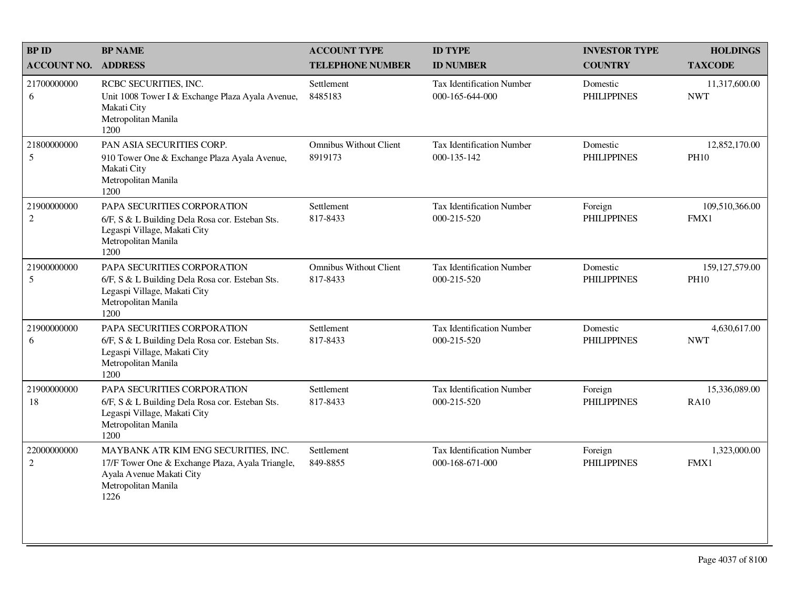| <b>BP ID</b>                  | <b>BP NAME</b>                                                                                                                                      | <b>ACCOUNT TYPE</b>                       | <b>ID TYPE</b>                                      | <b>INVESTOR TYPE</b>           | <b>HOLDINGS</b>                 |
|-------------------------------|-----------------------------------------------------------------------------------------------------------------------------------------------------|-------------------------------------------|-----------------------------------------------------|--------------------------------|---------------------------------|
| <b>ACCOUNT NO.</b>            | <b>ADDRESS</b>                                                                                                                                      | <b>TELEPHONE NUMBER</b>                   | <b>ID NUMBER</b>                                    | <b>COUNTRY</b>                 | <b>TAXCODE</b>                  |
| 21700000000<br>6              | RCBC SECURITIES, INC.<br>Unit 1008 Tower I & Exchange Plaza Ayala Avenue,<br>Makati City<br>Metropolitan Manila<br>1200                             | Settlement<br>8485183                     | <b>Tax Identification Number</b><br>000-165-644-000 | Domestic<br><b>PHILIPPINES</b> | 11,317,600.00<br><b>NWT</b>     |
| 21800000000<br>5              | PAN ASIA SECURITIES CORP.<br>910 Tower One & Exchange Plaza Ayala Avenue,<br>Makati City<br>Metropolitan Manila<br>1200                             | <b>Omnibus Without Client</b><br>8919173  | <b>Tax Identification Number</b><br>000-135-142     | Domestic<br><b>PHILIPPINES</b> | 12,852,170.00<br><b>PH10</b>    |
| 21900000000<br>$\overline{2}$ | PAPA SECURITIES CORPORATION<br>6/F, S & L Building Dela Rosa cor. Esteban Sts.<br>Legaspi Village, Makati City<br>Metropolitan Manila<br>1200       | Settlement<br>817-8433                    | <b>Tax Identification Number</b><br>000-215-520     | Foreign<br><b>PHILIPPINES</b>  | 109,510,366.00<br>FMX1          |
| 21900000000<br>5              | PAPA SECURITIES CORPORATION<br>6/F, S & L Building Dela Rosa cor. Esteban Sts.<br>Legaspi Village, Makati City<br>Metropolitan Manila<br>1200       | <b>Omnibus Without Client</b><br>817-8433 | Tax Identification Number<br>000-215-520            | Domestic<br><b>PHILIPPINES</b> | 159, 127, 579.00<br><b>PH10</b> |
| 21900000000<br>6              | PAPA SECURITIES CORPORATION<br>6/F, S & L Building Dela Rosa cor. Esteban Sts.<br>Legaspi Village, Makati City<br>Metropolitan Manila<br>1200       | Settlement<br>817-8433                    | <b>Tax Identification Number</b><br>000-215-520     | Domestic<br><b>PHILIPPINES</b> | 4,630,617.00<br><b>NWT</b>      |
| 21900000000<br>18             | PAPA SECURITIES CORPORATION<br>6/F, S & L Building Dela Rosa cor. Esteban Sts.<br>Legaspi Village, Makati City<br>Metropolitan Manila<br>1200       | Settlement<br>817-8433                    | <b>Tax Identification Number</b><br>000-215-520     | Foreign<br><b>PHILIPPINES</b>  | 15,336,089.00<br><b>RA10</b>    |
| 22000000000<br>$\overline{2}$ | MAYBANK ATR KIM ENG SECURITIES, INC.<br>17/F Tower One & Exchange Plaza, Ayala Triangle,<br>Ayala Avenue Makati City<br>Metropolitan Manila<br>1226 | Settlement<br>849-8855                    | <b>Tax Identification Number</b><br>000-168-671-000 | Foreign<br><b>PHILIPPINES</b>  | 1,323,000.00<br>FMX1            |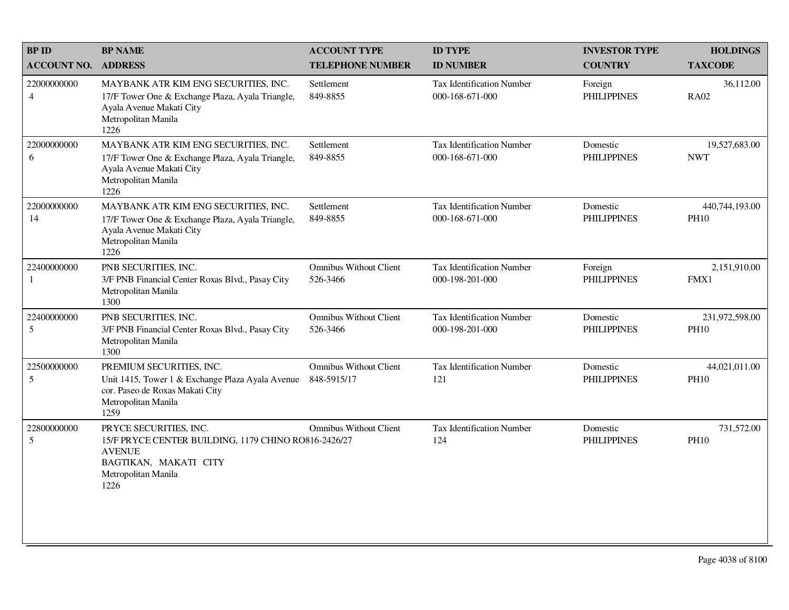| <b>BP ID</b>                  | <b>BP NAME</b>                                                                                                                                          | <b>ACCOUNT TYPE</b>                          | <b>ID TYPE</b>                                      | <b>INVESTOR TYPE</b>           | <b>HOLDINGS</b>               |
|-------------------------------|---------------------------------------------------------------------------------------------------------------------------------------------------------|----------------------------------------------|-----------------------------------------------------|--------------------------------|-------------------------------|
| <b>ACCOUNT NO.</b>            | <b>ADDRESS</b>                                                                                                                                          | <b>TELEPHONE NUMBER</b>                      | <b>ID NUMBER</b>                                    | <b>COUNTRY</b>                 | <b>TAXCODE</b>                |
| 22000000000<br>$\overline{4}$ | MAYBANK ATR KIM ENG SECURITIES, INC.<br>17/F Tower One & Exchange Plaza, Ayala Triangle,<br>Ayala Avenue Makati City<br>Metropolitan Manila<br>1226     | Settlement<br>849-8855                       | <b>Tax Identification Number</b><br>000-168-671-000 | Foreign<br><b>PHILIPPINES</b>  | 36,112.00<br><b>RA02</b>      |
| 22000000000<br>6              | MAYBANK ATR KIM ENG SECURITIES, INC.<br>17/F Tower One & Exchange Plaza, Ayala Triangle,<br>Ayala Avenue Makati City<br>Metropolitan Manila<br>1226     | Settlement<br>849-8855                       | Tax Identification Number<br>000-168-671-000        | Domestic<br><b>PHILIPPINES</b> | 19,527,683.00<br><b>NWT</b>   |
| 22000000000<br>14             | MAYBANK ATR KIM ENG SECURITIES, INC.<br>17/F Tower One & Exchange Plaza, Ayala Triangle,<br>Ayala Avenue Makati City<br>Metropolitan Manila<br>1226     | Settlement<br>849-8855                       | <b>Tax Identification Number</b><br>000-168-671-000 | Domestic<br><b>PHILIPPINES</b> | 440,744,193.00<br><b>PH10</b> |
| 22400000000<br>$\mathbf{1}$   | PNB SECURITIES, INC.<br>3/F PNB Financial Center Roxas Blvd., Pasay City<br>Metropolitan Manila<br>1300                                                 | <b>Omnibus Without Client</b><br>526-3466    | Tax Identification Number<br>000-198-201-000        | Foreign<br><b>PHILIPPINES</b>  | 2,151,910.00<br>FMX1          |
| 22400000000<br>5              | PNB SECURITIES, INC.<br>3/F PNB Financial Center Roxas Blvd., Pasay City<br>Metropolitan Manila<br>1300                                                 | <b>Omnibus Without Client</b><br>526-3466    | Tax Identification Number<br>000-198-201-000        | Domestic<br><b>PHILIPPINES</b> | 231,972,598.00<br><b>PH10</b> |
| 22500000000<br>5              | PREMIUM SECURITIES, INC.<br>Unit 1415, Tower 1 & Exchange Plaza Ayala Avenue<br>cor. Paseo de Roxas Makati City<br>Metropolitan Manila<br>1259          | <b>Omnibus Without Client</b><br>848-5915/17 | Tax Identification Number<br>121                    | Domestic<br><b>PHILIPPINES</b> | 44,021,011.00<br><b>PH10</b>  |
| 22800000000<br>5              | PRYCE SECURITIES, INC.<br>15/F PRYCE CENTER BUILDING, 1179 CHINO RO816-2426/27<br><b>AVENUE</b><br>BAGTIKAN, MAKATI CITY<br>Metropolitan Manila<br>1226 | <b>Omnibus Without Client</b>                | <b>Tax Identification Number</b><br>124             | Domestic<br><b>PHILIPPINES</b> | 731,572.00<br><b>PH10</b>     |
|                               |                                                                                                                                                         |                                              |                                                     |                                |                               |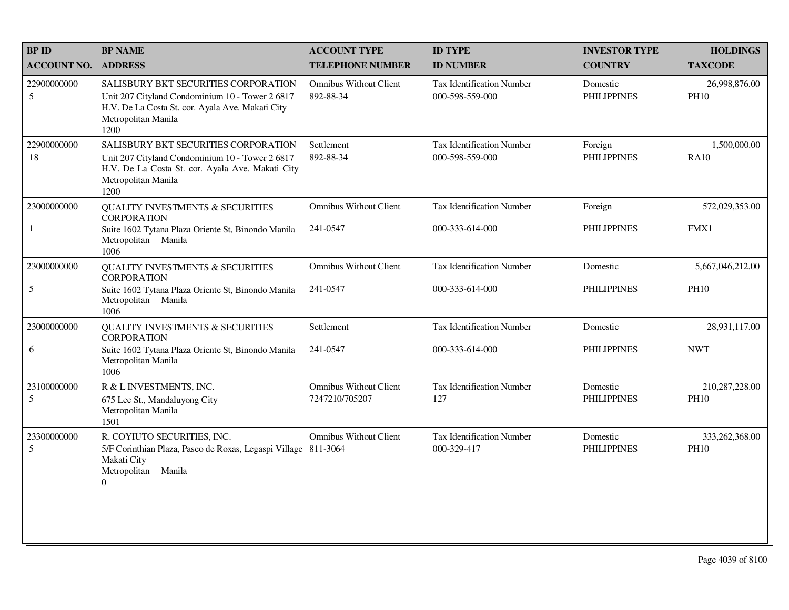| <b>BPID</b>                | <b>BP NAME</b>                                                                                                                                                             | <b>ACCOUNT TYPE</b>                             | <b>ID TYPE</b>                                  | <b>INVESTOR TYPE</b>           | <b>HOLDINGS</b>               |
|----------------------------|----------------------------------------------------------------------------------------------------------------------------------------------------------------------------|-------------------------------------------------|-------------------------------------------------|--------------------------------|-------------------------------|
| <b>ACCOUNT NO. ADDRESS</b> |                                                                                                                                                                            | <b>TELEPHONE NUMBER</b>                         | <b>ID NUMBER</b>                                | <b>COUNTRY</b>                 | <b>TAXCODE</b>                |
| 22900000000<br>5           | SALISBURY BKT SECURITIES CORPORATION<br>Unit 207 Cityland Condominium 10 - Tower 2 6817<br>H.V. De La Costa St. cor. Ayala Ave. Makati City<br>Metropolitan Manila<br>1200 | <b>Omnibus Without Client</b><br>892-88-34      | Tax Identification Number<br>000-598-559-000    | Domestic<br><b>PHILIPPINES</b> | 26,998,876.00<br><b>PH10</b>  |
| 22900000000<br>18          | SALISBURY BKT SECURITIES CORPORATION<br>Unit 207 Cityland Condominium 10 - Tower 2 6817<br>H.V. De La Costa St. cor. Ayala Ave. Makati City<br>Metropolitan Manila<br>1200 | Settlement<br>892-88-34                         | Tax Identification Number<br>000-598-559-000    | Foreign<br><b>PHILIPPINES</b>  | 1,500,000.00<br><b>RA10</b>   |
| 23000000000                | <b>QUALITY INVESTMENTS &amp; SECURITIES</b><br><b>CORPORATION</b>                                                                                                          | <b>Omnibus Without Client</b>                   | <b>Tax Identification Number</b>                | Foreign                        | 572,029,353.00                |
| 1                          | Suite 1602 Tytana Plaza Oriente St, Binondo Manila<br>Metropolitan Manila<br>1006                                                                                          | 241-0547                                        | 000-333-614-000                                 | <b>PHILIPPINES</b>             | FMX1                          |
| 23000000000                | <b>QUALITY INVESTMENTS &amp; SECURITIES</b><br><b>CORPORATION</b>                                                                                                          | <b>Omnibus Without Client</b>                   | Tax Identification Number                       | Domestic                       | 5,667,046,212.00              |
| 5                          | Suite 1602 Tytana Plaza Oriente St, Binondo Manila<br>Metropolitan Manila<br>1006                                                                                          | 241-0547                                        | 000-333-614-000                                 | <b>PHILIPPINES</b>             | <b>PH10</b>                   |
| 23000000000                | <b>QUALITY INVESTMENTS &amp; SECURITIES</b><br><b>CORPORATION</b>                                                                                                          | Settlement                                      | Tax Identification Number                       | Domestic                       | 28,931,117.00                 |
| 6                          | Suite 1602 Tytana Plaza Oriente St, Binondo Manila<br>Metropolitan Manila<br>1006                                                                                          | 241-0547                                        | 000-333-614-000                                 | <b>PHILIPPINES</b>             | <b>NWT</b>                    |
| 23100000000<br>5           | R & L INVESTMENTS, INC.<br>675 Lee St., Mandaluyong City<br>Metropolitan Manila<br>1501                                                                                    | <b>Omnibus Without Client</b><br>7247210/705207 | <b>Tax Identification Number</b><br>127         | Domestic<br><b>PHILIPPINES</b> | 210,287,228.00<br><b>PH10</b> |
| 23300000000<br>5           | R. COYIUTO SECURITIES, INC.<br>5/F Corinthian Plaza, Paseo de Roxas, Legaspi Village 811-3064<br>Makati City<br>Metropolitan<br>Manila<br>$\boldsymbol{0}$                 | <b>Omnibus Without Client</b>                   | <b>Tax Identification Number</b><br>000-329-417 | Domestic<br><b>PHILIPPINES</b> | 333,262,368.00<br><b>PH10</b> |
|                            |                                                                                                                                                                            |                                                 |                                                 |                                |                               |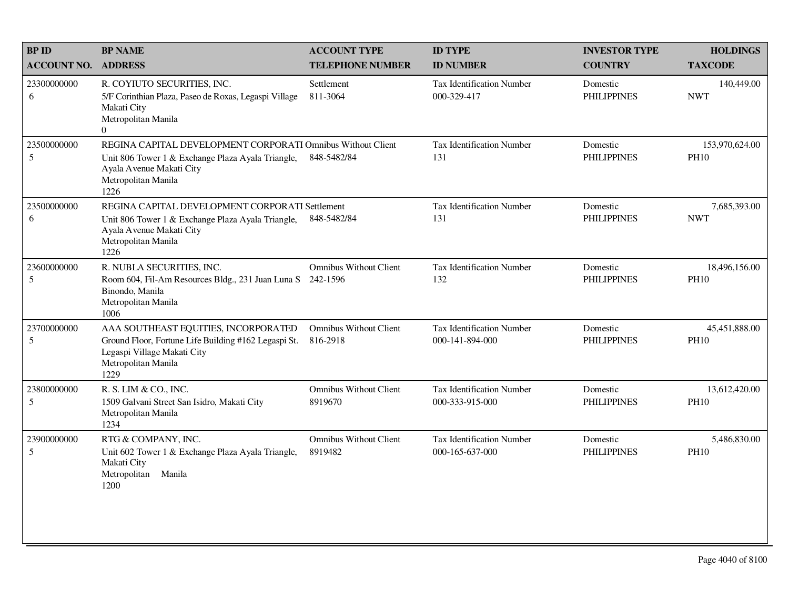| <b>BPID</b>        | <b>BP NAME</b>                                                                                                                                                              | <b>ACCOUNT TYPE</b>                       | <b>ID TYPE</b>                                      | <b>INVESTOR TYPE</b>           | <b>HOLDINGS</b>               |
|--------------------|-----------------------------------------------------------------------------------------------------------------------------------------------------------------------------|-------------------------------------------|-----------------------------------------------------|--------------------------------|-------------------------------|
| <b>ACCOUNT NO.</b> | <b>ADDRESS</b>                                                                                                                                                              | <b>TELEPHONE NUMBER</b>                   | <b>ID NUMBER</b>                                    | <b>COUNTRY</b>                 | <b>TAXCODE</b>                |
| 23300000000<br>6   | R. COYIUTO SECURITIES, INC.<br>5/F Corinthian Plaza, Paseo de Roxas, Legaspi Village<br>Makati City<br>Metropolitan Manila<br>$\Omega$                                      | Settlement<br>811-3064                    | <b>Tax Identification Number</b><br>000-329-417     | Domestic<br><b>PHILIPPINES</b> | 140,449.00<br><b>NWT</b>      |
| 23500000000<br>5   | REGINA CAPITAL DEVELOPMENT CORPORATI Omnibus Without Client<br>Unit 806 Tower 1 & Exchange Plaza Ayala Triangle,<br>Ayala Avenue Makati City<br>Metropolitan Manila<br>1226 | 848-5482/84                               | Tax Identification Number<br>131                    | Domestic<br><b>PHILIPPINES</b> | 153,970,624.00<br><b>PH10</b> |
| 23500000000<br>6   | REGINA CAPITAL DEVELOPMENT CORPORATI Settlement<br>Unit 806 Tower 1 & Exchange Plaza Ayala Triangle,<br>Ayala Avenue Makati City<br>Metropolitan Manila<br>1226             | 848-5482/84                               | <b>Tax Identification Number</b><br>131             | Domestic<br><b>PHILIPPINES</b> | 7,685,393.00<br><b>NWT</b>    |
| 23600000000<br>5   | R. NUBLA SECURITIES, INC.<br>Room 604, Fil-Am Resources Bldg., 231 Juan Luna S<br>Binondo, Manila<br>Metropolitan Manila<br>1006                                            | <b>Omnibus Without Client</b><br>242-1596 | Tax Identification Number<br>132                    | Domestic<br><b>PHILIPPINES</b> | 18,496,156.00<br><b>PH10</b>  |
| 23700000000<br>5   | AAA SOUTHEAST EQUITIES, INCORPORATED<br>Ground Floor, Fortune Life Building #162 Legaspi St.<br>Legaspi Village Makati City<br>Metropolitan Manila<br>1229                  | Omnibus Without Client<br>816-2918        | <b>Tax Identification Number</b><br>000-141-894-000 | Domestic<br><b>PHILIPPINES</b> | 45,451,888.00<br><b>PH10</b>  |
| 23800000000<br>5   | R. S. LIM & CO., INC.<br>1509 Galvani Street San Isidro, Makati City<br>Metropolitan Manila<br>1234                                                                         | <b>Omnibus Without Client</b><br>8919670  | <b>Tax Identification Number</b><br>000-333-915-000 | Domestic<br><b>PHILIPPINES</b> | 13,612,420.00<br><b>PH10</b>  |
| 23900000000<br>5   | RTG & COMPANY, INC.<br>Unit 602 Tower 1 & Exchange Plaza Ayala Triangle,<br>Makati City<br>Metropolitan<br>Manila<br>1200                                                   | <b>Omnibus Without Client</b><br>8919482  | Tax Identification Number<br>000-165-637-000        | Domestic<br><b>PHILIPPINES</b> | 5,486,830.00<br><b>PH10</b>   |
|                    |                                                                                                                                                                             |                                           |                                                     |                                |                               |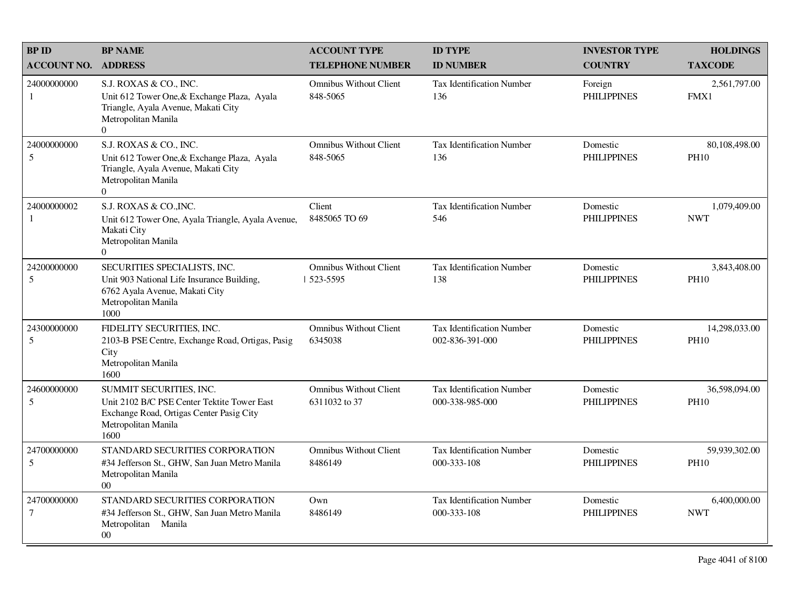| <b>BP ID</b>                  | <b>BP NAME</b>                                                                                                                                        | <b>ACCOUNT TYPE</b>                            | <b>ID TYPE</b>                                      | <b>INVESTOR TYPE</b>           | <b>HOLDINGS</b>              |
|-------------------------------|-------------------------------------------------------------------------------------------------------------------------------------------------------|------------------------------------------------|-----------------------------------------------------|--------------------------------|------------------------------|
| <b>ACCOUNT NO.</b>            | <b>ADDRESS</b>                                                                                                                                        | <b>TELEPHONE NUMBER</b>                        | <b>ID NUMBER</b>                                    | <b>COUNTRY</b>                 | <b>TAXCODE</b>               |
| 24000000000<br>1              | S.J. ROXAS & CO., INC.<br>Unit 612 Tower One, & Exchange Plaza, Ayala<br>Triangle, Ayala Avenue, Makati City<br>Metropolitan Manila<br>$\Omega$       | <b>Omnibus Without Client</b><br>848-5065      | <b>Tax Identification Number</b><br>136             | Foreign<br><b>PHILIPPINES</b>  | 2,561,797.00<br>FMX1         |
| 24000000000<br>5              | S.J. ROXAS & CO., INC.<br>Unit 612 Tower One, & Exchange Plaza, Ayala<br>Triangle, Ayala Avenue, Makati City<br>Metropolitan Manila<br>$\overline{0}$ | <b>Omnibus Without Client</b><br>848-5065      | Tax Identification Number<br>136                    | Domestic<br><b>PHILIPPINES</b> | 80,108,498.00<br><b>PH10</b> |
| 24000000002<br>1              | S.J. ROXAS & CO., INC.<br>Unit 612 Tower One, Ayala Triangle, Ayala Avenue,<br>Makati City<br>Metropolitan Manila<br>$\Omega$                         | Client<br>8485065 TO 69                        | <b>Tax Identification Number</b><br>546             | Domestic<br><b>PHILIPPINES</b> | 1,079,409.00<br><b>NWT</b>   |
| 24200000000<br>5              | SECURITIES SPECIALISTS, INC.<br>Unit 903 National Life Insurance Building,<br>6762 Ayala Avenue, Makati City<br>Metropolitan Manila<br>1000           | <b>Omnibus Without Client</b><br>523-5595      | <b>Tax Identification Number</b><br>138             | Domestic<br><b>PHILIPPINES</b> | 3,843,408.00<br><b>PH10</b>  |
| 24300000000<br>5              | FIDELITY SECURITIES, INC.<br>2103-B PSE Centre, Exchange Road, Ortigas, Pasig<br>City<br>Metropolitan Manila<br>1600                                  | <b>Omnibus Without Client</b><br>6345038       | <b>Tax Identification Number</b><br>002-836-391-000 | Domestic<br><b>PHILIPPINES</b> | 14,298,033.00<br><b>PH10</b> |
| 24600000000<br>5              | SUMMIT SECURITIES, INC.<br>Unit 2102 B/C PSE Center Tektite Tower East<br>Exchange Road, Ortigas Center Pasig City<br>Metropolitan Manila<br>1600     | <b>Omnibus Without Client</b><br>6311032 to 37 | Tax Identification Number<br>000-338-985-000        | Domestic<br><b>PHILIPPINES</b> | 36,598,094.00<br><b>PH10</b> |
| 24700000000<br>5              | STANDARD SECURITIES CORPORATION<br>#34 Jefferson St., GHW, San Juan Metro Manila<br>Metropolitan Manila<br>$00\,$                                     | <b>Omnibus Without Client</b><br>8486149       | <b>Tax Identification Number</b><br>000-333-108     | Domestic<br><b>PHILIPPINES</b> | 59,939,302.00<br><b>PH10</b> |
| 24700000000<br>$\overline{7}$ | STANDARD SECURITIES CORPORATION<br>#34 Jefferson St., GHW, San Juan Metro Manila<br>Metropolitan Manila<br>$00\,$                                     | Own<br>8486149                                 | <b>Tax Identification Number</b><br>000-333-108     | Domestic<br><b>PHILIPPINES</b> | 6,400,000.00<br><b>NWT</b>   |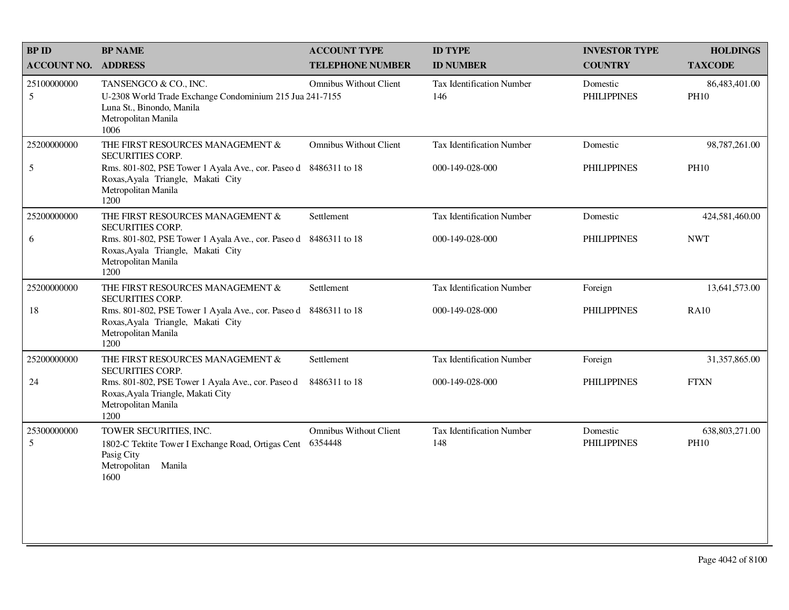| <b>BPID</b>                   | <b>BP NAME</b>                                                                                                                                | <b>ACCOUNT TYPE</b>                      | <b>ID TYPE</b>                          | <b>INVESTOR TYPE</b>           | <b>HOLDINGS</b>               |
|-------------------------------|-----------------------------------------------------------------------------------------------------------------------------------------------|------------------------------------------|-----------------------------------------|--------------------------------|-------------------------------|
| <b>ACCOUNT NO.</b>            | <b>ADDRESS</b>                                                                                                                                | <b>TELEPHONE NUMBER</b>                  | <b>ID NUMBER</b>                        | <b>COUNTRY</b>                 | <b>TAXCODE</b>                |
| 25100000000<br>$\mathfrak{S}$ | TANSENGCO & CO., INC.<br>U-2308 World Trade Exchange Condominium 215 Jua 241-7155<br>Luna St., Binondo, Manila<br>Metropolitan Manila<br>1006 | <b>Omnibus Without Client</b>            | Tax Identification Number<br>146        | Domestic<br><b>PHILIPPINES</b> | 86,483,401.00<br><b>PH10</b>  |
| 25200000000                   | THE FIRST RESOURCES MANAGEMENT &<br><b>SECURITIES CORP.</b>                                                                                   | <b>Omnibus Without Client</b>            | Tax Identification Number               | Domestic                       | 98,787,261.00                 |
| $\sqrt{5}$                    | Rms. 801-802, PSE Tower 1 Ayala Ave., cor. Paseo d 8486311 to 18<br>Roxas, Ayala Triangle, Makati City<br>Metropolitan Manila<br>1200         |                                          | 000-149-028-000                         | <b>PHILIPPINES</b>             | <b>PH10</b>                   |
| 25200000000                   | THE FIRST RESOURCES MANAGEMENT &<br><b>SECURITIES CORP.</b>                                                                                   | Settlement                               | <b>Tax Identification Number</b>        | Domestic                       | 424,581,460.00                |
| 6                             | Rms. 801-802, PSE Tower 1 Ayala Ave., cor. Paseo d 8486311 to 18<br>Roxas, Ayala Triangle, Makati City<br>Metropolitan Manila<br>1200         |                                          | 000-149-028-000                         | <b>PHILIPPINES</b>             | <b>NWT</b>                    |
| 25200000000                   | THE FIRST RESOURCES MANAGEMENT &<br><b>SECURITIES CORP.</b>                                                                                   | Settlement                               | <b>Tax Identification Number</b>        | Foreign                        | 13,641,573.00                 |
| 18                            | Rms. 801-802, PSE Tower 1 Ayala Ave., cor. Paseo d<br>Roxas, Ayala Triangle, Makati City<br>Metropolitan Manila<br>1200                       | 8486311 to 18                            | 000-149-028-000                         | <b>PHILIPPINES</b>             | <b>RA10</b>                   |
| 25200000000                   | THE FIRST RESOURCES MANAGEMENT &<br><b>SECURITIES CORP.</b>                                                                                   | Settlement                               | Tax Identification Number               | Foreign                        | 31,357,865.00                 |
| 24                            | Rms. 801-802, PSE Tower 1 Ayala Ave., cor. Paseo d<br>Roxas, Ayala Triangle, Makati City<br>Metropolitan Manila<br>1200                       | 8486311 to 18                            | 000-149-028-000                         | <b>PHILIPPINES</b>             | <b>FTXN</b>                   |
| 25300000000<br>5              | TOWER SECURITIES, INC.<br>1802-C Tektite Tower I Exchange Road, Ortigas Cent<br>Pasig City<br>Metropolitan Manila<br>1600                     | <b>Omnibus Without Client</b><br>6354448 | <b>Tax Identification Number</b><br>148 | Domestic<br><b>PHILIPPINES</b> | 638,803,271.00<br><b>PH10</b> |
|                               |                                                                                                                                               |                                          |                                         |                                |                               |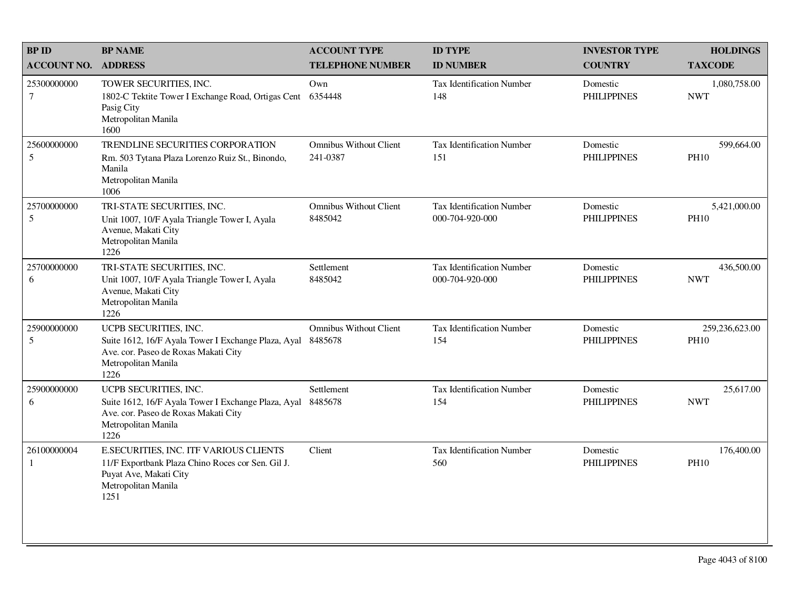| <b>BPID</b>                 | <b>BP NAME</b>                                                                                                                                       | <b>ACCOUNT TYPE</b>                       | <b>ID TYPE</b>                                      | <b>INVESTOR TYPE</b>           | <b>HOLDINGS</b>               |
|-----------------------------|------------------------------------------------------------------------------------------------------------------------------------------------------|-------------------------------------------|-----------------------------------------------------|--------------------------------|-------------------------------|
| <b>ACCOUNT NO.</b>          | <b>ADDRESS</b>                                                                                                                                       | <b>TELEPHONE NUMBER</b>                   | <b>ID NUMBER</b>                                    | <b>COUNTRY</b>                 | <b>TAXCODE</b>                |
| 25300000000<br>$\tau$       | TOWER SECURITIES, INC.<br>1802-C Tektite Tower I Exchange Road, Ortigas Cent<br>Pasig City<br>Metropolitan Manila<br>1600                            | Own<br>6354448                            | Tax Identification Number<br>148                    | Domestic<br><b>PHILIPPINES</b> | 1,080,758.00<br><b>NWT</b>    |
| 25600000000<br>5            | <b>TRENDLINE SECURITIES CORPORATION</b><br>Rm. 503 Tytana Plaza Lorenzo Ruiz St., Binondo,<br>Manila<br>Metropolitan Manila<br>1006                  | <b>Omnibus Without Client</b><br>241-0387 | <b>Tax Identification Number</b><br>151             | Domestic<br><b>PHILIPPINES</b> | 599,664.00<br><b>PH10</b>     |
| 25700000000<br>5            | TRI-STATE SECURITIES, INC.<br>Unit 1007, 10/F Ayala Triangle Tower I, Ayala<br>Avenue, Makati City<br>Metropolitan Manila<br>1226                    | <b>Omnibus Without Client</b><br>8485042  | <b>Tax Identification Number</b><br>000-704-920-000 | Domestic<br><b>PHILIPPINES</b> | 5,421,000.00<br><b>PH10</b>   |
| 25700000000<br>6            | TRI-STATE SECURITIES, INC.<br>Unit 1007, 10/F Ayala Triangle Tower I, Ayala<br>Avenue, Makati City<br>Metropolitan Manila<br>1226                    | Settlement<br>8485042                     | Tax Identification Number<br>000-704-920-000        | Domestic<br><b>PHILIPPINES</b> | 436,500.00<br><b>NWT</b>      |
| 25900000000<br>5            | UCPB SECURITIES, INC.<br>Suite 1612, 16/F Ayala Tower I Exchange Plaza, Ayal<br>Ave. cor. Paseo de Roxas Makati City<br>Metropolitan Manila<br>1226  | <b>Omnibus Without Client</b><br>8485678  | <b>Tax Identification Number</b><br>154             | Domestic<br><b>PHILIPPINES</b> | 259,236,623.00<br><b>PH10</b> |
| 25900000000<br>6            | UCPB SECURITIES, INC.<br>Suite 1612, 16/F Ayala Tower I Exchange Plaza, Ayal<br>Ave. cor. Paseo de Roxas Makati City<br>Metropolitan Manila<br>1226  | Settlement<br>8485678                     | <b>Tax Identification Number</b><br>154             | Domestic<br><b>PHILIPPINES</b> | 25,617.00<br><b>NWT</b>       |
| 26100000004<br>$\mathbf{1}$ | E.SECURITIES, INC. ITF VARIOUS CLIENTS<br>11/F Exportbank Plaza Chino Roces cor Sen. Gil J.<br>Puyat Ave, Makati City<br>Metropolitan Manila<br>1251 | Client                                    | Tax Identification Number<br>560                    | Domestic<br><b>PHILIPPINES</b> | 176,400.00<br><b>PH10</b>     |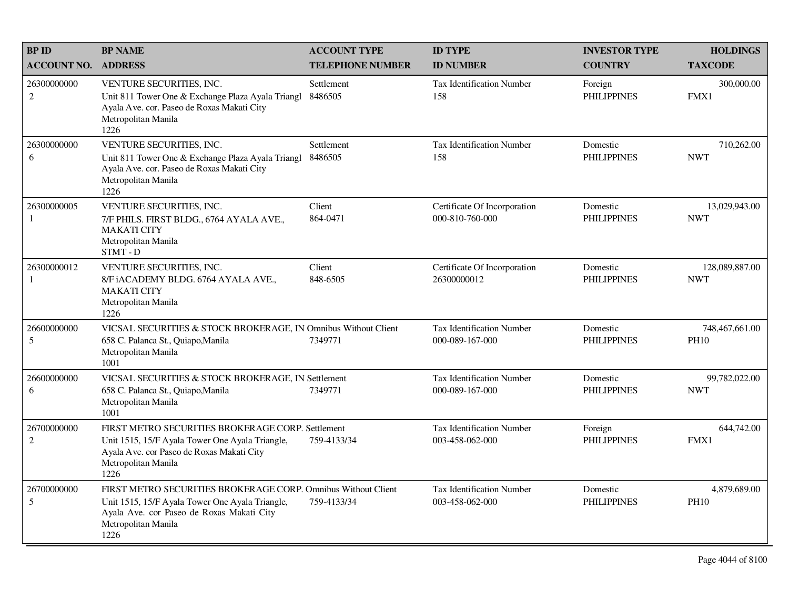| <b>BP ID</b>                  | <b>BP NAME</b>                                                                                                                                                                               | <b>ACCOUNT TYPE</b>     | <b>ID TYPE</b>                                      | <b>INVESTOR TYPE</b>           | <b>HOLDINGS</b>               |
|-------------------------------|----------------------------------------------------------------------------------------------------------------------------------------------------------------------------------------------|-------------------------|-----------------------------------------------------|--------------------------------|-------------------------------|
| <b>ACCOUNT NO. ADDRESS</b>    |                                                                                                                                                                                              | <b>TELEPHONE NUMBER</b> | <b>ID NUMBER</b>                                    | <b>COUNTRY</b>                 | <b>TAXCODE</b>                |
| 26300000000<br>$\overline{2}$ | VENTURE SECURITIES, INC.<br>Unit 811 Tower One & Exchange Plaza Ayala Triangl<br>Ayala Ave. cor. Paseo de Roxas Makati City<br>Metropolitan Manila<br>1226                                   | Settlement<br>8486505   | <b>Tax Identification Number</b><br>158             | Foreign<br><b>PHILIPPINES</b>  | 300,000.00<br>FMX1            |
| 26300000000<br>6              | VENTURE SECURITIES, INC.<br>Unit 811 Tower One & Exchange Plaza Ayala Triangl<br>Ayala Ave. cor. Paseo de Roxas Makati City<br>Metropolitan Manila<br>1226                                   | Settlement<br>8486505   | Tax Identification Number<br>158                    | Domestic<br><b>PHILIPPINES</b> | 710,262.00<br><b>NWT</b>      |
| 26300000005<br>1              | VENTURE SECURITIES, INC.<br>7/F PHILS. FIRST BLDG., 6764 AYALA AVE.,<br><b>MAKATI CITY</b><br>Metropolitan Manila<br>STMT-D                                                                  | Client<br>864-0471      | Certificate Of Incorporation<br>000-810-760-000     | Domestic<br><b>PHILIPPINES</b> | 13,029,943.00<br><b>NWT</b>   |
| 26300000012<br>1              | VENTURE SECURITIES, INC.<br>8/F iACADEMY BLDG. 6764 AYALA AVE.,<br><b>MAKATI CITY</b><br>Metropolitan Manila<br>1226                                                                         | Client<br>848-6505      | Certificate Of Incorporation<br>26300000012         | Domestic<br><b>PHILIPPINES</b> | 128,089,887.00<br><b>NWT</b>  |
| 26600000000<br>5              | VICSAL SECURITIES & STOCK BROKERAGE, IN Omnibus Without Client<br>658 C. Palanca St., Quiapo, Manila<br>Metropolitan Manila<br>1001                                                          | 7349771                 | <b>Tax Identification Number</b><br>000-089-167-000 | Domestic<br><b>PHILIPPINES</b> | 748,467,661.00<br><b>PH10</b> |
| 26600000000<br>6              | VICSAL SECURITIES & STOCK BROKERAGE, IN Settlement<br>658 C. Palanca St., Quiapo, Manila<br>Metropolitan Manila<br>1001                                                                      | 7349771                 | <b>Tax Identification Number</b><br>000-089-167-000 | Domestic<br><b>PHILIPPINES</b> | 99,782,022.00<br><b>NWT</b>   |
| 26700000000<br>2              | FIRST METRO SECURITIES BROKERAGE CORP. Settlement<br>Unit 1515, 15/F Ayala Tower One Ayala Triangle,<br>Ayala Ave. cor Paseo de Roxas Makati City<br>Metropolitan Manila<br>1226             | 759-4133/34             | <b>Tax Identification Number</b><br>003-458-062-000 | Foreign<br><b>PHILIPPINES</b>  | 644,742.00<br>FMX1            |
| 26700000000<br>5              | FIRST METRO SECURITIES BROKERAGE CORP. Omnibus Without Client<br>Unit 1515, 15/F Ayala Tower One Ayala Triangle,<br>Ayala Ave. cor Paseo de Roxas Makati City<br>Metropolitan Manila<br>1226 | 759-4133/34             | <b>Tax Identification Number</b><br>003-458-062-000 | Domestic<br><b>PHILIPPINES</b> | 4,879,689.00<br><b>PH10</b>   |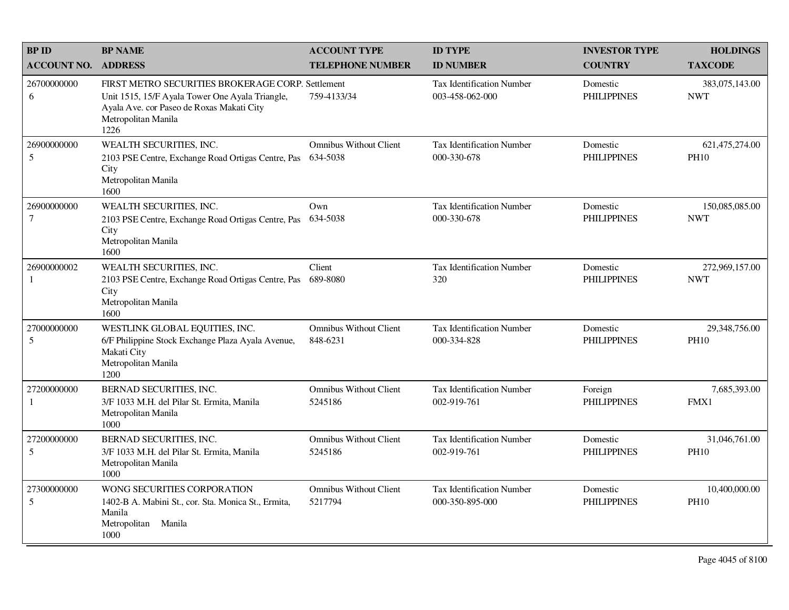| <b>BPID</b>                    | <b>BP NAME</b>                                                                                                                                                                   | <b>ACCOUNT TYPE</b>                       | <b>ID TYPE</b>                                      | <b>INVESTOR TYPE</b>           | <b>HOLDINGS</b>               |
|--------------------------------|----------------------------------------------------------------------------------------------------------------------------------------------------------------------------------|-------------------------------------------|-----------------------------------------------------|--------------------------------|-------------------------------|
| <b>ACCOUNT NO.</b>             | <b>ADDRESS</b>                                                                                                                                                                   | <b>TELEPHONE NUMBER</b>                   | <b>ID NUMBER</b>                                    | <b>COUNTRY</b>                 | <b>TAXCODE</b>                |
| 26700000000<br>6               | FIRST METRO SECURITIES BROKERAGE CORP. Settlement<br>Unit 1515, 15/F Ayala Tower One Ayala Triangle,<br>Ayala Ave. cor Paseo de Roxas Makati City<br>Metropolitan Manila<br>1226 | 759-4133/34                               | <b>Tax Identification Number</b><br>003-458-062-000 | Domestic<br><b>PHILIPPINES</b> | 383,075,143.00<br><b>NWT</b>  |
| 26900000000<br>5               | WEALTH SECURITIES, INC.<br>2103 PSE Centre, Exchange Road Ortigas Centre, Pas<br>City<br>Metropolitan Manila<br>1600                                                             | <b>Omnibus Without Client</b><br>634-5038 | Tax Identification Number<br>000-330-678            | Domestic<br><b>PHILIPPINES</b> | 621,475,274.00<br><b>PH10</b> |
| 26900000000<br>$7\phantom{.0}$ | WEALTH SECURITIES, INC.<br>2103 PSE Centre, Exchange Road Ortigas Centre, Pas<br>City<br>Metropolitan Manila<br>1600                                                             | Own<br>634-5038                           | <b>Tax Identification Number</b><br>000-330-678     | Domestic<br><b>PHILIPPINES</b> | 150,085,085.00<br><b>NWT</b>  |
| 26900000002<br>-1              | WEALTH SECURITIES, INC.<br>2103 PSE Centre, Exchange Road Ortigas Centre, Pas<br>City<br>Metropolitan Manila<br>1600                                                             | Client<br>689-8080                        | Tax Identification Number<br>320                    | Domestic<br><b>PHILIPPINES</b> | 272,969,157.00<br><b>NWT</b>  |
| 27000000000<br>5               | WESTLINK GLOBAL EQUITIES, INC.<br>6/F Philippine Stock Exchange Plaza Ayala Avenue,<br>Makati City<br>Metropolitan Manila<br>1200                                                | <b>Omnibus Without Client</b><br>848-6231 | <b>Tax Identification Number</b><br>000-334-828     | Domestic<br><b>PHILIPPINES</b> | 29,348,756.00<br><b>PH10</b>  |
| 27200000000<br>$\mathbf{1}$    | BERNAD SECURITIES, INC.<br>3/F 1033 M.H. del Pilar St. Ermita, Manila<br>Metropolitan Manila<br>1000                                                                             | <b>Omnibus Without Client</b><br>5245186  | Tax Identification Number<br>002-919-761            | Foreign<br><b>PHILIPPINES</b>  | 7,685,393.00<br>FMX1          |
| 27200000000<br>5               | BERNAD SECURITIES, INC.<br>3/F 1033 M.H. del Pilar St. Ermita, Manila<br>Metropolitan Manila<br>1000                                                                             | <b>Omnibus Without Client</b><br>5245186  | Tax Identification Number<br>002-919-761            | Domestic<br><b>PHILIPPINES</b> | 31,046,761.00<br><b>PH10</b>  |
| 27300000000<br>5               | WONG SECURITIES CORPORATION<br>1402-B A. Mabini St., cor. Sta. Monica St., Ermita,<br>Manila<br>Metropolitan Manila<br>1000                                                      | <b>Omnibus Without Client</b><br>5217794  | <b>Tax Identification Number</b><br>000-350-895-000 | Domestic<br><b>PHILIPPINES</b> | 10,400,000.00<br><b>PH10</b>  |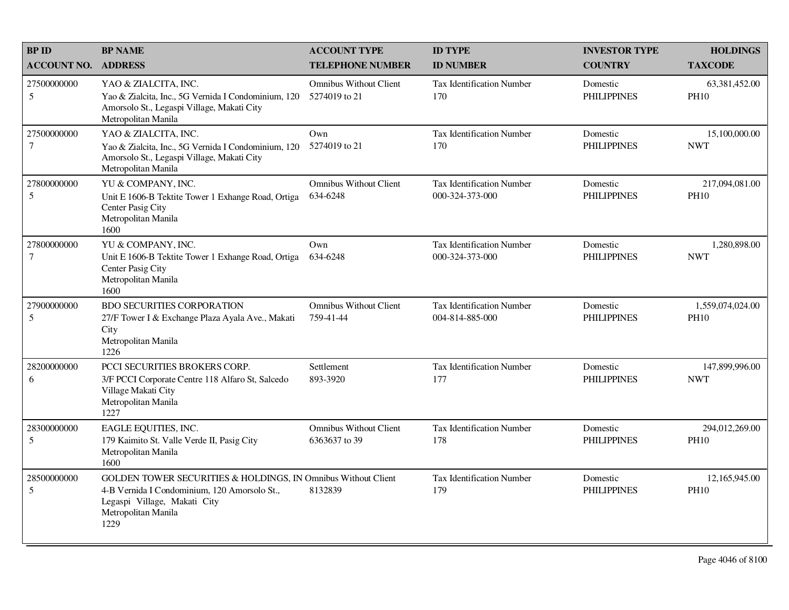| <b>BPID</b>           | <b>BP NAME</b>                                                                                                                                                               | <b>ACCOUNT TYPE</b>                            | <b>ID TYPE</b>                                      | <b>INVESTOR TYPE</b>           | <b>HOLDINGS</b>                 |
|-----------------------|------------------------------------------------------------------------------------------------------------------------------------------------------------------------------|------------------------------------------------|-----------------------------------------------------|--------------------------------|---------------------------------|
| <b>ACCOUNT NO.</b>    | <b>ADDRESS</b>                                                                                                                                                               | <b>TELEPHONE NUMBER</b>                        | <b>ID NUMBER</b>                                    | <b>COUNTRY</b>                 | <b>TAXCODE</b>                  |
| 27500000000<br>5      | YAO & ZIALCITA, INC.<br>Yao & Zialcita, Inc., 5G Vernida I Condominium, 120<br>Amorsolo St., Legaspi Village, Makati City<br>Metropolitan Manila                             | <b>Omnibus Without Client</b><br>5274019 to 21 | <b>Tax Identification Number</b><br>170             | Domestic<br><b>PHILIPPINES</b> | 63,381,452.00<br><b>PH10</b>    |
| 27500000000<br>$\tau$ | YAO & ZIALCITA, INC.<br>Yao & Zialcita, Inc., 5G Vernida I Condominium, 120<br>Amorsolo St., Legaspi Village, Makati City<br>Metropolitan Manila                             | Own<br>5274019 to 21                           | Tax Identification Number<br>170                    | Domestic<br><b>PHILIPPINES</b> | 15,100,000.00<br><b>NWT</b>     |
| 27800000000<br>5      | YU & COMPANY, INC.<br>Unit E 1606-B Tektite Tower 1 Exhange Road, Ortiga<br>Center Pasig City<br>Metropolitan Manila<br>1600                                                 | <b>Omnibus Without Client</b><br>634-6248      | Tax Identification Number<br>000-324-373-000        | Domestic<br><b>PHILIPPINES</b> | 217,094,081.00<br><b>PH10</b>   |
| 27800000000<br>$\tau$ | YU & COMPANY, INC.<br>Unit E 1606-B Tektite Tower 1 Exhange Road, Ortiga<br>Center Pasig City<br>Metropolitan Manila<br>1600                                                 | Own<br>634-6248                                | Tax Identification Number<br>000-324-373-000        | Domestic<br><b>PHILIPPINES</b> | 1,280,898.00<br><b>NWT</b>      |
| 27900000000<br>5      | <b>BDO SECURITIES CORPORATION</b><br>27/F Tower I & Exchange Plaza Ayala Ave., Makati<br>City<br>Metropolitan Manila<br>1226                                                 | <b>Omnibus Without Client</b><br>759-41-44     | <b>Tax Identification Number</b><br>004-814-885-000 | Domestic<br><b>PHILIPPINES</b> | 1,559,074,024.00<br><b>PH10</b> |
| 28200000000<br>6      | PCCI SECURITIES BROKERS CORP.<br>3/F PCCI Corporate Centre 118 Alfaro St, Salcedo<br>Village Makati City<br>Metropolitan Manila<br>1227                                      | Settlement<br>893-3920                         | Tax Identification Number<br>177                    | Domestic<br><b>PHILIPPINES</b> | 147,899,996.00<br><b>NWT</b>    |
| 28300000000<br>5      | EAGLE EQUITIES, INC.<br>179 Kaimito St. Valle Verde II, Pasig City<br>Metropolitan Manila<br>1600                                                                            | <b>Omnibus Without Client</b><br>6363637 to 39 | Tax Identification Number<br>178                    | Domestic<br><b>PHILIPPINES</b> | 294,012,269.00<br><b>PH10</b>   |
| 28500000000<br>5      | GOLDEN TOWER SECURITIES & HOLDINGS, IN Omnibus Without Client<br>4-B Vernida I Condominium, 120 Amorsolo St.,<br>Legaspi Village, Makati City<br>Metropolitan Manila<br>1229 | 8132839                                        | Tax Identification Number<br>179                    | Domestic<br><b>PHILIPPINES</b> | 12,165,945.00<br><b>PH10</b>    |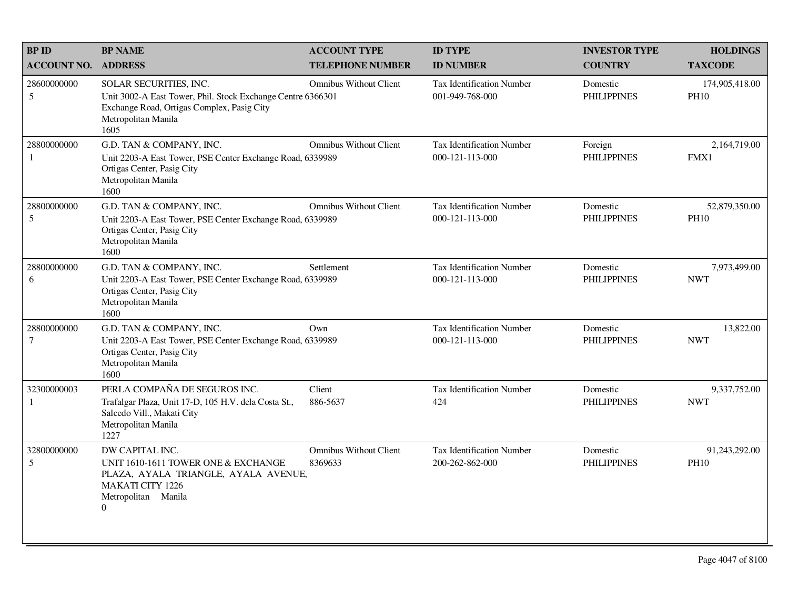| <b>BPID</b>                   | <b>BP NAME</b>                                                                                                                                                       | <b>ACCOUNT TYPE</b>                      | <b>ID TYPE</b>                                      | <b>INVESTOR TYPE</b>           | <b>HOLDINGS</b>               |
|-------------------------------|----------------------------------------------------------------------------------------------------------------------------------------------------------------------|------------------------------------------|-----------------------------------------------------|--------------------------------|-------------------------------|
| <b>ACCOUNT NO.</b>            | <b>ADDRESS</b>                                                                                                                                                       | <b>TELEPHONE NUMBER</b>                  | <b>ID NUMBER</b>                                    | <b>COUNTRY</b>                 | <b>TAXCODE</b>                |
| 28600000000<br>5              | SOLAR SECURITIES, INC.<br>Unit 3002-A East Tower, Phil. Stock Exchange Centre 6366301<br>Exchange Road, Ortigas Complex, Pasig City<br>Metropolitan Manila<br>1605   | <b>Omnibus Without Client</b>            | <b>Tax Identification Number</b><br>001-949-768-000 | Domestic<br><b>PHILIPPINES</b> | 174,905,418.00<br><b>PH10</b> |
| 28800000000<br>1              | G.D. TAN & COMPANY, INC.<br>Unit 2203-A East Tower, PSE Center Exchange Road, 6339989<br>Ortigas Center, Pasig City<br>Metropolitan Manila<br>1600                   | <b>Omnibus Without Client</b>            | <b>Tax Identification Number</b><br>000-121-113-000 | Foreign<br><b>PHILIPPINES</b>  | 2,164,719.00<br>FMX1          |
| 28800000000<br>5              | G.D. TAN & COMPANY, INC.<br>Unit 2203-A East Tower, PSE Center Exchange Road, 6339989<br>Ortigas Center, Pasig City<br>Metropolitan Manila<br>1600                   | <b>Omnibus Without Client</b>            | Tax Identification Number<br>000-121-113-000        | Domestic<br><b>PHILIPPINES</b> | 52,879,350.00<br><b>PH10</b>  |
| 28800000000<br>6              | G.D. TAN & COMPANY, INC.<br>Unit 2203-A East Tower, PSE Center Exchange Road, 6339989<br>Ortigas Center, Pasig City<br>Metropolitan Manila<br>1600                   | Settlement                               | <b>Tax Identification Number</b><br>000-121-113-000 | Domestic<br><b>PHILIPPINES</b> | 7,973,499.00<br><b>NWT</b>    |
| 28800000000<br>$\tau$         | G.D. TAN & COMPANY, INC.<br>Unit 2203-A East Tower, PSE Center Exchange Road, 6339989<br>Ortigas Center, Pasig City<br>Metropolitan Manila<br>1600                   | Own                                      | <b>Tax Identification Number</b><br>000-121-113-000 | Domestic<br><b>PHILIPPINES</b> | 13,822.00<br><b>NWT</b>       |
| 32300000003<br>1              | PERLA COMPAÑA DE SEGUROS INC.<br>Trafalgar Plaza, Unit 17-D, 105 H.V. dela Costa St.,<br>Salcedo Vill., Makati City<br>Metropolitan Manila<br>1227                   | Client<br>886-5637                       | <b>Tax Identification Number</b><br>424             | Domestic<br><b>PHILIPPINES</b> | 9,337,752.00<br><b>NWT</b>    |
| 32800000000<br>$\mathfrak{S}$ | DW CAPITAL INC.<br>UNIT 1610-1611 TOWER ONE & EXCHANGE<br>PLAZA, AYALA TRIANGLE, AYALA AVENUE,<br><b>MAKATI CITY 1226</b><br>Metropolitan Manila<br>$\boldsymbol{0}$ | <b>Omnibus Without Client</b><br>8369633 | <b>Tax Identification Number</b><br>200-262-862-000 | Domestic<br><b>PHILIPPINES</b> | 91,243,292.00<br><b>PH10</b>  |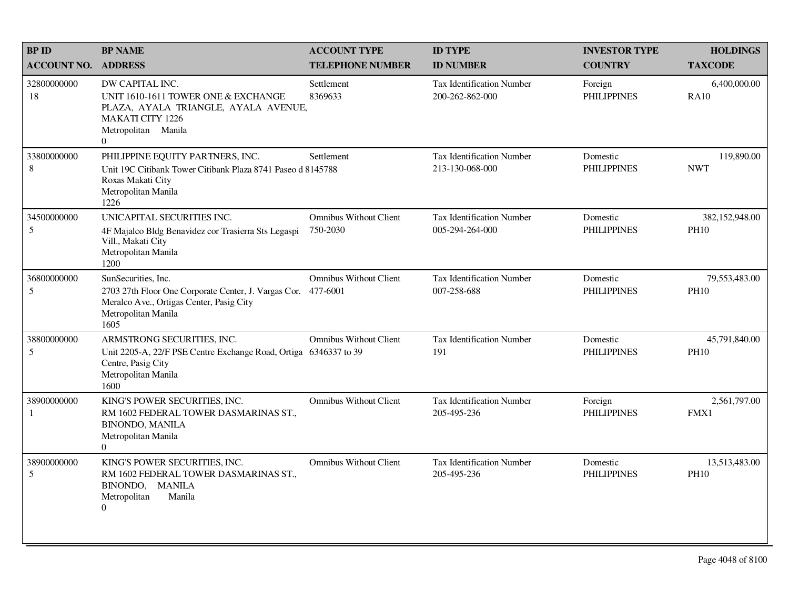| <b>BPID</b>                 | <b>BP NAME</b>                                                                                                                                                  | <b>ACCOUNT TYPE</b>                       | <b>ID TYPE</b>                                      | <b>INVESTOR TYPE</b>           | <b>HOLDINGS</b>               |
|-----------------------------|-----------------------------------------------------------------------------------------------------------------------------------------------------------------|-------------------------------------------|-----------------------------------------------------|--------------------------------|-------------------------------|
| <b>ACCOUNT NO.</b>          | <b>ADDRESS</b>                                                                                                                                                  | <b>TELEPHONE NUMBER</b>                   | <b>ID NUMBER</b>                                    | <b>COUNTRY</b>                 | <b>TAXCODE</b>                |
| 32800000000<br>18           | DW CAPITAL INC.<br>UNIT 1610-1611 TOWER ONE & EXCHANGE<br>PLAZA, AYALA TRIANGLE, AYALA AVENUE,<br><b>MAKATI CITY 1226</b><br>Metropolitan Manila<br>$\Omega$    | Settlement<br>8369633                     | <b>Tax Identification Number</b><br>200-262-862-000 | Foreign<br><b>PHILIPPINES</b>  | 6,400,000.00<br><b>RA10</b>   |
| 33800000000<br>8            | PHILIPPINE EQUITY PARTNERS, INC.<br>Unit 19C Citibank Tower Citibank Plaza 8741 Paseo d 8145788<br>Roxas Makati City<br>Metropolitan Manila<br>1226             | Settlement                                | <b>Tax Identification Number</b><br>213-130-068-000 | Domestic<br><b>PHILIPPINES</b> | 119,890.00<br><b>NWT</b>      |
| 34500000000<br>5            | UNICAPITAL SECURITIES INC.<br>4F Majalco Bldg Benavidez cor Trasierra Sts Legaspi<br>Vill., Makati City<br>Metropolitan Manila<br>1200                          | <b>Omnibus Without Client</b><br>750-2030 | <b>Tax Identification Number</b><br>005-294-264-000 | Domestic<br><b>PHILIPPINES</b> | 382,152,948.00<br><b>PH10</b> |
| 36800000000<br>5            | SunSecurities, Inc.<br>2703 27th Floor One Corporate Center, J. Vargas Cor. 477-6001<br>Meralco Ave., Ortigas Center, Pasig City<br>Metropolitan Manila<br>1605 | <b>Omnibus Without Client</b>             | Tax Identification Number<br>007-258-688            | Domestic<br><b>PHILIPPINES</b> | 79,553,483.00<br><b>PH10</b>  |
| 38800000000<br>5            | ARMSTRONG SECURITIES, INC.<br>Unit 2205-A, 22/F PSE Centre Exchange Road, Ortiga 6346337 to 39<br>Centre, Pasig City<br>Metropolitan Manila<br>1600             | <b>Omnibus Without Client</b>             | Tax Identification Number<br>191                    | Domestic<br><b>PHILIPPINES</b> | 45,791,840.00<br><b>PH10</b>  |
| 38900000000<br>$\mathbf{1}$ | KING'S POWER SECURITIES, INC.<br>RM 1602 FEDERAL TOWER DASMARINAS ST.,<br><b>BINONDO, MANILA</b><br>Metropolitan Manila<br>$\Omega$                             | <b>Omnibus Without Client</b>             | Tax Identification Number<br>205-495-236            | Foreign<br><b>PHILIPPINES</b>  | 2,561,797.00<br>FMX1          |
| 38900000000<br>5            | KING'S POWER SECURITIES, INC.<br>RM 1602 FEDERAL TOWER DASMARINAS ST.<br>BINONDO, MANILA<br>Metropolitan<br>Manila<br>$\overline{0}$                            | <b>Omnibus Without Client</b>             | <b>Tax Identification Number</b><br>205-495-236     | Domestic<br><b>PHILIPPINES</b> | 13,513,483.00<br><b>PH10</b>  |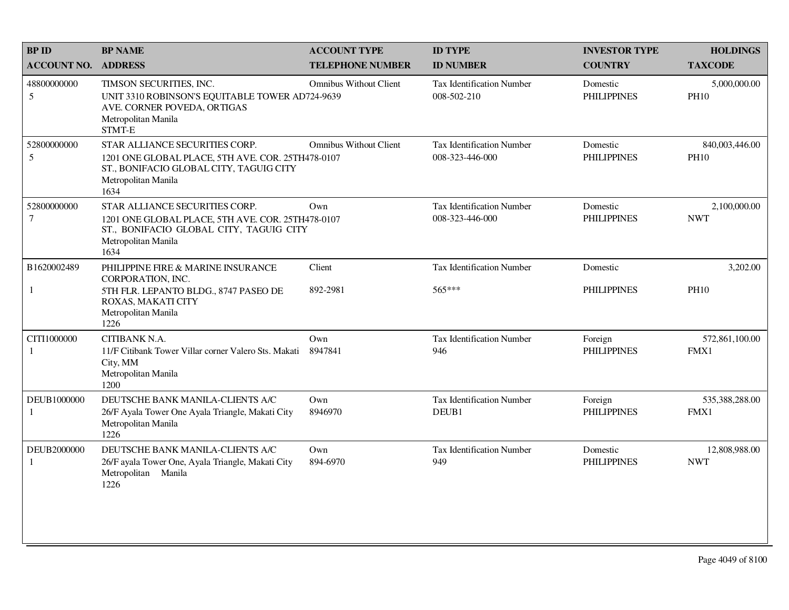| <b>BPID</b>           | <b>BP NAME</b>                                                                                                                                                | <b>ACCOUNT TYPE</b>           | <b>ID TYPE</b>                                      | <b>INVESTOR TYPE</b>           | <b>HOLDINGS</b>               |
|-----------------------|---------------------------------------------------------------------------------------------------------------------------------------------------------------|-------------------------------|-----------------------------------------------------|--------------------------------|-------------------------------|
| <b>ACCOUNT NO.</b>    | <b>ADDRESS</b>                                                                                                                                                | <b>TELEPHONE NUMBER</b>       | <b>ID NUMBER</b>                                    | <b>COUNTRY</b>                 | <b>TAXCODE</b>                |
| 48800000000<br>5      | TIMSON SECURITIES, INC.<br>UNIT 3310 ROBINSON'S EQUITABLE TOWER AD724-9639<br>AVE. CORNER POVEDA, ORTIGAS<br>Metropolitan Manila<br><b>STMT-E</b>             | <b>Omnibus Without Client</b> | <b>Tax Identification Number</b><br>008-502-210     | Domestic<br><b>PHILIPPINES</b> | 5,000,000.00<br><b>PH10</b>   |
| 52800000000<br>5      | STAR ALLIANCE SECURITIES CORP.<br>1201 ONE GLOBAL PLACE, 5TH AVE. COR. 25TH478-0107<br>ST., BONIFACIO GLOBAL CITY, TAGUIG CITY<br>Metropolitan Manila<br>1634 | <b>Omnibus Without Client</b> | <b>Tax Identification Number</b><br>008-323-446-000 | Domestic<br><b>PHILIPPINES</b> | 840,003,446.00<br><b>PH10</b> |
| 52800000000<br>$\tau$ | STAR ALLIANCE SECURITIES CORP.<br>1201 ONE GLOBAL PLACE, 5TH AVE. COR. 25TH478-0107<br>ST., BONIFACIO GLOBAL CITY, TAGUIG CITY<br>Metropolitan Manila<br>1634 | Own                           | <b>Tax Identification Number</b><br>008-323-446-000 | Domestic<br><b>PHILIPPINES</b> | 2,100,000.00<br><b>NWT</b>    |
| B1620002489           | PHILIPPINE FIRE & MARINE INSURANCE<br>CORPORATION, INC.                                                                                                       | Client                        | <b>Tax Identification Number</b>                    | Domestic                       | 3,202.00                      |
| $\mathbf{1}$          | 5TH FLR. LEPANTO BLDG., 8747 PASEO DE<br>ROXAS, MAKATI CITY<br>Metropolitan Manila<br>1226                                                                    | 892-2981                      | 565***                                              | <b>PHILIPPINES</b>             | <b>PH10</b>                   |
| CITI1000000<br>1      | CITIBANK N.A.<br>11/F Citibank Tower Villar corner Valero Sts. Makati<br>City, MM<br>Metropolitan Manila<br>1200                                              | Own<br>8947841                | <b>Tax Identification Number</b><br>946             | Foreign<br><b>PHILIPPINES</b>  | 572,861,100.00<br>FMX1        |
| DEUB1000000<br>1      | DEUTSCHE BANK MANILA-CLIENTS A/C<br>26/F Ayala Tower One Ayala Triangle, Makati City<br>Metropolitan Manila<br>1226                                           | Own<br>8946970                | <b>Tax Identification Number</b><br>DEUB1           | Foreign<br><b>PHILIPPINES</b>  | 535,388,288.00<br>FMX1        |
| DEUB2000000<br>1      | DEUTSCHE BANK MANILA-CLIENTS A/C<br>26/F ayala Tower One, Ayala Triangle, Makati City<br>Metropolitan Manila<br>1226                                          | Own<br>894-6970               | Tax Identification Number<br>949                    | Domestic<br><b>PHILIPPINES</b> | 12,808,988.00<br><b>NWT</b>   |
|                       |                                                                                                                                                               |                               |                                                     |                                |                               |